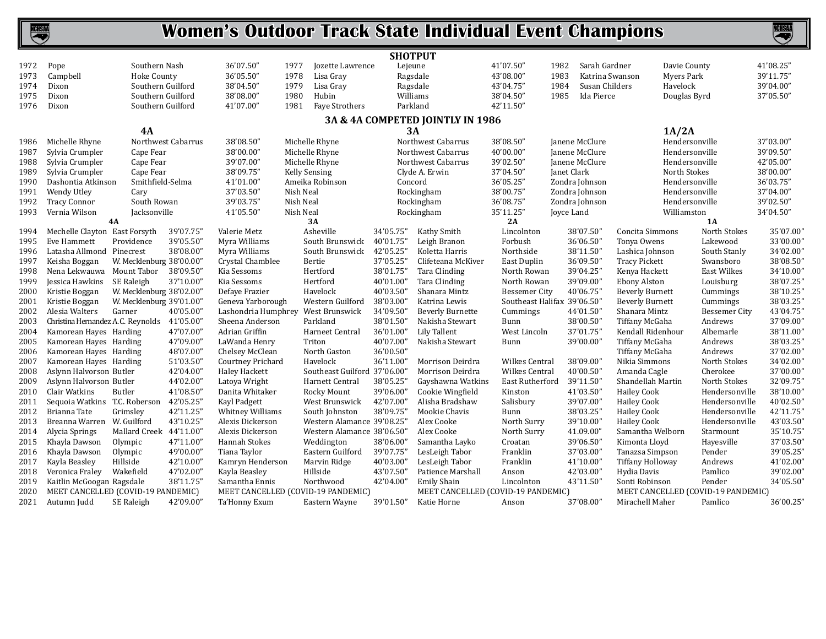### **NCHSAA**

### **Women's Outdoor Track State Individual Event Champions**

|              |                                             |                          |                        |                                             |                                              | <b>SHOTPUT</b>         |                                     |                       |                             |                                          |                                  |                       |
|--------------|---------------------------------------------|--------------------------|------------------------|---------------------------------------------|----------------------------------------------|------------------------|-------------------------------------|-----------------------|-----------------------------|------------------------------------------|----------------------------------|-----------------------|
| 1972         | Pope                                        | Southern Nash            |                        | 36'07.50"<br>1977                           | Jozette Lawrence                             | Lejeune                |                                     | 41'07.50"             | Sarah Gardner<br>1982       | Davie County                             |                                  | 41'08.25"             |
| 1973         | Campbell                                    | <b>Hoke County</b>       |                        | 36'05.50"<br>1978                           | Lisa Gray                                    |                        | Ragsdale                            | 43'08.00"             | 1983<br>Katrina Swanson     | Myers Park                               |                                  | 39'11.75"             |
| 1974         | Dixon                                       | Southern Guilford        |                        | 38'04.50"<br>1979                           | Lisa Gray                                    |                        | Ragsdale                            | 43'04.75"             | 1984<br>Susan Childers      | Havelock                                 |                                  | 39'04.00"             |
| 1975         | Dixon                                       | Southern Guilford        |                        | 38'08.00"<br>1980                           | Hubin                                        |                        | Williams                            | 38'04.50"             | 1985<br>Ida Pierce          | Douglas Byrd                             |                                  | 37'05.50"             |
| 1976         | Dixon                                       | Southern Guilford        |                        | 41'07.00"<br>1981                           | Faye Strothers                               |                        | Parkland                            | 42'11.50"             |                             |                                          |                                  |                       |
|              |                                             |                          |                        |                                             |                                              |                        | 3A & 4A COMPETED JOINTLY IN 1986    |                       |                             |                                          |                                  |                       |
|              |                                             | 4A                       |                        |                                             |                                              | 3A                     |                                     |                       |                             | 1A/2A                                    |                                  |                       |
| 1986         | Michelle Rhyne                              |                          | Northwest Cabarrus     | 38'08.50"                                   | Michelle Rhyne                               |                        | Northwest Cabarrus                  | 38'08.50"             | Janene McClure              | Hendersonville                           |                                  | 37'03.00"             |
| 1987         | Sylvia Crumpler                             | Cape Fear                |                        | 38'00.00"                                   | Michelle Rhyne                               |                        | Northwest Cabarrus                  | 40'00.00"             | Janene McClure              | Hendersonville                           |                                  | 39'09.50"             |
| 1988         | Sylvia Crumpler                             | Cape Fear                |                        | 39'07.00"                                   | Michelle Rhyne                               |                        | Northwest Cabarrus                  | 39'02.50"             | Janene McClure              | Hendersonville                           |                                  | 42'05.00"             |
| 1989         | Sylvia Crumpler                             | Cape Fear                |                        | 38'09.75"                                   | <b>Kelly Sensing</b>                         |                        | Clyde A. Erwin                      | 37'04.50"             | Janet Clark                 | North Stokes                             |                                  | 38'00.00"             |
| 1990         | Dashontia Atkinson                          | Smithfield-Selma         |                        | 41'01.00"                                   | Ameika Robinson                              | Concord                |                                     | 36'05.25"             | Zondra Johnson              | Hendersonville                           |                                  | 36'03.75"             |
| 1991         | Wendy Utley                                 | Cary                     |                        | 37'03.50"                                   | Nish Neal                                    |                        | Rockingham                          | 38'00.75"             | Zondra Johnson              | Hendersonville                           |                                  | 37'04.00"             |
| 1992         | <b>Tracy Connor</b>                         | South Rowan              |                        | 39'03.75"                                   | Nish Neal                                    |                        | Rockingham                          | 36'08.75"             | Zondra Johnson              | Hendersonville                           |                                  | 39'02.50"             |
| 1993         | Vernia Wilson                               | Jacksonville             |                        | 41'05.50"                                   | Nish Neal                                    |                        | Rockingham                          | 35'11.25"             | Joyce Land                  | Williamston                              |                                  | 34'04.50"             |
|              |                                             | <b>4A</b>                |                        |                                             | 3A                                           |                        |                                     | 2A                    |                             |                                          | 1A                               |                       |
| 1994         | Mechelle Clayton East Forsyth               |                          | 39'07.75"              | Valerie Metz                                | Asheville                                    | 34'05.75"              | Kathy Smith                         | Lincolnton            | 38'07.50"                   | Concita Simmons                          | North Stokes                     | 35'07.00"             |
| 1995         | <b>Eve Hammett</b>                          | Providence               | 39'05.50"              | Myra Williams                               | South Brunswick                              | 40'01.75'              | Leigh Branon                        | Forbush               | 36'06.50"                   | Tonya Owens                              | Lakewood                         | 33'00.00"             |
| 1996         | Latasha Allmond Pinecrest                   |                          | 38'08.00"              | Myra Williams                               | South Brunswick                              | 42'05.25'              | Koletta Harris                      | Northside             | 38'11.50"                   | Lashica Johnson                          | South Stanly                     | 34'02.00'             |
| 1997         | Keisha Boggan                               | W. Mecklenburg 38'00.00" |                        | Crystal Chamblee                            | Bertie                                       | 37'05.25"              | Clifeteana McKiver                  | East Duplin           | 36'09.50"                   | <b>Tracy Pickett</b>                     | Swansboro                        | 38'08.50'             |
| 1998         | Nena Lekwauwa                               | Mount Tabor              | 38'09.50"              | Kia Sessoms                                 | Hertford                                     | 38'01.75'              | Tara Clinding                       | North Rowan           | 39'04.25'                   | Kenya Hackett                            | East Wilkes                      | 34'10.00              |
| 1999         | Jessica Hawkins                             | SE Raleigh               | 37'10.00"              | Kia Sessoms                                 | Hertford                                     | 40'01.00"              | Tara Clinding                       | North Rowan           | 39'09.00"                   | Ebony Alston                             | Louisburg                        | 38'07.25"             |
| 2000         | Kristie Boggan                              | W. Mecklenburg 38'02.00" |                        | Defaye Frazier                              | Havelock                                     | 40'03.50"              | Shanara Mintz                       | <b>Bessemer City</b>  | 40'06.75'                   | <b>Beverly Burnett</b>                   | Cummings                         | 38'10.25              |
| 2001         | Kristie Boggan                              | W. Mecklenburg 39'01.00" |                        | Geneva Yarborough                           | Western Guilford                             | 38'03.00"              | Katrina Lewis                       |                       | Southeast Halifax 39'06.50" | <b>Beverly Burnett</b>                   | Cummings                         | 38'03.25              |
| 2002         | Alesia Walters                              | Garner                   | 40'05.00"              | Lashondria Humphrey West Brunswick          |                                              | 34'09.50"              | <b>Beverly Burnette</b>             | Cummings              | 44'01.50"                   | Shanara Mintz                            | <b>Bessemer City</b>             | 43'04.75              |
| 2003         | Christina Hernandez A.C. Reynolds 41'05.00" |                          |                        | Sheena Anderson                             | Parkland                                     | 38'01.50"              | Nakisha Stewart                     | Bunn                  | 38'00.50"                   | Tiffany McGaha                           | Andrews                          | 37'09.00'             |
| 2004         | Kamorean Hayes Harding                      |                          | 47'07.00"              | Adrian Griffin                              | Harneet Central                              | 36'01.00"              | Lily Tallent                        | West Lincoln          | 37'01.75"                   | Kendall Ridenhour                        | Albemarle                        | 38'11.00'             |
| 2005         | Kamorean Hayes Harding                      |                          | 47'09.00"              | LaWanda Henry                               | Triton                                       | 40'07.00"              | Nakisha Stewart                     | Bunn                  | 39'00.00"                   | Tiffany McGaha                           | Andrews                          | 38'03.25              |
| 2006         | Kamorean Hayes Harding                      |                          | 48'07.00"              | Chelsey McClean                             | North Gaston                                 | 36'00.50"              |                                     |                       |                             | Tiffany McGaha                           | Andrews                          | 37'02.00"             |
| 2007         | Kamorean Hayes Harding                      |                          | 51'03.50"              | Courtney Prichard                           | Havelock                                     | 36'11.00"              | Morrison Deirdra                    | <b>Wilkes Central</b> | 38'09.00"                   | Nikia Simmons                            | North Stokes                     | 34'02.00'             |
| 2008         | Aslynn Halvorson Butler                     |                          | 42'04.00"              | <b>Haley Hackett</b>                        | Southeast Guilford 37'06.00"                 |                        | Morrison Deirdra                    | <b>Wilkes Central</b> | 40'00.50'                   | Amanda Cagle                             | Cherokee                         | 37'00.00              |
| 2009         | Aslynn Halvorson Butler                     |                          | 44'02.00"<br>41'08.50" | Latoya Wright                               | Harnett Central                              | 38'05.25"              | Gayshawna Watkins                   | East Rutherford       | 39'11.50"                   | Shandellah Martin                        | North Stokes                     | 32'09.75              |
| 2010         | Clair Watkins                               | Butler                   | 42'05.25"              | Danita Whitaker                             | Rocky Mount                                  | 39'06.00"<br>42'07.00" | Cookie Wingfield<br>Alisha Bradshaw | Kinston               | 41'03.50"                   | <b>Hailey Cook</b>                       | Hendersonville                   | 38'10.00<br>40'02.50' |
| 2011         | Sequoia Watkins T.C. Roberson               |                          | 42'11.25"              | Kayl Padgett                                | West Brunswick                               | 38'09.75"              |                                     | Salisbury             | 39'07.00"                   | <b>Hailey Cook</b>                       | Hendersonville                   | 42'11.75'             |
| 2012<br>2013 | Brianna Tate<br>Breanna Warren W. Guilford  | Grimsley                 | 43'10.25"              | <b>Whitney Williams</b><br>Alexis Dickerson | South Johnston<br>Western Alamance 39'08.25" |                        | Mookie Chavis<br>Alex Cooke         | Bunn<br>North Surry   | 38'03.25"<br>39'10.00'      | <b>Hailey Cook</b><br><b>Hailey Cook</b> | Hendersonville<br>Hendersonville | 43'03.50              |
| 2014         |                                             | Mallard Creek 44'11.00"  |                        | Alexis Dickerson                            | Western Alamance 38'06.50"                   |                        | Alex Cooke                          | North Surry           | 41.09.00                    | Samantha Welborn                         |                                  | 35'10.75              |
| 2015         | Alycia Springs<br>Khayla Dawson             | Olympic                  | 47'11.00"              | Hannah Stokes                               | Weddington                                   | 38'06.00"              | Samantha Layko                      | Croatan               | 39'06.50"                   | Kimonta Lloyd                            | Starmount<br>Hayesville          | 37'03.50'             |
| 2016         | Khayla Dawson                               | Olympic                  | 49'00.00"              | Tiana Taylor                                | Eastern Guilford                             | 39'07.75'              | LesLeigh Tabor                      | Franklin              | 37'03.00'                   | Tanazsa Simpson                          | Pender                           | 39'05.25'             |
| 2017         | Kayla Beasley                               | Hillside                 | 42'10.00"              | Kamryn Henderson                            | Marvin Ridge                                 | 40'03.00"              | LesLeigh Tabor                      | Franklin              | 41'10.00"                   | Tiffany Holloway                         | Andrews                          | 41'02.00'             |
| 2018         | Veronica Fraley                             | Wakefield                | 47'02.00"              | Kayla Beasley                               | Hillside                                     | 43'07.50"              | Patience Marshall                   | Anson                 | 42'03.00"                   | Hydia Davis                              | Pamlico                          | 39'02.00'             |
| 2019         | Kaitlin McGoogan Ragsdale                   |                          | 38'11.75"              | Samantha Ennis                              | Northwood                                    | 42'04.00"              | <b>Emily Shain</b>                  | Lincolnton            | 43'11.50"                   | Sonti Robinson                           | Pender                           | 34'05.50'             |
| 2020         | MEET CANCELLED (COVID-19 PANDEMIC)          |                          |                        | MEET CANCELLED (COVID-19 PANDEMIC)          |                                              |                        | MEET CANCELLED (COVID-19 PANDEMIC)  |                       |                             | MEET CANCELLED (COVID-19 PANDEMIC)       |                                  |                       |
| 2021         | Autumn Judd                                 | SE Raleigh               | 42'09.00"              | Ta'Honny Exum                               | Eastern Wayne                                | 39'01.50"              | Katie Horne                         | Anson                 | 37'08.00"                   | Mirachell Maher                          | Pamlico                          | 36'00.25'             |
|              |                                             |                          |                        |                                             |                                              |                        |                                     |                       |                             |                                          |                                  |                       |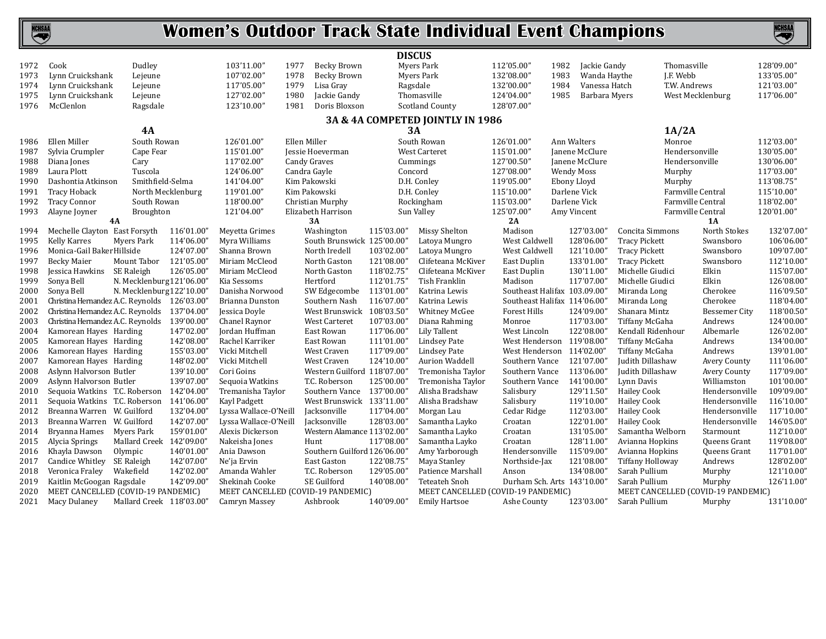

|              |                                                                 |                           |                          |                                                      |                       | <b>DISCUS</b>                |                                                            |                              |                   |                          |                         |                   |                                              |                         |
|--------------|-----------------------------------------------------------------|---------------------------|--------------------------|------------------------------------------------------|-----------------------|------------------------------|------------------------------------------------------------|------------------------------|-------------------|--------------------------|-------------------------|-------------------|----------------------------------------------|-------------------------|
| 1972         | Cook                                                            | Dudley                    |                          | 103'11.00"                                           | 1977<br>Becky Brown   |                              | Myers Park                                                 | 112'05.00"                   | 1982              | Jackie Gandy             |                         | Thomasville       |                                              | 128'09.00"              |
| 1973         | Lynn Cruickshank                                                | Lejeune                   |                          | 107'02.00"                                           | 1978<br>Becky Brown   |                              | Myers Park                                                 | 132'08.00'                   | 1983              | Wanda Haythe             |                         | J.F. Webb         |                                              | 133'05.00"              |
| 1974         | Lynn Cruickshank                                                | Lejeune                   |                          | 117'05.00"                                           | 1979<br>Lisa Grav     | Ragsdale                     |                                                            | 132'00.00'                   | 1984              | Vanessa Hatch            |                         | T.W. Andrews      |                                              | 121'03.00"              |
| 1975         | Lynn Cruickshank                                                | Lejeune                   |                          | 127'02.00"                                           | 1980<br>Jackie Gandy  |                              | Thomasville                                                | 124'04.00"                   | 1985              | Barbara Myers            |                         | West Mecklenburg  |                                              | 117'06.00"              |
| 1976         | McClenlon                                                       | Ragsdale                  |                          | 123'10.00"                                           | 1981<br>Doris Bloxson |                              | <b>Scotland County</b>                                     | 128'07.00"                   |                   |                          |                         |                   |                                              |                         |
|              |                                                                 |                           |                          |                                                      |                       |                              | 3A & 4A COMPETED JOINTLY IN 1986                           |                              |                   |                          |                         |                   |                                              |                         |
|              |                                                                 | 4A                        |                          |                                                      |                       | <b>3A</b>                    |                                                            |                              |                   |                          |                         | 1A/2A             |                                              |                         |
| 1986         | Ellen Miller                                                    | South Rowan               |                          | 126'01.00"                                           | Ellen Miller          |                              | South Rowan                                                | 126'01.00"                   | Ann Walters       |                          |                         | Monroe            |                                              | 112'03.00"              |
| 1987         | Sylvia Crumpler                                                 | Cape Fear                 |                          | 115'01.00"                                           | Jessie Hoeverman      |                              | <b>West Carteret</b>                                       | 115'01.00"                   |                   | Janene McClure           |                         | Hendersonville    |                                              | 130'05.00"              |
| 1988         | Diana Jones                                                     | Cary                      |                          | 117'02.00"                                           | <b>Candy Graves</b>   |                              | Cummings                                                   | 127'00.50'                   |                   | Janene McClure           |                         | Hendersonville    |                                              | 130'06.00"              |
| 1989         | Laura Plott                                                     | Tuscola                   |                          | 124'06.00"                                           | Candra Gayle          | Concord                      |                                                            | 127'08.00"                   | <b>Wendy Moss</b> |                          |                         | Murphy            |                                              | 117'03.00"              |
| 1990         | Dashontia Atkinson                                              | Smithfield-Selma          |                          | 141'04.00"                                           | Kim Pakowski          |                              | D.H. Conley                                                | 119'05.00'                   | Ebony Lloyd       |                          |                         | Murphy            |                                              | 113'08.75"              |
| 1991         | <b>Tracy Hoback</b>                                             |                           | North Mecklenburg        | 119'01.00"                                           | Kim Pakowski          |                              | D.H. Conley                                                | 115'10.00"                   |                   | Darlene Vick             |                         | Farmville Central |                                              | 115'10.00"              |
| 1992         | <b>Tracy Connor</b>                                             | South Rowan               |                          | 118'00.00"                                           | Christian Murphy      |                              | Rockingham                                                 | 115'03.00"                   |                   | Darlene Vick             |                         | Farmville Central |                                              | 118'02.00"              |
| 1993         | Alayne Joyner                                                   | Broughton                 |                          | 121'04.00"                                           | Elizabeth Harrison    |                              | Sun Valley                                                 | 125'07.00"                   |                   | Amy Vincent              |                         | Farmville Central |                                              | 120'01.00"              |
|              |                                                                 | <b>4A</b>                 |                          |                                                      | 3A                    |                              |                                                            | 2A                           |                   |                          |                         |                   | 1A                                           |                         |
| 1994         | Mechelle Clayton East Forsyth                                   |                           | 116'01.00'               | Meyetta Grimes                                       | Washington            | 115'03.00"                   | Missy Shelton                                              | Madison                      |                   | 127'03.00"               | Concita Simmons         |                   | North Stokes                                 | 132'07.00'              |
| 1995         | <b>Kelly Karres</b>                                             | <b>Myers Park</b>         | 114'06.00'               | Myra Williams                                        |                       | South Brunswick 125'00.00"   | Latoya Mungro                                              | West Caldwell                |                   | 128'06.00"               | <b>Tracy Pickett</b>    |                   | Swansboro                                    | 106'06.00'              |
| 1996         | Monica-Gail Baker Hillside                                      |                           | 124'07.00'               | Shanna Brown                                         | North Iredell         | 103'02.00"                   | Latoya Mungro                                              | West Caldwell                |                   | 121'10.00"               | <b>Tracy Pickett</b>    |                   | Swansboro                                    | 109'07.00               |
| 1997         | <b>Becky Maier</b>                                              | Mount Tabor               | 121'05.00'               | Miriam McCleod                                       | North Gaston          | 121'08.00"                   | Clifeteana McKiver                                         | East Duplin                  |                   | 133'01.00"               | <b>Tracy Pickett</b>    |                   | Swansboro                                    | 112'10.00               |
| 1998         | Jessica Hawkins                                                 | SE Raleigh                | 126'05.00'               | Miriam McCleod                                       | North Gaston          | 118'02.75"                   | Clifeteana McKiver                                         | East Duplin                  |                   | 130'11.00"               | Michelle Giudici        |                   | Elkin                                        | 115'07.00               |
| 1999         | Sonya Bell                                                      | N. Mecklenburg 121'06.00' |                          | Kia Sessoms                                          | Hertford              | 112'01.75"                   | Tish Franklin                                              | Madison                      |                   | 117'07.00"               | Michelle Giudici        |                   | Elkin                                        | 126'08.00               |
| 2000         | Sonya Bell                                                      | N. Mecklenburg 122'10.00' |                          | Danisha Norwood                                      | SW Edgecombe          | 113'01.00"                   | Katrina Lewis                                              | Southeast Halifax 103.09.00" |                   |                          | Miranda Long            |                   | Cherokee                                     | 116'09.50               |
| 2001         | Christina Hernandez A.C. Reynolds 126'03.00'                    |                           |                          | Brianna Dunston                                      | Southern Nash         | 116'07.00"                   | Katrina Lewis                                              | Southeast Halifax 114'06.00" |                   |                          | Miranda Long            |                   | Cherokee                                     | 118'04.00               |
| 2002         | Christina Hernandez A.C. Reynolds 137'04.00'                    |                           |                          | Jessica Doyle                                        |                       | West Brunswick 108'03.50"    | Whitney McGee                                              | Forest Hills                 |                   | 124'09.00"               | Shanara Mintz           |                   | <b>Bessemer City</b>                         | 118'00.50               |
| 2003         | Christina Hernandez A.C. Reynolds 139'00.00'                    |                           |                          | Chanel Raynor                                        | West Carteret         | 107'03.00"                   | Diana Rahming                                              | Monroe                       |                   | 117'03.00"               | Tiffany McGaha          |                   | Andrews                                      | 124'00.00               |
| 2004         | Kamorean Hayes Harding                                          |                           | 147'02.00'               | Jordan Huffman                                       | East Rowan            | 117'06.00"                   | Lily Tallent                                               | West Lincoln                 |                   | 122'08.00"               | Kendall Ridenhour       |                   | Albemarle                                    | 126'02.00               |
| 2005         | Kamorean Hayes Harding                                          |                           | 142'08.00'               | Rachel Karriker                                      | East Rowan            | 111'01.00"                   | <b>Lindsey Pate</b>                                        | West Henderson 119'08.00"    |                   |                          | Tiffany McGaha          |                   | Andrews                                      | 134'00.00               |
| 2006         | Kamorean Hayes Harding                                          |                           | 155'03.00'               | Vicki Mitchell                                       | West Craven           | 117'09.00"                   | <b>Lindsey Pate</b>                                        | West Henderson 114'02.00"    |                   |                          | Tiffany McGaha          |                   | Andrews                                      | 139'01.00               |
| 2007         | Kamorean Hayes Harding                                          |                           | 148'02.00'               | Vicki Mitchell                                       | West Craven           | 124'10.00"                   | <b>Aurion Waddell</b>                                      | Southern Vance 121'07.00"    |                   |                          | Judith Dillashaw        |                   | Avery County                                 | 111'06.00               |
| 2008         | Aslynn Halvorson Butler                                         |                           | 139'10.00'               | Cori Goins                                           |                       | Western Guilford 118'07.00"  | Tremonisha Taylor                                          | Southern Vance               |                   | 113'06.00'               | Judith Dillashaw        |                   | Avery County                                 | 117'09.00               |
| 2009         | Aslynn Halvorson Butler                                         |                           | 139'07.00'               | Sequoia Watkins                                      | T.C. Roberson         | 125'00.00"                   | Tremonisha Taylor                                          | Southern Vance               |                   | 141'00.00"               | Lynn Davis              |                   | Williamston                                  | 101'00.00               |
| 2010         | Sequoia Watkins T.C. Roberson 142'04.00'                        |                           |                          | Tremanisha Taylor                                    |                       | Southern Vance 137'00.00"    | Alisha Bradshaw                                            | Salisbury                    |                   | 129'11.50"               | <b>Hailey Cook</b>      |                   | Hendersonville                               | 109'09.00               |
| 2011         | Sequoia Watkins T.C. Roberson 141'06.00'                        |                           |                          | Kayl Padgett                                         |                       | West Brunswick 133'11.00"    | Alisha Bradshaw                                            | Salisbury                    |                   | 119'10.00"               | <b>Hailey Cook</b>      |                   | Hendersonville                               | 116'10.00               |
| 2012         | Breanna Warren W. Guilford                                      |                           | 132'04.00'               | Lyssa Wallace-O'Neill                                | Jacksonville          | 117'04.00"                   | Morgan Lau                                                 | Cedar Ridge                  |                   | 112'03.00"               | <b>Hailey Cook</b>      |                   | Hendersonville                               | 117'10.00               |
| 2013         | Breanna Warren                                                  | W. Guilford               | 142'07.00"               | Lyssa Wallace-O'Neill                                | Jacksonville          | 128'03.00"                   | Samantha Layko                                             | Croatan                      |                   | 122'01.00"               | <b>Hailey Cook</b>      |                   | Hendersonville                               | 146'05.00               |
| 2014         | Bryanna Hames                                                   | Myers Park                | 159'01.00"               | Alexis Dickerson                                     |                       | Western Alamance 113'02.00"  | Samantha Layko                                             | Croatan                      |                   | 131'05.00"               | Samantha Welborn        |                   | Starmount                                    | 112'10.00               |
| 2015         | Alycia Springs                                                  | Mallard Creek 142'09.00"  |                          | Nakeisha Jones                                       | Hunt                  | 117'08.00"                   | Samantha Layko                                             | Croatan                      |                   | 128'11.00"               | Avianna Hopkins         |                   | Queens Grant                                 | 119'08.00'              |
| 2016         | Khayla Dawson                                                   | Olympic                   | 140'01.00'               | Ania Dawson                                          |                       | Southern Guilford 126'06.00" | Amy Yarborough                                             | Hendersonville               |                   | 115'09.00'               | Avianna Hopkins         |                   | Queens Grant                                 | 117'01.00               |
| 2017         | Candice Whitley                                                 | SE Raleigh                | 142'07.00"<br>142'02.00" | Ne'ja Ervin                                          | East Gaston           | 122'08.75"<br>129'05.00"     | Maya Stanley                                               | Northside-Jax                |                   | 121'08.00"<br>134'08.00" | <b>Tiffany Holloway</b> |                   | Andrews                                      | 128'02.00'<br>121'10.00 |
| 2018         | Veronica Fraley                                                 | Wakefield                 | 142'09.00'               | Amanda Wahler                                        | T.C. Roberson         |                              | Patience Marshall                                          | Anson                        |                   |                          | Sarah Pullium           |                   | Murphy                                       |                         |
| 2019<br>2020 | Kaitlin McGoogan Ragsdale<br>MEET CANCELLED (COVID-19 PANDEMIC) |                           |                          | Shekinah Cooke<br>MEET CANCELLED (COVID-19 PANDEMIC) | SE Guilford           | 140'08.00"                   | <b>Teteateh Snoh</b><br>MEET CANCELLED (COVID-19 PANDEMIC) | Durham Sch. Arts 143'10.00"  |                   |                          | Sarah Pullium           |                   | Murphy<br>MEET CANCELLED (COVID-19 PANDEMIC) | 126'11.00'              |
| 2021         |                                                                 |                           |                          |                                                      | Ashbrook              | 140'09.00"                   |                                                            |                              |                   | 123'03.00"               | Sarah Pullium           |                   |                                              | 131'10.00'              |
|              | Macy Dulaney                                                    | Mallard Creek 118'03.00"  |                          | Camryn Massey                                        |                       |                              | <b>Emily Hartsoe</b>                                       | Ashe County                  |                   |                          |                         |                   | Murphy                                       |                         |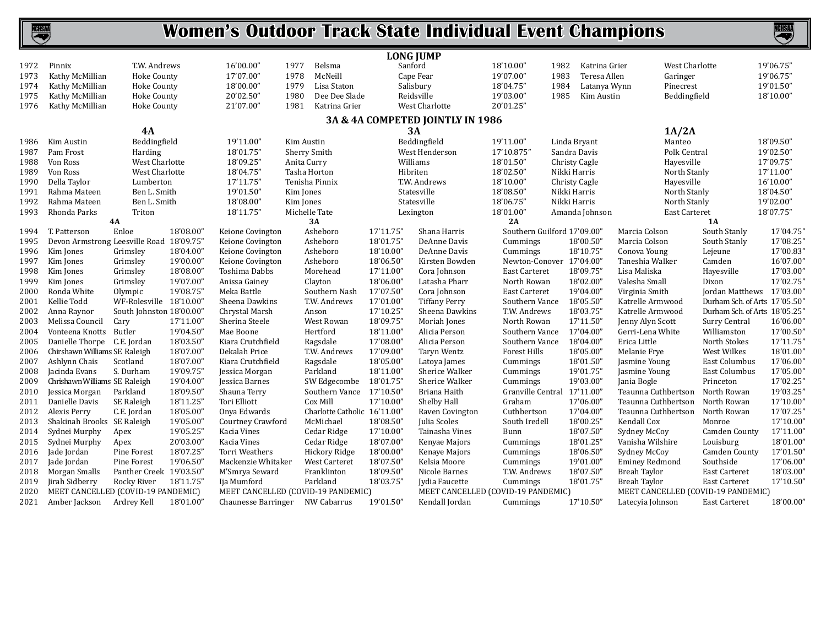# KCHSAA

### **Women's Outdoor Track State Individual Event Champions**

|      |                                          |                          |           |                                    |                              | <b>LONG JUMP</b> |                                    |                             |              |                |                                    |                               |           |
|------|------------------------------------------|--------------------------|-----------|------------------------------------|------------------------------|------------------|------------------------------------|-----------------------------|--------------|----------------|------------------------------------|-------------------------------|-----------|
| 1972 | Pinnix                                   | T.W. Andrews             |           | 16'00.00"                          | 1977<br>Belsma               | Sanford          |                                    | 18'10.00"                   | 1982         | Katrina Grier  | West Charlotte                     |                               | 19'06.75" |
| 1973 | Kathy McMillian                          | Hoke County              |           | 17'07.00"                          | 1978<br>McNeill              | Cape Fear        |                                    | 19'07.00"                   | 1983         | Teresa Allen   | Garinger                           |                               | 19'06.75" |
| 1974 | Kathy McMillian                          | Hoke County              |           | 18'00.00"                          | Lisa Staton<br>1979          | Salisbury        |                                    | 18'04.75"                   | 1984         | Latanya Wynn   | Pinecrest                          |                               | 19'01.50" |
| 1975 | Kathy McMillian                          | Hoke County              |           | 20'02.50"                          | 1980<br>Dee Dee Slade        | Reidsville       |                                    | 19'03.00"                   | 1985         | Kim Austin     | Beddingfield                       |                               | 18'10.00" |
| 1976 | Kathy McMillian                          | <b>Hoke County</b>       |           | 21'07.00"                          | 1981<br>Katrina Grier        |                  | West Charlotte                     | 20'01.25"                   |              |                |                                    |                               |           |
|      |                                          |                          |           |                                    |                              |                  | 3A & 4A COMPETED JOINTLY IN 1986   |                             |              |                |                                    |                               |           |
|      |                                          | <b>4A</b>                |           |                                    |                              | 3A               |                                    |                             |              |                | 1A/2A                              |                               |           |
| 1986 | Kim Austin                               | Beddingfield             |           | 19'11.00"                          | Kim Austin                   |                  | Beddingfield                       | 19'11.00"                   |              | Linda Bryant   | Manteo                             |                               | 18'09.50" |
| 1987 | Pam Frost                                | Harding                  |           | 18'01.75"                          | Sherry Smith                 |                  | West Henderson                     | 17'10.875"                  |              | Sandra Davis   | Polk Central                       |                               | 19'02.50" |
| 1988 | Von Ross                                 | West Charlotte           |           | 18'09.25'                          | Anita Curry                  | Williams         |                                    | 18'01.50"                   |              | Christy Cagle  | Hayesville                         |                               | 17'09.75" |
| 1989 | Von Ross                                 | West Charlotte           |           | 18'04.75"                          | Tasha Horton                 | Hibriten         |                                    | 18'02.50"                   | Nikki Harris |                | North Stanly                       |                               | 17'11.00" |
| 1990 | Della Taylor                             | Lumberton                |           | 17'11.75"                          | Tenisha Pinnix               |                  | T.W. Andrews                       | 18'10.00"                   |              | Christy Cagle  | Hayesville                         |                               | 16'10.00" |
| 1991 | Rahma Mateen                             | Ben L. Smith             |           | 19'01.50"                          | Kim Jones                    |                  | Statesville                        | 18'08.50"                   | Nikki Harris |                | North Stanly                       |                               | 18'04.50" |
| 1992 | Rahma Mateen                             | Ben L. Smith             |           | 18'08.00"                          | Kim Jones                    |                  | Statesville                        | 18'06.75"                   | Nikki Harris |                | North Stanly                       |                               | 19'02.00" |
| 1993 | Rhonda Parks                             | Triton                   |           | 18'11.75"                          | Michelle Tate                | Lexington        |                                    | 18'01.00"                   |              | Amanda Johnson | East Carteret                      |                               | 18'07.75" |
|      |                                          | 4A                       |           |                                    | 3A                           |                  |                                    | 2A                          |              |                |                                    | 1A                            |           |
| 1994 | T. Patterson                             | Enloe                    | 18'08.00" | Keione Covington                   | Asheboro                     | 17'11.75'        | Shana Harris                       | Southern Guilford 17'09.00" |              |                | Marcia Colson                      | South Stanly                  | 17'04.75' |
| 1995 | Devon Armstrong Leesville Road 18'09.75' |                          |           | Keione Covington                   | Asheboro                     | 18'01.75'        | DeAnne Davis                       | Cummings                    |              | 18'00.50"      | Marcia Colson                      | South Stanly                  | 17'08.25' |
| 1996 | Kim Jones                                | Grimsley                 | 18'04.00' | Keione Covington                   | Asheboro                     | 18'10.00"        | DeAnne Davis                       | Cummings                    |              | 18'10.75"      | Conova Young                       | Lejeune                       | 17'00.83' |
| 1997 | Kim Jones                                | Grimsley                 | 19'00.00" | Keione Covington                   | Asheboro                     | 18'06.50'        | Kirsten Bowden                     | Newton-Conover 17'04.00"    |              |                | Taneshia Walker                    | Camden                        | 16'07.00  |
| 1998 | Kim Jones                                | Grimsley                 | 18'08.00" | Toshima Dabbs                      | Morehead                     | 17'11.00'        | Cora Johnson                       | East Carteret               |              | 18'09.75"      | Lisa Maliska                       | Hayesville                    | 17'03.00' |
| 1999 | Kim Jones                                | Grimsley                 | 19'07.00" | Anissa Gainey                      | Clayton                      | 18'06.00"        | Latasha Pharr                      | North Rowan                 |              | 18'02.00"      | Valesha Small                      | Dixon                         | 17'02.75' |
| 2000 | Ronda White                              | Olympic                  | 19'08.75' | Meka Battle                        | Southern Nash                | 17'07.50'        | Cora Johnson                       | East Carteret               |              | 19'04.00"      | Virginia Smith                     | Jordan Matthews 17'03.00'     |           |
| 2001 | Kellie Todd                              | WF-Rolesville 18'10.00'  |           | Sheena Dawkins                     | T.W. Andrews                 | 17'01.00'        | <b>Tiffany Perry</b>               | Southern Vance              |              | 18'05.50"      | Katrelle Armwood                   | Durham Sch. of Arts 17'05.50' |           |
| 2002 | Anna Raynor                              | South Johnston 18'00.00' |           | Chrystal Marsh                     | Anson                        | 17'10.25'        | Sheena Dawkins                     | T.W. Andrews                |              | 18'03.75'      | Katrelle Armwood                   | Durham Sch. of Arts 18'05.25  |           |
| 2003 | Melissa Council                          | Cary                     | 17'11.00' | Sherina Steele                     | West Rowan                   | 18'09.75'        | Moriah Jones                       | North Rowan                 |              | 17'11.50'      | Jenny Alyn Scott                   | Surry Central                 | 16'06.00' |
| 2004 | Vonteena Knotts                          | Butler                   | 19'04.50" | Mae Boone                          | Hertford                     | 18'11.00"        | Alicia Person                      | Southern Vance              |              | 17'04.00"      | Gerri-Lena White                   | Williamston                   | 17'00.50' |
| 2005 | Danielle Thorpe C.E. Jordan              |                          | 18'03.50' | Kiara Crutchfield                  | Ragsdale                     | 17'08.00'        | Alicia Person                      | Southern Vance              |              | 18'04.00"      | Erica Little                       | North Stokes                  | 17'11.75' |
| 2006 | Chirshawn Williams SE Raleigh            |                          | 18'07.00' | Dekalah Price                      | T.W. Andrews                 | 17'09.00'        | Taryn Wentz                        | <b>Forest Hills</b>         |              | 18'05.00"      | Melanie Frye                       | West Wilkes                   | 18'01.00' |
| 2007 | Ashlynn Chais                            | Scotland                 | 18'07.00" | Kiara Crutchfield                  | Ragsdale                     | 18'05.00'        | Latoya James                       | Cummings                    |              | 18'01.50"      | Jasmine Young                      | East Columbus                 | 17'06.00' |
| 2008 | Jacinda Evans                            | S. Durham                | 19'09.75" | Jessica Morgan                     | Parkland                     | 18'11.00"        | Sherice Walker                     | Cummings                    |              | 19'01.75"      | Jasmine Young                      | East Columbus                 | 17'05.00  |
| 2009 | Chrishawn Williams SE Raleigh            |                          | 19'04.00" | Jessica Barnes                     | SW Edgecombe                 | 18'01.75'        | Sherice Walker                     | Cummings                    |              | 19'03.00"      | Jania Bogle                        | Princeton                     | 17'02.25  |
| 2010 | Jessica Morgan                           | Parkland                 | 18'09.50" | Shauna Terry                       | Southern Vance               | 17'10.50'        | Briana Haith                       | Granville Central 17'11.00" |              |                | Teaunna Cuthbertson                | North Rowan                   | 19'03.25' |
| 2011 | Danielle Davis                           | SE Raleigh               | 18'11.25" | Tori Elliott                       | Cox Mill                     | 17'10.00'        | Shelby Hall                        | Graham                      |              | 17'06.00"      | Teaunna Cuthbertson                | North Rowan                   | 17'10.00' |
| 2012 | Alexis Perry                             | C.E. Jordan              | 18'05.00" | Onya Edwards                       | Charlotte Catholic 16'11.00' |                  | Raven Covington                    | Cuthbertson                 |              | 17'04.00"      | Teaunna Cuthbertson                | North Rowan                   | 17'07.25' |
| 2013 | Shakinah Brooks SE Raleigh               |                          | 19'05.00" | Courtney Crawford                  | McMichael                    | 18'08.50'        | Julia Scoles                       | South Iredell               |              | 18'00.25"      | Kendall Cox                        | Monroe                        | 17'10.00  |
| 2014 | Sydnei Murphy                            | Apex                     | 19'05.25" | Kacia Vines                        | Cedar Ridge                  | 17'10.00'        | Tainasha Vines                     | Bunn                        |              | 18'07.50"      | Sydney McCoy                       | Camden County                 | 17'11.00  |
| 2015 | Sydnei Murphy                            | Apex                     | 20'03.00" | Kacia Vines                        | Cedar Ridge                  | 18'07.00'        | Kenyae Majors                      | Cummings                    |              | 18'01.25"      | Vanisha Wilshire                   | Louisburg                     | 18'01.00' |
| 2016 | Jade Jordan                              | Pine Forest              | 18'07.25' | <b>Torri Weathers</b>              | Hickory Ridge                | 18'00.00'        | Kenaye Majors                      | Cummings                    |              | 18'06.50"      | Sydney McCoy                       | Camden County                 | 17'01.50  |
| 2017 | Jade Jordan                              | Pine Forest              | 19'06.50' | Mackenzie Whitaker                 | <b>West Carteret</b>         | 18'07.50'        | Kelsia Moore                       | Cummings                    |              | 19'01.00"      | <b>Eminey Redmond</b>              | Southside                     | 17'06.00' |
| 2018 | Morgan Smalls                            | Panther Creek 19'03.50"  |           | M'Smrya Seward                     | Franklinton                  | 18'09.50'        | Nicole Barnes                      | T.W. Andrews                |              | 18'07.50"      | Breah Taylor                       | <b>East Carteret</b>          | 18'03.00  |
| 2019 | Jirah Sidberry                           | Rocky River              | 18'11.75' | Ija Mumford                        | Parkland                     | 18'03.75'        | Jydia Faucette                     | Cummings                    |              | 18'01.75"      | Breah Taylor                       | <b>East Carteret</b>          | 17'10.50' |
| 2020 | MEET CANCELLED (COVID-19 PANDEMIC)       |                          |           | MEET CANCELLED (COVID-19 PANDEMIC) |                              |                  | MEET CANCELLED (COVID-19 PANDEMIC) |                             |              |                | MEET CANCELLED (COVID-19 PANDEMIC) |                               |           |
| 2021 | Amber Jackson                            | Ardrey Kell              | 18'01.00" | Chaunesse Barringer                | NW Cabarrus                  | 19'01.50"        | Kendall Jordan                     | Cummings                    |              | 17'10.50"      | Latecyia Johnson                   | <b>East Carteret</b>          | 18'00.00" |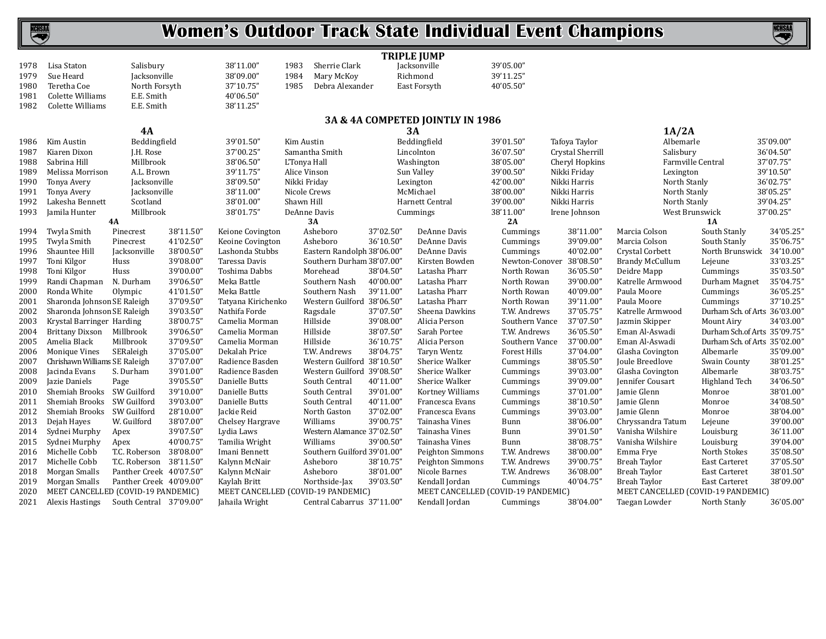### NCHSAA

### **Women's Outdoor Track State Individual Event Champions**

|      |                                    |                         |           |                                    |              |                                | <b>TRIPLE JUMP</b> |                                    |           |                            |                  |                                    |                               |           |
|------|------------------------------------|-------------------------|-----------|------------------------------------|--------------|--------------------------------|--------------------|------------------------------------|-----------|----------------------------|------------------|------------------------------------|-------------------------------|-----------|
| 1978 | Lisa Staton                        | Salisbury               |           | 38'11.00"                          | 1983         | Sherrie Clark                  |                    | Jacksonville                       | 39'05.00" |                            |                  |                                    |                               |           |
| 1979 | Sue Heard                          | Jacksonville            |           | 38'09.00"                          | 1984         | Mary McKoy                     |                    | Richmond                           | 39'11.25" |                            |                  |                                    |                               |           |
| 1980 | Teretha Coe                        | North Forsyth           |           | 37'10.75"                          | 1985         | Debra Alexander                |                    | East Forsyth                       | 40'05.50" |                            |                  |                                    |                               |           |
| 1981 | Colette Williams                   | E.E. Smith              |           | 40'06.50"                          |              |                                |                    |                                    |           |                            |                  |                                    |                               |           |
| 1982 | Colette Williams                   | E.E. Smith              |           | 38'11.25"                          |              |                                |                    |                                    |           |                            |                  |                                    |                               |           |
|      |                                    |                         |           |                                    |              |                                |                    | 3A & 4A COMPETED JOINTLY IN 1986   |           |                            |                  |                                    |                               |           |
|      |                                    | 4A                      |           |                                    |              |                                | 3A                 |                                    |           |                            |                  | 1A/2A                              |                               |           |
| 1986 | Kim Austin                         | Beddingfield            |           | 39'01.50"                          | Kim Austin   |                                |                    | Beddingfield                       | 39'01.50" |                            | Tafoya Taylor    | Albemarle                          |                               | 35'09.00" |
| 1987 | Kiaren Dixon                       | J.H. Rose               |           | 37'00.25"                          |              | Samantha Smith                 |                    | Lincolnton                         | 36'07.50" |                            | Crystal Sherrill | Salisbury                          |                               | 36'04.50" |
| 1988 | Sabrina Hill                       | Millbrook               |           | 38'06.50"                          | L'Tonya Hall |                                |                    | Washington                         | 38'05.00" |                            | Cheryl Hopkins   | Farmville Central                  |                               | 37'07.75" |
| 1989 | Melissa Morrison                   | A.L. Brown              |           | 39'11.75"                          |              | Alice Vinson                   |                    | Sun Valley                         | 39'00.50" |                            | Nikki Friday     | Lexington                          |                               | 39'10.50" |
| 1990 | Tonya Avery                        | Jacksonville            |           | 38'09.50"                          |              | Nikki Friday                   | Lexington          |                                    | 42'00.00" |                            | Nikki Harris     | North Stanly                       |                               | 36'02.75" |
| 1991 | Tonya Avery                        | Jacksonville            |           | 38'11.00"                          |              | Nicole Crews                   |                    | McMichael                          | 38'00.00" |                            | Nikki Harris     | North Stanly                       |                               | 38'05.25" |
| 1992 | Lakesha Bennett                    | Scotland                |           | 38'01.00"                          | Shawn Hill   |                                |                    | Harnett Central                    | 39'00.00" |                            | Nikki Harris     | North Stanly                       |                               | 39'04.25" |
|      | Jamila Hunter                      | Millbrook               |           | 38'01.75"                          |              | DeAnne Davis                   |                    |                                    | 38'11.00" |                            | Irene Johnson    | West Brunswick                     |                               | 37'00.25" |
| 1993 |                                    | 4A                      |           |                                    |              | 3A                             |                    | Cummings                           | 2A        |                            |                  |                                    | <b>1A</b>                     |           |
| 1994 | Twyla Smith                        | Pinecrest               | 38'11.50" | Keione Covington                   |              | Asheboro                       | 37'02.50"          | DeAnne Davis                       |           | Cummings                   | 38'11.00"        | Marcia Colson                      | South Stanly                  | 34'05.25" |
| 1995 | Twyla Smith                        | Pinecrest               | 41'02.50" | Keoine Covington                   |              | Asheboro                       | 36'10.50"          | DeAnne Davis                       |           | Cummings                   | 39'09.00"        | Marcia Colson                      | South Stanly                  | 35'06.75" |
| 1996 | Shauntee Hill                      | Jacksonville            | 38'00.50" | Lashonda Stubbs                    |              | Eastern Randolph 38'06.00"     |                    | DeAnne Davis                       |           | Cummings                   | 40'02.00"        | Crystal Corbett                    | North Brunswick               | 34'10.00" |
| 1997 | Toni Kilgor                        | Huss                    | 39'08.00" | Taressa Davis                      |              | Southern Durham 38'07.00"      |                    | Kirsten Bowden                     |           | Newton-Conover             | 38'08.50"        | <b>Brandy McCullum</b>             | Lejeune                       | 33'03.25" |
|      | Toni Kilgor                        | Huss                    | 39'00.00" | Toshima Dabbs                      |              | Morehead                       | 38'04.50"          | Latasha Pharr                      |           | North Rowan                | 36'05.50"        |                                    | Cummings                      | 35'03.50" |
| 1998 |                                    | N. Durham               | 39'06.50" | Meka Battle                        |              |                                | 40'00.00"          | Latasha Pharr                      |           |                            | 39'00.00"        | Deidre Mapp<br>Katrelle Armwood    |                               | 35'04.75" |
| 1999 | Randi Chapman<br>Ronda White       | Olympic                 | 41'01.50" | Meka Battle                        |              | Southern Nash<br>Southern Nash | 39'11.00"          | Latasha Pharr                      |           | North Rowan<br>North Rowan | 40'09.00"        | Paula Moore                        | Durham Magnet                 | 36'05.25" |
| 2000 |                                    |                         | 37'09.50" |                                    |              |                                |                    |                                    |           |                            |                  |                                    | Cummings                      | 37'10.25" |
| 2001 | Sharonda Johnson SE Raleigh        |                         |           | Tatyana Kirichenko                 |              | Western Guilford 38'06.50"     |                    | Latasha Pharr                      |           | North Rowan                | 39'11.00"        | Paula Moore                        | Cummings                      |           |
| 2002 | Sharonda Johnson SE Raleigh        |                         | 39'03.50" | Nathifa Forde                      |              | Ragsdale                       | 37'07.50"          | Sheena Dawkins                     |           | T.W. Andrews               | 37'05.75'        | Katrelle Armwood                   | Durham Sch. of Arts 36'03.00" |           |
| 2003 | Krystal Barringer Harding          |                         | 38'00.75" | Camelia Morman                     |              | Hillside                       | 39'08.00"          | Alicia Person                      |           | Southern Vance             | 37'07.50"        | Jazmin Skipper                     | Mount Airy                    | 34'03.00" |
| 2004 | <b>Brittany Dixson</b>             | Millbrook               | 39'06.50" | Camelia Morman                     |              | Hillside                       | 38'07.50"          | Sarah Portee                       |           | T.W. Andrews               | 36'05.50"        | Eman Al-Aswadi                     | Durham Sch.of Arts 35'09.75"  |           |
| 2005 | Amelia Black                       | Millbrook               | 37'09.50" | Camelia Morman                     |              | Hillside                       | 36'10.75"          | Alicia Person                      |           | Southern Vance             | 37'00.00"        | Eman Al-Aswadi                     | Durham Sch. of Arts 35'02.00" |           |
| 2006 | Monique Vines                      | SERaleigh               | 37'05.00" | Dekalah Price                      |              | T.W. Andrews                   | 38'04.75"          | Taryn Wentz                        |           | <b>Forest Hills</b>        | 37'04.00"        | Glasha Covington                   | Albemarle                     | 35'09.00" |
| 2007 | Chrishawn Williams SE Raleigh      |                         | 37'07.00" | Radience Basden                    |              | Western Guilford 38'10.50"     |                    | Sherice Walker                     |           | Cummings                   | 38'05.50"        | Joule Breedlove                    | Swain County                  | 38'01.25" |
| 2008 | Jacinda Evans                      | S. Durham               | 39'01.00" | Radience Basden                    |              | Western Guilford 39'08.50"     |                    | Sherice Walker                     |           | Cummings                   | 39'03.00"        | Glasha Covington                   | Albemarle                     | 38'03.75" |
| 2009 | Jazie Daniels                      | Page                    | 39'05.50" | Danielle Butts                     |              | South Central                  | 40'11.00"          | Sherice Walker                     |           | Cummings                   | 39'09.00"        | Jennifer Cousart                   | Highland Tech                 | 34'06.50" |
| 2010 | Shemiah Brooks                     | SW Guilford             | 39'10.00" | Danielle Butts                     |              | South Central                  | 39'01.00"          | Kortney Williams                   |           | Cummings                   | 37'01.00"        | Jamie Glenn                        | Monroe                        | 38'01.00" |
| 2011 | Shemiah Brooks                     | SW Guilford             | 39'03.00" | Danielle Butts                     |              | South Central                  | 40'11.00"          | Francesca Evans                    |           | Cummings                   | 38'10.50"        | Jamie Glenn                        | Monroe                        | 34'08.50" |
| 2012 | Shemiah Brooks                     | SW Guilford             | 28'10.00" | Jackie Reid                        |              | North Gaston                   | 37'02.00"          | Francesca Evans                    |           | Cummings                   | 39'03.00"        | Jamie Glenn                        | Monroe                        | 38'04.00" |
| 2013 | Dejah Hayes                        | W. Guilford             | 38'07.00" | Chelsey Hargrave                   |              | Williams                       | 39'00.75'          | Tainasha Vines                     | Bunn      |                            | 38'06.00"        | Chryssandra Tatum                  | Lejeune                       | 39'00.00" |
| 2014 | Sydnei Murphy                      | Apex                    | 39'07.50" | Lydia Laws                         |              | Western Alamance 37'02.50"     |                    | Tainasha Vines                     | Bunn      |                            | 39'01.50"        | Vanisha Wilshire                   | Louisburg                     | 36'11.00" |
| 2015 | Sydnei Murphy                      | Apex                    | 40'00.75" | Tamilia Wright                     |              | Williams                       | 39'00.50"          | Tainasha Vines                     | Bunn      |                            | 38'08.75'        | Vanisha Wilshire                   | Louisburg                     | 39'04.00" |
| 2016 | Michelle Cobb                      | T.C. Roberson           | 38'08.00" | Imani Bennett                      |              | Southern Guilford 39'01.00"    |                    | Peighton Simmons                   |           | T.W. Andrews               | 38'00.00"        | Emma Frye                          | North Stokes                  | 35'08.50" |
| 2017 | Michelle Cobb                      | T.C. Roberson 38'11.50" |           | Kalynn McNair                      |              | Asheboro                       | 38'10.75"          | Peighton Simmons                   |           | T.W. Andrews               | 39'00.75"        | <b>Breah Taylor</b>                | <b>East Carteret</b>          | 37'05.50" |
| 2018 | Morgan Smalls                      | Panther Creek 40'07.50" |           | Kalynn McNair                      |              | Asheboro                       | 38'01.00"          | Nicole Barnes                      |           | T.W. Andrews               | 36'08.00"        | Breah Taylor                       | <b>East Carteret</b>          | 38'01.50" |
| 2019 | Morgan Smalls                      | Panther Creek 40'09.00" |           | Kaylah Britt                       |              | Northside-Jax                  | 39'03.50"          | Kendall Jordan                     |           | Cummings                   | 40'04.75"        | <b>Breah Taylor</b>                | East Carteret                 | 38'09.00" |
| 2020 | MEET CANCELLED (COVID-19 PANDEMIC) |                         |           | MEET CANCELLED (COVID-19 PANDEMIC) |              |                                |                    | MEET CANCELLED (COVID-19 PANDEMIC) |           |                            |                  | MEET CANCELLED (COVID-19 PANDEMIC) |                               |           |
| 2021 | <b>Alexis Hastings</b>             | South Central 37'09.00" |           | Jahaila Wright                     |              | Central Cabarrus 37'11.00"     |                    | Kendall Jordan                     |           | Cummings                   | 38'04.00"        | Taegan Lowder                      | North Stanly                  | 36'05.00" |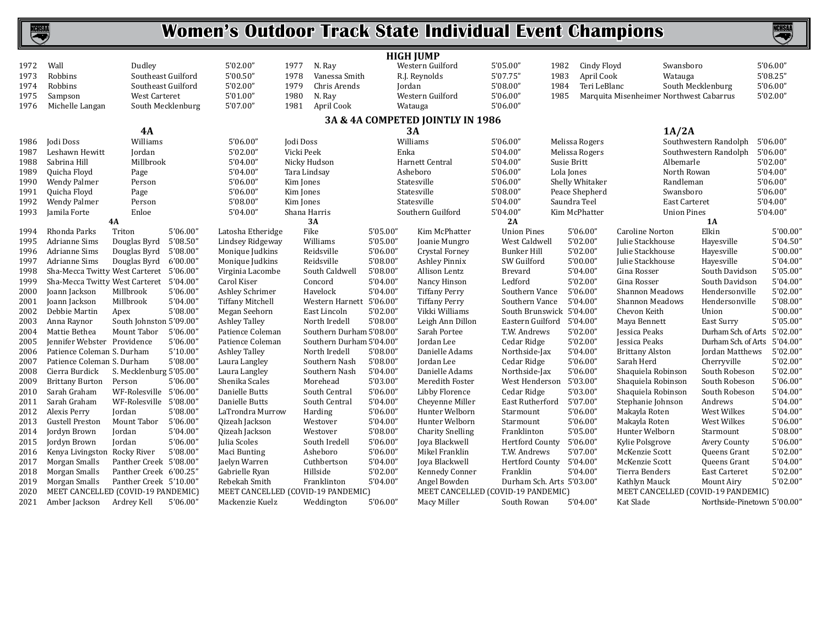

|      |                                         |                         |          |                                    |                          |                          | <b>HIGH JUMP</b>                 |                                    |                      |                        |                                         |          |
|------|-----------------------------------------|-------------------------|----------|------------------------------------|--------------------------|--------------------------|----------------------------------|------------------------------------|----------------------|------------------------|-----------------------------------------|----------|
| 1972 | Wall                                    | Dudley                  |          | 5'02.00"                           | 1977<br>N. Ray           |                          | Western Guilford                 | 5'05.00"                           | 1982<br>Cindy Floyd  |                        | Swansboro                               | 5'06.00" |
| 1973 | Robbins                                 | Southeast Guilford      |          | 5'00.50"                           | 1978<br>Vanessa Smith    |                          | R.J. Reynolds                    | 5'07.75"                           | 1983<br>April Cook   |                        | Watauga                                 | 5'08.25" |
| 1974 | Robbins                                 | Southeast Guilford      |          | 5'02.00"                           | 1979<br>Chris Arends     |                          | Jordan                           | 5'08.00"                           | 1984<br>Teri LeBlanc |                        | South Mecklenburg                       | 5'06.00" |
| 1975 | Sampson                                 | West Carteret           |          | 5'01.00"                           | 1980<br>N. Ray           |                          | Western Guilford                 | 5'06.00"                           | 1985                 |                        | Marquita Misenheimer Northwest Cabarrus | 5'02.00" |
| 1976 | Michelle Langan                         | South Mecklenburg       |          | 5'07.00"                           | April Cook<br>1981       |                          | Watauga                          | 5'06.00"                           |                      |                        |                                         |          |
|      |                                         |                         |          |                                    |                          |                          | 3A & 4A COMPETED JOINTLY IN 1986 |                                    |                      |                        |                                         |          |
|      |                                         | 4A                      |          |                                    |                          |                          | 3A                               |                                    |                      |                        | 1A/2A                                   |          |
| 1986 | Jodi Doss                               | Williams                |          | 5'06.00"                           | Jodi Doss                |                          | Williams                         | 5'06.00"                           | Melissa Rogers       |                        | Southwestern Randolph                   | 5'06.00' |
| 1987 | Leshawn Hewitt                          | Jordan                  |          | 5'02.00"                           | Vicki Peek               | Enka                     |                                  | 5'04.00"                           | Melissa Rogers       |                        | Southwestern Randolph                   | 5'06.00" |
| 1988 | Sabrina Hill                            | Millbrook               |          | 5'04.00"                           | Nicky Hudson             |                          | Harnett Central                  | 5'04.00"                           | Susie Britt          |                        | Albemarle                               | 5'02.00" |
| 1989 | Quicha Floyd                            | Page                    |          | 5'04.00"                           | Tara Lindsay             |                          | Asheboro                         | 5'06.00"                           | Lola Jones           |                        | North Rowan                             | 5'04.00" |
| 1990 | Wendy Palmer                            | Person                  |          | 5'06.00"                           | Kim Jones                |                          | Statesville                      | 5'06.00"                           | Shelly Whitaker      |                        | Randleman                               | 5'06.00" |
| 1991 | Quicha Floyd                            | Page                    |          | 5'06.00"                           | Kim Jones                |                          | Statesville                      | 5'08.00"                           | Peace Shepherd       |                        | Swansboro                               | 5'06.00" |
| 1992 | Wendy Palmer                            | Person                  |          | 5'08.00"                           | Kim Jones                |                          | Statesville                      | 5'04.00"                           | Saundra Teel         |                        | East Carteret                           | 5'04.00" |
| 1993 | Jamila Forte                            | Enloe                   |          | 5'04.00"                           | Shana Harris             |                          | Southern Guilford                | 5'04.00"                           | Kim McPhatter        |                        | <b>Union Pines</b>                      | 5'04.00" |
|      |                                         | 4A                      |          |                                    | 3A                       |                          |                                  | 2A                                 |                      |                        | 1A                                      |          |
| 1994 | Rhonda Parks                            | Triton                  | 5'06.00" | Latosha Etheridge                  | Fike                     | 5'05.00"                 | Kim McPhatter                    | <b>Union Pines</b>                 | 5'06.00"             | Caroline Norton        | Elkin                                   | 5'00.00" |
| 1995 | <b>Adrianne Sims</b>                    | Douglas Byrd            | 5'08.50" | Lindsey Ridgeway                   | Williams                 | 5'05.00"                 | Joanie Mungro                    | West Caldwell                      | 5'02.00"             | Julie Stackhouse       | Hayesville                              | 5'04.50' |
| 1996 | Adrianne Sims                           | Douglas Byrd            | 5'08.00" | Monique Judkins                    | Reidsville               | 5'06.00"                 | Crystal Forney                   | <b>Bunker Hill</b>                 | 5'02.00"             | Julie Stackhouse       | Hayesville                              | 5'00.00' |
| 1997 | Adrianne Sims                           | Douglas Byrd            | 6'00.00" | Monique Judkins                    | Reidsville               | 5'08.00"                 | <b>Ashley Pinnix</b>             | SW Guilford                        | 5'00.00"             | Julie Stackhouse       | Hayesville                              | 5'04.00' |
| 1998 | Sha-Mecca Twitty West Carteret 5'06.00" |                         |          | Virginia Lacombe                   | South Caldwell           | 5'08.00"                 | Allison Lentz                    | Brevard                            | 5'04.00"             | Gina Rosser            | South Davidson                          | 5'05.00' |
| 1999 | Sha-Mecca Twitty West Carteret          |                         | 5'04.00" | Carol Kiser                        | Concord                  | 5'04.00"                 | Nancy Hinson                     | Ledford                            | 5'02.00"             | Gina Rosser            | South Davidson                          | 5'04.00' |
| 2000 | Joann Jackson                           | Millbrook               | 5'06.00" | Ashley Schrimer                    | Havelock                 | 5'04.00"                 | <b>Tiffany Perry</b>             | Southern Vance                     | 5'06.00"             | <b>Shannon Meadows</b> | Hendersonville                          | 5'02.00' |
| 2001 | Joann Jackson                           | Millbrook               | 5'04.00" | <b>Tiffany Mitchell</b>            |                          | Western Harnett 5'06.00" | Tiffany Perry                    | Southern Vance                     | 5'04.00"             | <b>Shannon Meadows</b> | Hendersonville                          | 5'08.00' |
| 2002 | Debbie Martin                           | Apex                    | 5'08.00" | Megan Seehorn                      | East Lincoln             | 5'02.00"                 | Vikki Williams                   | South Brunswick 5'04.00"           |                      | Chevon Keith           | Union                                   | 5'00.00' |
| 2003 | Anna Raynor                             | South Johnston 5'09.00" |          | <b>Ashley Talley</b>               | North Iredell            | 5'08.00"                 | Leigh Ann Dillon                 | Eastern Guilford                   | 5'04.00"             | Maya Bennett           | East Surry                              | 5'05.00' |
| 2004 | Mattie Bethea                           | Mount Tabor             | 5'06.00" | Patience Coleman                   | Southern Durham 5'08.00" |                          | Sarah Portee                     | T.W. Andrews                       | 5'02.00"             | Jessica Peaks          | Durham Sch. of Arts                     | 5'02.00' |
| 2005 | Jennifer Webster Providence             |                         | 5'06.00" | Patience Coleman                   |                          | Southern Durham 5'04.00" | Jordan Lee                       | Cedar Ridge                        | 5'02.00"             | Jessica Peaks          | Durham Sch. of Arts                     | 5'04.00' |
| 2006 | Patience Coleman S. Durham              |                         | 5'10.00" | <b>Ashley Talley</b>               | North Iredell            | 5'08.00"                 | Danielle Adams                   | Northside-Jax                      | 5'04.00"             | <b>Brittany Alston</b> | <b>Jordan Matthews</b>                  | 5'02.00' |
| 2007 | Patience Coleman S. Durham              |                         | 5'08.00" | Laura Langley                      | Southern Nash            | 5'08.00"                 | Jordan Lee                       | Cedar Ridge                        | 5'06.00"             | Sarah Herd             | Cherryville                             | 5'02.00' |
| 2008 | Cierra Burdick                          | S. Mecklenburg 5'05.00" |          | Laura Langley                      | Southern Nash            | 5'04.00"                 | Danielle Adams                   | Northside-Jax                      | 5'06.00"             | Shaquiela Robinson     | South Robeson                           | 5'02.00' |
| 2009 | <b>Brittany Burton</b>                  | Person                  | 5'06.00" | Shenika Scales                     | Morehead                 | 5'03.00"                 | Meredith Foster                  | West Henderson 5'03.00"            |                      | Shaquiela Robinson     | South Robeson                           | 5'06.00' |
| 2010 | Sarah Graham                            | WF-Rolesville           | 5'06.00" | Danielle Butts                     | South Central            | 5'06.00"                 | Libby Florence                   | Cedar Ridge                        | 5'03.00"             | Shaquiela Robinson     | South Robeson                           | 5'04.00' |
| 2011 | Sarah Graham                            | WF-Rolesville 5'08.00"  |          | Danielle Butts                     | South Central            | 5'04.00"                 | Chevenne Miller                  | East Rutherford                    | 5'07.00"             | Stephanie Johnson      | Andrews                                 | 5'04.00' |
| 2012 | Alexis Perry                            | Jordan                  | 5'08.00" | LaTrondra Murrow                   | Harding                  | 5'06.00"                 | Hunter Welborn                   | Starmount                          | 5'06.00"             | Makayla Roten          | West Wilkes                             | 5'04.00' |
| 2013 | <b>Gustell Preston</b>                  | Mount Tabor             | 5'06.00" | Qizeah Jackson                     | Westover                 | 5'04.00"                 | Hunter Welborn                   | Starmount                          | 5'06.00"             | Makayla Roten          | West Wilkes                             | 5'06.00' |
| 2014 | Jordyn Brown                            | Jordan                  | 5'04.00" | Qizeah Jackson                     | Westover                 | 5'08.00"                 | <b>Charity Snelling</b>          | Franklinton                        | 5'05.00"             | Hunter Welborn         | Starmount                               | 5'08.00' |
| 2015 | Jordyn Brown                            | Jordan                  | 5'06.00" | Julia Scoles                       | South Iredell            | 5'06.00"                 | <b>Jova Blackwell</b>            | Hertford County                    | 5'06.00"             | Kylie Polsgrove        | Avery County                            | 5'06.00' |
| 2016 | Kenya Livingston Rocky River            |                         | 5'08.00" | Maci Bunting                       | Asheboro                 | 5'06.00"                 | Mikel Franklin                   | T.W. Andrews                       | 5'07.00"             | McKenzie Scott         | Queens Grant                            | 5'02.00' |
| 2017 | Morgan Smalls                           | Panther Creek 5'08.00"  |          | Jaelyn Warren                      | Cuthbertson              | 5'04.00"                 | Joya Blackwell                   | Hertford County                    | 5'04.00"             | McKenzie Scott         | Queens Grant                            | 5'04.00" |
| 2018 | Morgan Smalls                           | Panther Creek 6'00.25"  |          | Gabrielle Ryan                     | Hillside                 | 5'02.00"                 | Kennedy Conner                   | Franklin                           | 5'04.00"             | Tierra Benders         | East Carteret                           | 5'02.00' |
| 2019 | Morgan Smalls                           | Panther Creek 5'10.00"  |          | Rebekah Smith                      | Franklinton              | 5'04.00"                 | Angel Bowden                     | Durham Sch. Arts 5'03.00"          |                      | Kathlyn Mauck          | Mount Airy                              | 5'02.00' |
| 2020 | MEET CANCELLED (COVID-19 PANDEMIC)      |                         |          | MEET CANCELLED (COVID-19 PANDEMIC) |                          |                          |                                  | MEET CANCELLED (COVID-19 PANDEMIC) |                      |                        | MEET CANCELLED (COVID-19 PANDEMIC)      |          |
| 2021 | Amber Jackson                           | Ardrey Kell             | 5'06.00" | Mackenzie Kuelz                    | Weddington               | 5'06.00"                 | Macy Miller                      | South Rowan                        | 5'04.00"             | Kat Slade              | Northside-Pinetown 5'00.00'             |          |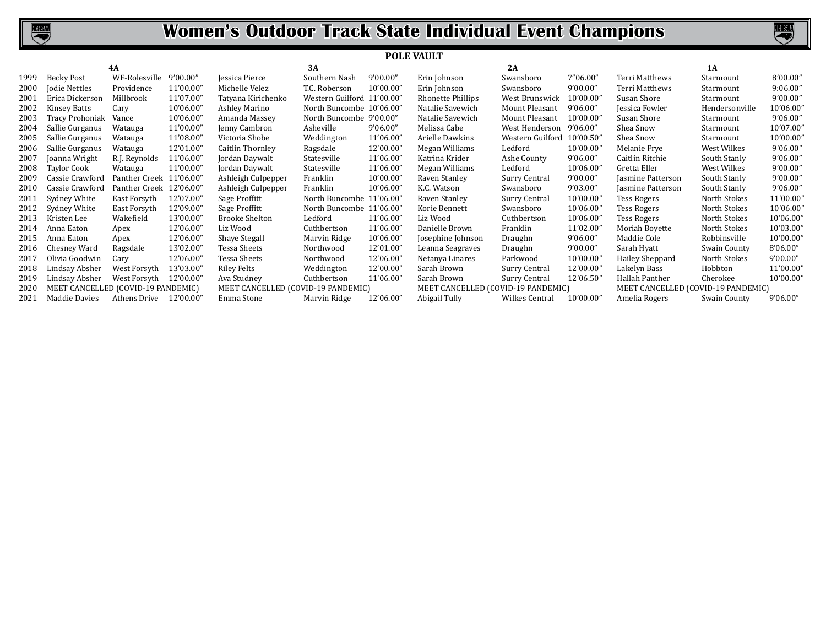

|      |                                    |                         |           |                                    |                            | <b>POLE VAULT</b> |                                    |                       |           |                                    |                |           |
|------|------------------------------------|-------------------------|-----------|------------------------------------|----------------------------|-------------------|------------------------------------|-----------------------|-----------|------------------------------------|----------------|-----------|
|      |                                    | 4A                      |           |                                    | 3A                         |                   |                                    | 2A                    |           |                                    | 1A             |           |
| 1999 | Becky Post                         | WF-Rolesville           | 9'00.00"  | Jessica Pierce                     | Southern Nash              | 9'00.00"          | Erin Johnson                       | Swansboro             | 7"06.00"  | <b>Terri Matthews</b>              | Starmount      | 8'00.00"  |
| 2000 | Jodie Nettles                      | Providence              | 11'00.00" | Michelle Velez                     | T.C. Roberson              | 10'00.00"         | Erin Johnson                       | Swansboro             | 9'00.00"  | Terri Matthews                     | Starmount      | 9:06.00"  |
| 2001 | Erica Dickerson                    | Millbrook               | 11'07.00" | Tatyana Kirichenko                 | Western Guilford 11'00.00" |                   | Rhonette Phillips                  | West Brunswick        | 10'00.00" | Susan Shore                        | Starmount      | 9'00.00"  |
| 2002 | <b>Kinsey Batts</b>                | Cary                    | 10'06.00" | Ashley Marino                      | North Buncombe 10'06.00"   |                   | Natalie Savewich                   | Mount Pleasant        | 9'06.00'  | Jessica Fowler                     | Hendersonville | 10'06.00" |
| 2003 | Tracy Prohoniak                    | Vance                   | 10'06.00" | Amanda Massey                      | North Buncombe 9'00.00"    |                   | Natalie Savewich                   | Mount Pleasant        | 10'00.00" | Susan Shore                        | Starmount      | 9'06.00"  |
| 2004 | Sallie Gurganus                    | Watauga                 | 11'00.00" | Jenny Cambron                      | Asheville                  | 9'06.00"          | Melissa Cabe                       | West Henderson        | 9'06.00'  | Shea Snow                          | Starmount      | 10'07.00" |
| 2005 | Sallie Gurganus                    | Watauga                 | 11'08.00" | Victoria Shobe                     | Weddington                 | 11'06.00"         | Arielle Dawkins                    | Western Guilford      | 10'00.50" | Shea Snow                          | Starmount      | 10'00.00" |
| 2006 | Sallie Gurganus                    | Watauga                 | 12'01.00' | Caitlin Thornley                   | Ragsdale                   | 12'00.00"         | Megan Williams                     | Ledford               | 10'00.00" | Melanie Frye                       | West Wilkes    | 9'06.00"  |
| 2007 | Joanna Wright                      | R.J. Reynolds           | 11'06.00' | Jordan Daywalt                     | Statesville                | 11'06.00"         | Katrina Krider                     | Ashe County           | 9'06.00"  | Caitlin Ritchie                    | South Stanly   | 9'06.00"  |
| 2008 | Taylor Cook                        | Watauga                 | 11'00.00' | Jordan Daywalt                     | Statesville                | 11'06.00"         | Megan Williams                     | Ledford               | 10'06.00" | Gretta Eller                       | West Wilkes    | 9'00.00"  |
| 2009 | Cassie Crawford                    | Panther Creek 11'06.00" |           | Ashleigh Culpepper                 | Franklin                   | 10'00.00"         | Raven Stanley                      | Surry Central         | 9'00.00"  | Jasmine Patterson                  | South Stanly   | 9'00.00"  |
| 2010 | Cassie Crawford                    | Panther Creek           | 12'06.00' | Ashleigh Culpepper                 | Franklin                   | 10'06.00"         | K.C. Watson                        | Swansboro             | 9'03.00"  | Jasmine Patterson                  | South Stanly   | 9'06.00"  |
| 2011 | Sydney White                       | East Forsyth            | 12'07.00" | Sage Proffitt                      | North Buncombe 11'06.00"   |                   | Raven Stanley                      | Surry Central         | 10'00.00" | Tess Rogers                        | North Stokes   | 11'00.00" |
| 2012 | Sydney White                       | East Forsyth            | 12'09.00' | Sage Proffitt                      | North Buncombe 11'06.00"   |                   | Korie Bennett                      | Swansboro             | 10'06.00" | <b>Tess Rogers</b>                 | North Stokes   | 10'06.00" |
| 2013 | Kristen Lee                        | Wakefield               | 13'00.00' | <b>Brooke Shelton</b>              | Ledford                    | 11'06.00"         | Liz Wood                           | Cuthbertson           | 10'06.00" | <b>Tess Rogers</b>                 | North Stokes   | 10'06.00" |
| 2014 | Anna Eaton                         | Apex                    | 12'06.00' | Liz Wood                           | Cuthbertson                | 11'06.00"         | Danielle Brown                     | Franklin              | 11'02.00" | Moriah Boyette                     | North Stokes   | 10'03.00" |
| 2015 | Anna Eaton                         | Apex                    | 12'06.00" | Shaye Stegall                      | Marvin Ridge               | 10'06.00"         | Josephine Johnson                  | Draughn               | 9'06.00"  | Maddie Cole                        | Robbinsville   | 10'00.00" |
| 2016 | Chesney Ward                       | Ragsdale                | 13'02.00" | Tessa Sheets                       | Northwood                  | 12'01.00"         | Leanna Seagraves                   | Draughn               | 9'00.00"  | Sarah Hyatt                        | Swain County   | 8'06.00"  |
| 2017 | Olivia Goodwin                     | Cary                    | 12'06.00" | <b>Tessa Sheets</b>                | Northwood                  | 12'06.00"         | Netanya Linares                    | Parkwood              | 10'00.00" | Hailey Sheppard                    | North Stokes   | 9'00.00"  |
| 2018 | Lindsay Absher                     | West Forsyth            | 13'03.00" | Riley Felts                        | Weddington                 | 12'00.00"         | Sarah Brown                        | Surry Central         | 12'00.00" | Lakelyn Bass                       | Hobbton        | 11'00.00" |
| 2019 | Lindsay Absher                     | West Forsyth            | 12'00.00' | Ava Studney                        | Cuthbertson                | 11'06.00"         | Sarah Brown                        | Surry Central         | 12'06.50" | Hallah Panther                     | Cherokee       | 10'00.00" |
| 2020 | MEET CANCELLED (COVID-19 PANDEMIC) |                         |           | MEET CANCELLED (COVID-19 PANDEMIC) |                            |                   | MEET CANCELLED (COVID-19 PANDEMIC) |                       |           | MEET CANCELLED (COVID-19 PANDEMIC) |                |           |
| 2021 | Maddie Davies                      | Athens Drive            | 12'00.00' | Emma Stone                         | Marvin Ridge               | 12'06.00"         | Abigail Tully                      | <b>Wilkes Central</b> | 10'00.00" | Amelia Rogers                      | Swain County   | 9'06.00"  |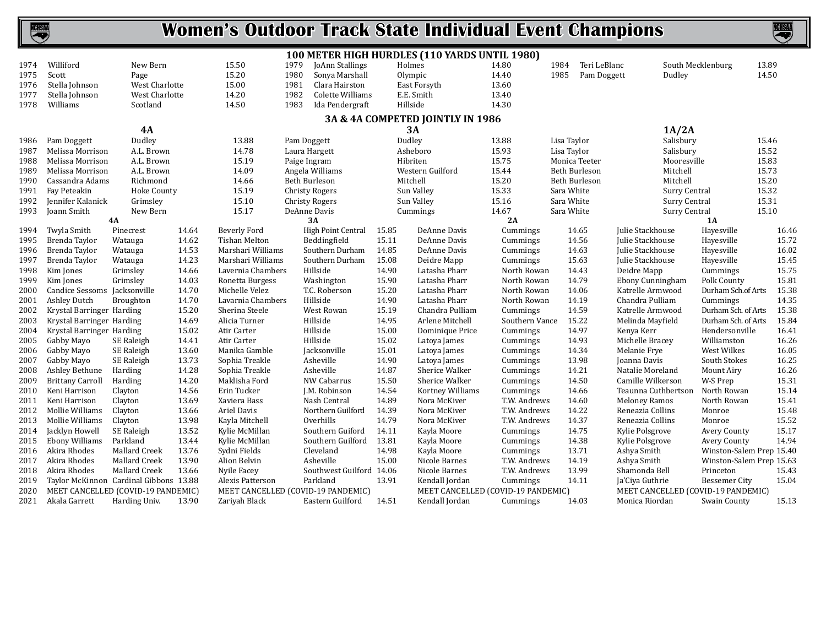

|      |                              |                                        |       |                      | 100 METER HIGH HURDLES (110 YARDS UNTIL 1980) |       |                                    |                |                      |                                    |                            |       |
|------|------------------------------|----------------------------------------|-------|----------------------|-----------------------------------------------|-------|------------------------------------|----------------|----------------------|------------------------------------|----------------------------|-------|
| 1974 | Williford                    | New Bern                               |       | 15.50                | 1979<br>JoAnn Stallings                       |       | Holmes                             | 14.80          | Teri LeBlanc<br>1984 |                                    | 13.89<br>South Mecklenburg |       |
| 1975 | Scott                        | Page                                   |       | 15.20                | 1980<br>Sonya Marshall                        |       | Olympic                            | 14.40          | 1985<br>Pam Doggett  | Dudley                             | 14.50                      |       |
| 1976 | Stella Johnson               | West Charlotte                         |       | 15.00                | 1981<br>Clara Hairston                        |       | East Forsyth                       | 13.60          |                      |                                    |                            |       |
| 1977 | Stella Johnson               | West Charlotte                         |       | 14.20                | 1982<br>Colette Williams                      |       | E.E. Smith                         | 13.40          |                      |                                    |                            |       |
| 1978 | Williams                     | Scotland                               |       | 14.50                | 1983<br>Ida Pendergraft                       |       | Hillside                           | 14.30          |                      |                                    |                            |       |
|      |                              |                                        |       |                      |                                               |       | 3A & 4A COMPETED JOINTLY IN 1986   |                |                      |                                    |                            |       |
|      |                              | 4A                                     |       |                      |                                               |       | 3A                                 |                |                      | 1A/2A                              |                            |       |
| 1986 | Pam Doggett                  | Dudley                                 |       | 13.88                | Pam Doggett                                   |       | Dudley                             | 13.88          | Lisa Taylor          | Salisbury                          | 15.46                      |       |
| 1987 | Melissa Morrison             | A.L. Brown                             |       | 14.78                | Laura Hargett                                 |       | Asheboro                           | 15.93          | Lisa Taylor          | Salisbury                          | 15.52                      |       |
| 1988 | Melissa Morrison             | A.L. Brown                             |       | 15.19                | Paige Ingram                                  |       | Hibriten                           | 15.75          | Monica Teeter        | Mooresville                        | 15.83                      |       |
| 1989 | Melissa Morrison             | A.L. Brown                             |       | 14.09                | Angela Williams                               |       | Western Guilford                   | 15.44          | <b>Beth Burleson</b> | Mitchell                           | 15.73                      |       |
| 1990 | Cassandra Adams              | Richmond                               |       | 14.66                | Beth Burleson                                 |       | Mitchell                           | 15.20          | Beth Burleson        | Mitchell                           | 15.20                      |       |
| 1991 | Fay Peteakin                 | Hoke County                            |       | 15.19                | <b>Christy Rogers</b>                         |       | Sun Valley                         | 15.33          | Sara White           | Surry Central                      | 15.32                      |       |
| 1992 | Jennifer Kalanick            | Grimslev                               |       | 15.10                | <b>Christy Rogers</b>                         |       | Sun Valley                         | 15.16          | Sara White           | Surry Central                      | 15.31                      |       |
| 1993 | Joann Smith                  | New Bern                               |       | 15.17                | DeAnne Davis                                  |       | Cummings                           | 14.67          | Sara White           | <b>Surry Central</b>               | 15.10                      |       |
|      |                              | 4A                                     |       |                      | 3A                                            |       |                                    | 2A             |                      |                                    | <b>1A</b>                  |       |
| 1994 | Twyla Smith                  | Pinecrest                              | 14.64 | Beverly Ford         | High Point Central                            | 15.85 | DeAnne Davis                       | Cummings       | 14.65                | Julie Stackhouse                   | Hayesville                 | 16.46 |
| 1995 | Brenda Taylor                | Watauga                                | 14.62 | <b>Tishan Melton</b> | Beddingfield                                  | 15.11 | DeAnne Davis                       | Cummings       | 14.56                | Julie Stackhouse                   | Hayesville                 | 15.72 |
| 1996 | Brenda Taylor                | Watauga                                | 14.53 | Marshari Williams    | Southern Durham                               | 14.85 | DeAnne Davis                       | Cummings       | 14.63                | Julie Stackhouse                   | Hayesville                 | 16.02 |
| 1997 | Brenda Taylor                | Watauga                                | 14.23 | Marshari Williams    | Southern Durham                               | 15.08 | Deidre Mapp                        | Cummings       | 15.63                | Julie Stackhouse                   | Hayesville                 | 15.45 |
| 1998 | Kim Jones                    | Grimsley                               | 14.66 | Lavernia Chambers    | Hillside                                      | 14.90 | Latasha Pharr                      | North Rowan    | 14.43                | Deidre Mapp                        | Cummings                   | 15.75 |
| 1999 | Kim Jones                    | Grimsley                               | 14.03 | Ronetta Burgess      | Washington                                    | 15.90 | Latasha Pharr                      | North Rowan    | 14.79                | Ebony Cunningham                   | Polk County                | 15.81 |
| 2000 | Candice Sessoms Jacksonville |                                        | 14.70 | Michelle Velez       | T.C. Roberson                                 | 15.20 | Latasha Pharr                      | North Rowan    | 14.06                | Katrelle Armwood                   | Durham Sch.of Arts         | 15.38 |
| 2001 | Ashley Dutch                 | <b>Broughton</b>                       | 14.70 | Lavarnia Chambers    | Hillside                                      | 14.90 | Latasha Pharr                      | North Rowan    | 14.19                | Chandra Pulliam                    | Cummings                   | 14.35 |
| 2002 | Krystal Barringer Harding    |                                        | 15.20 | Sherina Steele       | West Rowan                                    | 15.19 | Chandra Pulliam                    | Cummings       | 14.59                | Katrelle Armwood                   | Durham Sch. of Arts        | 15.38 |
| 2003 | Krystal Barringer Harding    |                                        | 14.69 | Alicia Turner        | Hillside                                      | 14.95 | Arlene Mitchell                    | Southern Vance | 15.22                | Melinda Mayfield                   | Durham Sch. of Arts        | 15.84 |
| 2004 | Krystal Barringer Harding    |                                        | 15.02 | Atir Carter          | Hillside                                      | 15.00 | Dominique Price                    | Cummings       | 14.97                | Kenya Kerr                         | Hendersonville             | 16.41 |
| 2005 | Gabby Mayo                   | SE Raleigh                             | 14.41 | Atir Carter          | Hillside                                      | 15.02 | Latoya James                       | Cummings       | 14.93                | Michelle Bracey                    | Williamston                | 16.26 |
| 2006 | Gabby Mayo                   | SE Raleigh                             | 13.60 | Manika Gamble        | Jacksonville                                  | 15.01 | Latoya James                       | Cummings       | 14.34                | Melanie Frye                       | West Wilkes                | 16.05 |
| 2007 | Gabby Mayo                   | SE Raleigh                             | 13.73 | Sophia Treakle       | Asheville                                     | 14.90 | Latova James                       | Cummings       | 13.98                | <b>Joanna Davis</b>                | South Stokes               | 16.25 |
| 2008 | Ashley Bethune               | Harding                                | 14.28 | Sophia Treakle       | Asheville                                     | 14.87 | Sherice Walker                     | Cummings       | 14.21                | Natalie Moreland                   | Mount Airy                 | 16.26 |
| 2009 | <b>Brittany Carroll</b>      | Harding                                | 14.20 | Maklisha Ford        | NW Cabarrus                                   | 15.50 | Sherice Walker                     | Cummings       | 14.50                | Camille Wilkerson                  | W-S Prep                   | 15.31 |
| 2010 | Keni Harrison                | Clayton                                | 14.56 | Erin Tucker          | J.M. Robinson                                 | 14.54 | Kortney Williams                   | Cummings       | 14.66                | Teaunna Cuthbertson                | North Rowan                | 15.14 |
| 2011 | Keni Harrison                | Clayton                                | 13.69 | Xaviera Bass         | Nash Central                                  | 14.89 | Nora McKiver                       | T.W. Andrews   | 14.60                | <b>Meloney Ramos</b>               | North Rowan                | 15.41 |
| 2012 | Mollie Williams              | Clayton                                | 13.66 | <b>Ariel Davis</b>   | Northern Guilford                             | 14.39 | Nora McKiver                       | T.W. Andrews   | 14.22                | Reneazia Collins                   | Monroe                     | 15.48 |
| 2013 | Mollie Williams              | Clayton                                | 13.98 | Kayla Mitchell       | Overhills                                     | 14.79 | Nora McKiver                       | T.W. Andrews   | 14.37                | Reneazia Collins                   | Monroe                     | 15.52 |
| 2014 | Jacklyn Howell               | SE Raleigh                             | 13.52 | Kylie McMillan       | Southern Guiford                              | 14.11 | Kayla Moore                        | Cummings       | 14.75                | Kylie Polsgrove                    | <b>Avery County</b>        | 15.17 |
| 2015 | <b>Ebony Williams</b>        | Parkland                               | 13.44 | Kylie McMillan       | Southern Guilford                             | 13.81 | Kayla Moore                        | Cummings       | 14.38                | Kylie Polsgrove                    | <b>Avery County</b>        | 14.94 |
| 2016 | Akira Rhodes                 | Mallard Creek                          | 13.76 | Sydni Fields         | Cleveland                                     | 14.98 | Kayla Moore                        | Cummings       | 13.71                | Ashya Smith                        | Winston-Salem Prep 15.40   |       |
| 2017 | Akira Rhodes                 | Mallard Creek                          | 13.90 | Alion Belvin         | Asheville                                     | 15.00 | Nicole Barnes                      | T.W. Andrews   | 14.19                | Ashya Smith                        | Winston-Salem Prep 15.63   |       |
| 2018 | Akira Rhodes                 | <b>Mallard Creek</b>                   | 13.66 | Nyile Facey          | Southwest Guilford 14.06                      |       | Nicole Barnes                      | T.W. Andrews   | 13.99                | Shamonda Bell                      | Princeton                  | 15.43 |
| 2019 |                              | Taylor McKinnon Cardinal Gibbons 13.88 |       | Alexis Patterson     | Parkland                                      | 13.91 | Kendall Jordan                     | Cummings       | 14.11                | Ja'Ciya Guthrie                    | <b>Bessemer City</b>       | 15.04 |
| 2020 |                              | MEET CANCELLED (COVID-19 PANDEMIC)     |       |                      | MEET CANCELLED (COVID-19 PANDEMIC)            |       | MEET CANCELLED (COVID-19 PANDEMIC) |                |                      | MEET CANCELLED (COVID-19 PANDEMIC) |                            |       |
| 2021 | Akala Garrett                | Harding Univ.                          | 13.90 | Zariyah Black        | Eastern Guilford                              | 14.51 | Kendall Jordan                     | Cummings       | 14.03                | Monica Riordan                     | Swain County               | 15.13 |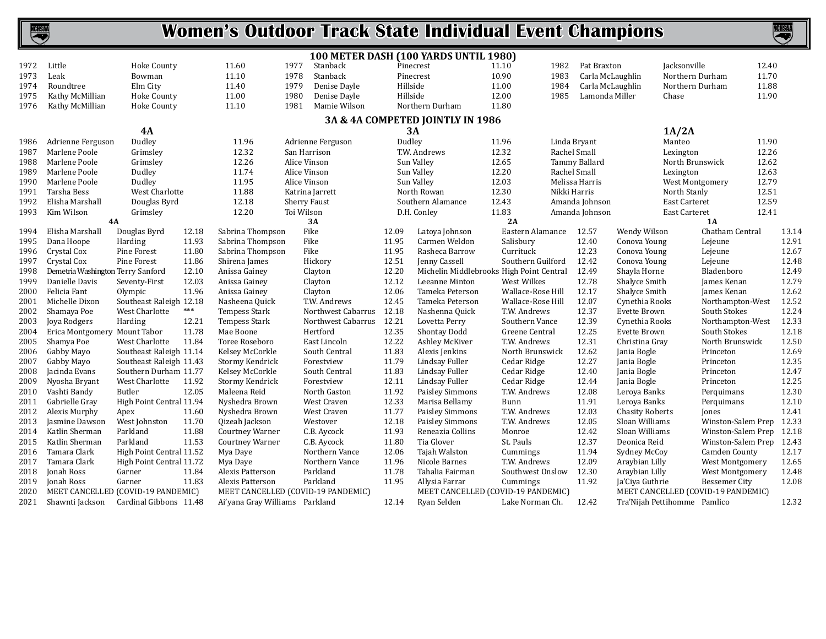

|      |                                    |                          |       |                                |                                    |          | 100 METER DASH (100 YARDS UNTIL 1980)    |                   |              |                  |                              |                 |                                    |       |
|------|------------------------------------|--------------------------|-------|--------------------------------|------------------------------------|----------|------------------------------------------|-------------------|--------------|------------------|------------------------------|-----------------|------------------------------------|-------|
| 1972 | Little                             | <b>Hoke County</b>       |       | 11.60                          | 1977<br>Stanback                   |          | Pinecrest                                | 11.10             | 1982         | Pat Braxton      |                              | Jacksonville    | 12.40                              |       |
| 1973 | Leak                               | Bowman                   |       | 11.10                          | 1978<br>Stanback                   |          | Pinecrest                                | 10.90             | 1983         | Carla McLaughlin |                              | Northern Durham | 11.70                              |       |
| 1974 | Roundtree                          | Elm City                 |       | 11.40<br>1979                  | Denise Dayle                       | Hillside |                                          | 11.00             | 1984         | Carla McLaughlin |                              | Northern Durham | 11.88                              |       |
| 1975 | Kathy McMillian                    | <b>Hoke County</b>       |       | 11.00<br>1980                  | Denise Dayle                       | Hillside |                                          | 12.00             | 1985         | Lamonda Miller   |                              | Chase           | 11.90                              |       |
| 1976 | Kathy McMillian                    | Hoke County              |       | 11.10                          | 1981<br>Mamie Wilson               |          | Northern Durham                          | 11.80             |              |                  |                              |                 |                                    |       |
|      |                                    |                          |       |                                |                                    |          | 3A & 4A COMPETED JOINTLY IN 1986         |                   |              |                  |                              |                 |                                    |       |
|      |                                    | <b>4A</b>                |       |                                |                                    |          | 3A                                       |                   |              |                  |                              | 1A/2A           |                                    |       |
| 1986 | Adrienne Ferguson                  | Dudley                   |       | 11.96                          | Adrienne Ferguson                  | Dudley   |                                          | 11.96             | Linda Bryant |                  |                              | Manteo          | 11.90                              |       |
| 1987 | Marlene Poole                      | Grimslev                 |       | 12.32                          | San Harrison                       |          | T.W. Andrews                             | 12.32             | Rachel Small |                  |                              | Lexington       | 12.26                              |       |
| 1988 | Marlene Poole                      | Grimsley                 |       | 12.26                          | Alice Vinson                       |          | Sun Valley                               | 12.65             |              | Tammy Ballard    |                              | North Brunswick | 12.62                              |       |
| 1989 | Marlene Poole                      | Dudley                   |       | 11.74                          | Alice Vinson                       |          | Sun Valley                               | 12.20             | Rachel Small |                  |                              | Lexington       | 12.63                              |       |
| 1990 | Marlene Poole                      | Dudley                   |       | 11.95                          | Alice Vinson                       |          | Sun Valley                               | 12.03             |              | Melissa Harris   |                              | West Montgomery | 12.79                              |       |
| 1991 | Tarsha Bess                        | West Charlotte           |       | 11.88                          | Katrina Jarrett                    |          | North Rowan                              | 12.30             | Nikki Harris |                  |                              | North Stanly    | 12.51                              |       |
| 1992 | Elisha Marshall                    | Douglas Byrd             |       | 12.18                          | <b>Sherry Faust</b>                |          | Southern Alamance                        | 12.43             |              | Amanda Johnson   |                              | East Carteret   | 12.59                              |       |
| 1993 | Kim Wilson                         | Grimsley                 |       | 12.20                          | Toi Wilson                         |          | D.H. Conley                              | 11.83             |              | Amanda Johnson   |                              | East Carteret   | 12.41                              |       |
|      |                                    | <b>4A</b>                |       |                                | 3A                                 |          |                                          | 2A                |              |                  |                              |                 | 1A                                 |       |
| 1994 | Elisha Marshall                    | Douglas Byrd             | 12.18 | Sabrina Thompson               | Fike                               | 12.09    | Latoya Johnson                           | Eastern Alamance  |              | 12.57            | Wendy Wilson                 |                 | Chatham Central                    | 13.14 |
| 1995 | Dana Hoope                         | Harding                  | 11.93 | Sabrina Thompson               | Fike                               | 11.95    | Carmen Weldon                            | Salisbury         |              | 12.40            | Conova Young                 |                 | Lejeune                            | 12.91 |
| 1996 | Crystal Cox                        | Pine Forest              | 11.80 | Sabrina Thompson               | Fike                               | 11.95    | Rasheca Barrow                           | Currituck         |              | 12.23            | Conova Young                 |                 | Lejeune                            | 12.67 |
| 1997 | Crystal Cox                        | Pine Forest              | 11.86 | Shirena James                  | Hickory                            | 12.51    | Jenny Cassell                            | Southern Guilford |              | 12.42            | Conova Young                 |                 | Lejeune                            | 12.48 |
| 1998 | Demetria Washington Terry Sanford  |                          | 12.10 | Anissa Gainey                  | Clayton                            | 12.20    | Michelin Middlebrooks High Point Central |                   |              | 12.49            | Shayla Horne                 |                 | Bladenboro                         | 12.49 |
| 1999 | Danielle Davis                     | Seventy-First            | 12.03 | Anissa Gainey                  | Clayton                            | 12.12    | Leeanne Minton                           | West Wilkes       |              | 12.78            | Shalyce Smith                |                 | James Kenan                        | 12.79 |
| 2000 | Felicia Fant                       | Olympic                  | 11.96 | Anissa Gainey                  | Clayton                            | 12.06    | Tameka Peterson                          | Wallace-Rose Hill |              | 12.17            | Shalyce Smith                |                 | James Kenan                        | 12.62 |
| 2001 | Michelle Dixon                     | Southeast Raleigh 12.18  |       | Nasheena Quick                 | T.W. Andrews                       | 12.45    | Tameka Peterson                          | Wallace-Rose Hill |              | 12.07            | Cynethia Rooks               |                 | Northampton-West                   | 12.52 |
| 2002 | Shamaya Poe                        | West Charlotte           | ***   | <b>Tempess Stark</b>           | Northwest Cabarrus                 | 12.18    | Nashenna Quick                           | T.W. Andrews      |              | 12.37            | Evette Brown                 |                 | South Stokes                       | 12.24 |
| 2003 | Joya Rodgers                       | Harding                  | 12.21 | <b>Tempess Stark</b>           | Northwest Cabarrus                 | 12.21    | Lovetta Perry                            | Southern Vance    |              | 12.39            | Cynethia Rooks               |                 | Northampton-West                   | 12.33 |
| 2004 | Erica Montgomery Mount Tabor       |                          | 11.78 | Mae Boone                      | Hertford                           | 12.35    | Shontay Dodd                             | Greene Central    |              | 12.25            | Evette Brown                 |                 | South Stokes                       | 12.18 |
| 2005 | Shamya Poe                         | West Charlotte           | 11.84 | Toree Roseboro                 | East Lincoln                       | 12.22    | Ashley McKiver                           | T.W. Andrews      |              | 12.31            | Christina Gray               |                 | North Brunswick                    | 12.50 |
| 2006 | Gabby Mayo                         | Southeast Raleigh 11.14  |       | Kelsey McCorkle                | South Central                      | 11.83    | Alexis Jenkins                           | North Brunswick   |              | 12.62            | Jania Bogle                  |                 | Princeton                          | 12.69 |
| 2007 | Gabby Mayo                         | Southeast Raleigh 11.43  |       | Stormy Kendrick                | Forestview                         | 11.79    | Lindsay Fuller                           | Cedar Ridge       |              | 12.27            | Jania Bogle                  |                 | Princeton                          | 12.35 |
| 2008 | Jacinda Evans                      | Southern Durham 11.77    |       | Kelsey McCorkle                | South Central                      | 11.83    | Lindsay Fuller                           | Cedar Ridge       |              | 12.40            | Jania Bogle                  |                 | Princeton                          | 12.47 |
| 2009 | Nyosha Bryant                      | West Charlotte           | 11.92 | Stormy Kendrick                | Forestview                         | 12.11    | Lindsay Fuller                           | Cedar Ridge       |              | 12.44            | Jania Bogle                  |                 | Princeton                          | 12.25 |
| 2010 | Vashti Bandy                       | Butler                   | 12.05 | Maleena Reid                   | North Gaston                       | 11.92    | Paisley Simmons                          | T.W. Andrews      |              | 12.08            | Leroya Banks                 |                 | Perquimans                         | 12.30 |
| 2011 | Gabrielle Gray                     | High Point Central 11.94 |       | Nyshedra Brown                 | West Craven                        | 12.33    | Marisa Bellamy                           | Bunn              |              | 11.91            | Leroya Banks                 |                 | Perquimans                         | 12.10 |
| 2012 | Alexis Murphy                      | Apex                     | 11.60 | Nyshedra Brown                 | West Craven                        | 11.77    | Paisley Simmons                          | T.W. Andrews      |              | 12.03            | <b>Chasity Roberts</b>       |                 | Jones                              | 12.41 |
| 2013 | Jasmine Dawson                     | West Johnston            | 11.70 | Qizeah Jackson                 | Westover                           | 12.18    | Paisley Simmons                          | T.W. Andrews      |              | 12.05            | Sloan Williams               |                 | Winston-Salem Prep                 | 12.33 |
| 2014 | Katlin Sherman                     | Parkland                 | 11.88 | <b>Courtney Warner</b>         | C.B. Aycock                        | 11.93    | Reneazia Collins                         | Monroe            |              | 12.42            | Sloan Williams               |                 | Winston-Salem Prep                 | 12.18 |
| 2015 | Katlin Sherman                     | Parkland                 | 11.53 | <b>Courtney Warner</b>         | C.B. Aycock                        | 11.80    | Tia Glover                               | St. Pauls         |              | 12.37            | Deonica Reid                 |                 | Winston-Salem Prep                 | 12.43 |
| 2016 | Tamara Clark                       | High Point Central 11.52 |       | Mya Daye                       | Northern Vance                     | 12.06    | Tajah Walston                            | Cummings          |              | 11.94            | Sydney McCoy                 |                 | Camden County                      | 12.17 |
| 2017 | Tamara Clark                       | High Point Central 11.72 |       | Mya Daye                       | Northern Vance                     | 11.96    | Nicole Barnes                            | T.W. Andrews      |              | 12.09            | Araybian Lilly               |                 | West Montgomery                    | 12.65 |
| 2018 | Jonah Ross                         | Garner                   | 11.84 | Alexis Patterson               | Parkland                           | 11.78    | Tahalia Fairman                          | Southwest Onslow  |              | 12.30            | Araybian Lilly               |                 | <b>West Montgomery</b>             | 12.48 |
| 2019 | Jonah Ross                         | Garner                   | 11.83 | Alexis Patterson               | Parkland                           | 11.95    | Allysia Farrar                           | Cummings          |              | 11.92            | Ja'Ciya Guthrie              |                 | <b>Bessemer City</b>               | 12.08 |
| 2020 | MEET CANCELLED (COVID-19 PANDEMIC) |                          |       |                                | MEET CANCELLED (COVID-19 PANDEMIC) |          | MEET CANCELLED (COVID-19 PANDEMIC)       |                   |              |                  |                              |                 | MEET CANCELLED (COVID-19 PANDEMIC) |       |
| 2021 | Shawnti Jackson                    | Cardinal Gibbons 11.48   |       | Ai'yana Gray Williams Parkland |                                    | 12.14    | Ryan Selden                              | Lake Norman Ch.   |              | 12.42            | Tra'Nijah Pettihomme Pamlico |                 |                                    | 12.32 |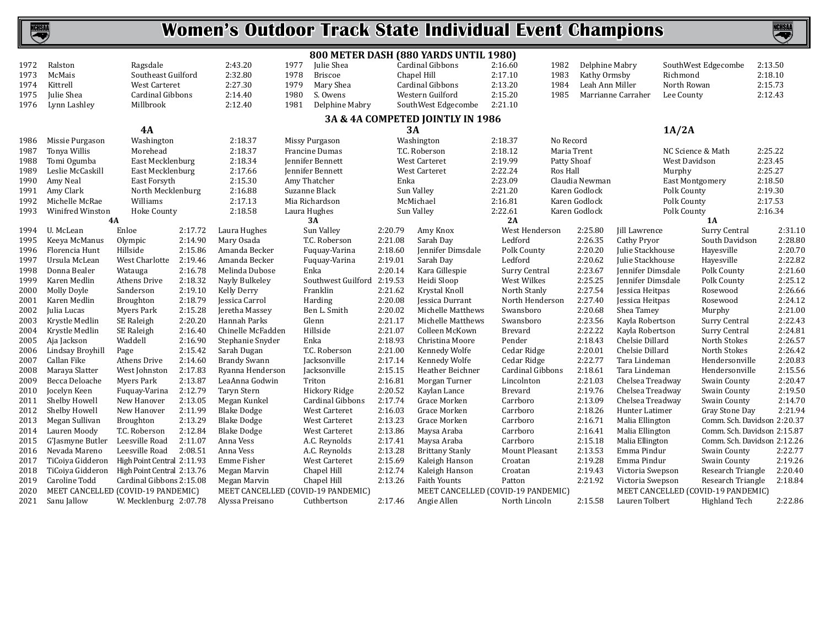

|      |                                    |                            |         |                                    |      |                    |         | 800 METER DASH (880 YARDS UNTIL 1980) |                |                  |                 |                      |                   |                                    |         |         |
|------|------------------------------------|----------------------------|---------|------------------------------------|------|--------------------|---------|---------------------------------------|----------------|------------------|-----------------|----------------------|-------------------|------------------------------------|---------|---------|
| 1972 | Ralston                            | Ragsdale                   |         | 2:43.20                            | 1977 | Julie Shea         |         | Cardinal Gibbons                      | 2:16.60        | 1982             | Delphine Mabry  |                      |                   | SouthWest Edgecombe                | 2:13.50 |         |
| 1973 | McMais                             | Southeast Guilford         |         | 2:32.80                            | 1978 | <b>Briscoe</b>     |         | Chapel Hill                           | 2:17.10        | 1983             | Kathy Ormsby    |                      | Richmond          |                                    | 2:18.10 |         |
| 1974 | Kittrell                           | <b>West Carteret</b>       |         | 2:27.30                            | 1979 | Mary Shea          |         | Cardinal Gibbons                      | 2:13.20        | 1984             | Leah Ann Miller |                      | North Rowan       |                                    | 2:15.73 |         |
| 1975 | Julie Shea                         | Cardinal Gibbons           |         | 2:14.40                            | 1980 | S. Owens           |         | Western Guilford                      | 2:15.20        | 1985             |                 | Marrianne Carraher   | Lee County        |                                    | 2:12.43 |         |
| 1976 | Lynn Lashley                       | Millbrook                  |         | 2:12.40                            | 1981 | Delphine Mabry     |         | SouthWest Edgecombe                   | 2:21.10        |                  |                 |                      |                   |                                    |         |         |
|      |                                    |                            |         |                                    |      |                    |         | 3A & 4A COMPETED JOINTLY IN 1986      |                |                  |                 |                      |                   |                                    |         |         |
|      |                                    | 4A                         |         |                                    |      |                    |         | 3A                                    |                |                  |                 |                      | 1A/2A             |                                    |         |         |
| 1986 | Missie Purgason                    | Washington                 |         | 2:18.37                            |      | Missy Purgason     |         | Washington                            | 2:18.37        | No Record        |                 |                      |                   |                                    |         |         |
| 1987 | Tonya Willis                       | Morehead                   |         | 2:18.37                            |      | Francine Dumas     |         | T.C. Roberson                         | 2:18.12        |                  | Maria Trent     |                      | NC Science & Math |                                    | 2:25.22 |         |
| 1988 | Tomi Ogumba                        | East Mecklenburg           |         | 2:18.34                            |      | Jennifer Bennett   |         | West Carteret                         | 2:19.99        | Patty Shoaf      |                 |                      | West Davidson     |                                    | 2:23.45 |         |
| 1989 | Leslie McCaskill                   | East Mecklenburg           |         | 2:17.66                            |      | Jennifer Bennett   |         | West Carteret                         | 2:22.24        | Ros Hall         |                 |                      | Murphy            |                                    | 2:25.27 |         |
| 1990 | Amy Neal                           | East Forsyth               |         | 2:15.30                            |      | Amy Thatcher       | Enka    |                                       | 2:23.09        |                  | Claudia Newman  |                      | East Montgomery   |                                    | 2:18.50 |         |
| 1991 | Amy Clark                          | North Mecklenburg          |         | 2:16.88                            |      | Suzanne Black      |         | Sun Valley                            | 2:21.20        |                  | Karen Godlock   |                      | Polk County       |                                    | 2:19.30 |         |
| 1992 | Michelle McRae                     | Williams                   |         | 2:17.13                            |      | Mia Richardson     |         | McMichael                             | 2:16.81        |                  | Karen Godlock   |                      | Polk County       |                                    | 2:17.53 |         |
| 1993 | Winifred Winston                   | Hoke County                |         | 2:18.58                            |      | Laura Hughes       |         | Sun Valley                            | 2:22.61        |                  | Karen Godlock   |                      | Polk County       |                                    | 2:16.34 |         |
|      | 4A                                 |                            |         |                                    |      | 3A                 |         |                                       | 2A             |                  |                 |                      |                   | <b>1A</b>                          |         |         |
| 1994 | U. McLean                          | Enloe                      | 2:17.72 | Laura Hughes                       |      | Sun Valley         | 2:20.79 | Amy Knox                              |                | West Henderson   | 2:25.80         | <b>Jill Lawrence</b> |                   | Surry Central                      |         | 2:31.10 |
| 1995 | Keeya McManus                      | Olympic                    | 2:14.90 | Mary Osada                         |      | T.C. Roberson      | 2:21.08 | Sarah Day                             | Ledford        |                  | 2:26.35         | Cathy Pryor          |                   | South Davidson                     |         | 2:28.80 |
| 1996 | Florencia Hunt                     | Hillside                   | 2:15.86 | Amanda Becker                      |      | Fuquay-Varina      | 2:18.60 | Jennifer Dimsdale                     | Polk County    |                  | 2:20.20         | Julie Stackhouse     |                   | Hayesville                         |         | 2:20.70 |
| 1997 | Ursula McLean                      | West Charlotte             | 2:19.46 | Amanda Becker                      |      | Fuquay-Varina      | 2:19.01 | Sarah Day                             | Ledford        |                  | 2:20.62         | Julie Stackhouse     |                   | Hayesville                         |         | 2:22.82 |
| 1998 | Donna Bealer                       | Watauga                    | 2:16.78 | Melinda Dubose                     |      | Enka               | 2:20.14 | Kara Gillespie                        | Surry Central  |                  | 2:23.67         | Jennifer Dimsdale    |                   | Polk County                        |         | 2:21.60 |
| 1999 | Karen Medlin                       | Athens Drive               | 2:18.32 | Nayly Bulkeley                     |      | Southwest Guilford | 2:19.53 | Heidi Sloop                           | West Wilkes    |                  | 2:25.25         | Jennifer Dimsdale    |                   | Polk County                        |         | 2:25.12 |
| 2000 | Molly Doyle                        | Sanderson                  | 2:19.10 | <b>Kelly Derry</b>                 |      | Franklin           | 2:21.62 | Krystal Knoll                         | North Stanly   |                  | 2:27.54         | Jessica Heitpas      |                   | Rosewood                           |         | 2:26.66 |
| 2001 | Karen Medlin                       | Broughton                  | 2:18.79 | Jessica Carrol                     |      | Harding            | 2:20.08 | Jessica Durrant                       |                | North Henderson  | 2:27.40         | Jessica Heitpas      |                   | Rosewood                           |         | 2:24.12 |
| 2002 | Julia Lucas                        | <b>Myers Park</b>          | 2:15.28 | Jeretha Massey                     |      | Ben L. Smith       | 2:20.02 | Michelle Matthews                     | Swansboro      |                  | 2:20.68         | Shea Tamey           |                   | Murphy                             |         | 2:21.00 |
| 2003 | Krystle Medlin                     | SE Raleigh                 | 2:20.20 | Hannah Parks                       |      | Glenn              | 2:21.17 | Michelle Matthews                     | Swansboro      |                  | 2:23.56         | Kayla Robertson      |                   | Surry Central                      |         | 2:22.43 |
| 2004 | Krystle Medlin                     | SE Raleigh                 | 2:16.40 | Chinelle McFadden                  |      | Hillside           | 2:21.07 | Colleen McKown                        | <b>Brevard</b> |                  | 2:22.22         | Kayla Robertson      |                   | Surry Central                      |         | 2:24.81 |
| 2005 | Aja Jackson                        | Waddell                    | 2:16.90 | Stephanie Snyder                   |      | Enka               | 2:18.93 | Christina Moore                       | Pender         |                  | 2:18.43         | Chelsie Dillard      |                   | North Stokes                       |         | 2:26.57 |
| 2006 | Lindsay Broyhill                   | Page                       | 2:15.42 | Sarah Dugan                        |      | T.C. Roberson      | 2:21.00 | Kennedy Wolfe                         | Cedar Ridge    |                  | 2:20.01         | Chelsie Dillard      |                   | North Stokes                       |         | 2:26.42 |
| 2007 | Callan Fike                        | Athens Drive               | 2:14.60 | <b>Brandy Swann</b>                |      | Jacksonville       | 2:17.14 | Kennedy Wolfe                         | Cedar Ridge    |                  | 2:22.77         | Tara Lindeman        |                   | Hendersonville                     |         | 2:20.83 |
| 2008 | Maraya Slatter                     | West Johnston              | 2:17.83 | Ryanna Henderson                   |      | Jacksonville       | 2:15.15 | Heather Beichner                      |                | Cardinal Gibbons | 2:18.61         | Tara Lindeman        |                   | Hendersonville                     |         | 2:15.56 |
| 2009 | Becca Deloache                     | Myers Park                 | 2:13.87 | LeaAnna Godwin                     |      | Triton             | 2:16.81 | Morgan Turner                         | Lincolnton     |                  | 2:21.03         | Chelsea Treadway     |                   | Swain County                       |         | 2:20.47 |
| 2010 | Jocelyn Keen                       | Fuquay-Varina              | 2:12.79 | Taryn Stern                        |      | Hickory Ridge      | 2:20.52 | Kaylan Lance                          | <b>Brevard</b> |                  | 2:19.76         | Chelsea Treadway     |                   | Swain County                       |         | 2:19.50 |
| 2011 | Shelby Howell                      | New Hanover                | 2:13.05 | Megan Kunkel                       |      | Cardinal Gibbons   | 2:17.74 | Grace Morken                          | Carrboro       |                  | 2:13.09         | Chelsea Treadway     |                   | Swain County                       |         | 2:14.70 |
| 2012 | Shelby Howell                      | New Hanover                | 2:11.99 | Blake Dodge                        |      | West Carteret      | 2:16.03 | Grace Morken                          | Carrboro       |                  | 2:18.26         | Hunter Latimer       |                   | Gray Stone Day                     |         | 2:21.94 |
| 2013 | Megan Sullivan                     | Broughton                  | 2:13.29 | <b>Blake Dodge</b>                 |      | West Carteret      | 2:13.23 | Grace Morken                          | Carrboro       |                  | 2:16.71         | Malia Ellington      |                   | Comm. Sch. Davidson 2:20.37        |         |         |
| 2014 | Lauren Moody                       | T.C. Roberson              | 2:12.84 | <b>Blake Dodge</b>                 |      | West Carteret      | 2:13.86 | Maysa Araba                           | Carrboro       |                  | 2:16.41         | Malia Ellington      |                   | Comm. Sch. Davidson 2:15.87        |         |         |
| 2015 | G'Jasmyne Butler                   | Leesville Road             | 2:11.07 | Anna Vess                          |      | A.C. Reynolds      | 2:17.41 | Maysa Araba                           | Carrboro       |                  | 2:15.18         | Malia Ellington      |                   | Comm. Sch. Davidson 2:12.26        |         |         |
| 2016 | Nevada Mareno                      | Leesville Road             | 2:08.51 | Anna Vess                          |      | A.C. Reynolds      | 2:13.28 | <b>Brittany Stanly</b>                |                | Mount Pleasant   | 2:13.53         | Emma Pindur          |                   | Swain County                       |         | 2:22.77 |
| 2017 | TiCoiya Gidderon                   | High Point Central 2:11.93 |         | Emme Fisher                        |      | West Carteret      | 2:15.69 | Kaleigh Hanson                        | Croatan        |                  | 2:19.28         | Emma Pindur          |                   | Swain County                       |         | 2:19.26 |
| 2018 | TiCoiya Gidderon                   | High Point Central 2:13.76 |         | Megan Marvin                       |      | Chapel Hill        | 2:12.74 | Kaleigh Hanson                        | Croatan        |                  | 2:19.43         | Victoria Swepson     |                   | Research Triangle                  |         | 2:20.40 |
| 2019 | Caroline Todd                      | Cardinal Gibbons 2:15.08   |         | Megan Marvin                       |      | Chapel Hill        | 2:13.26 | <b>Faith Younts</b>                   | Patton         |                  | 2:21.92         | Victoria Swepson     |                   | Research Triangle                  |         | 2:18.84 |
| 2020 | MEET CANCELLED (COVID-19 PANDEMIC) |                            |         | MEET CANCELLED (COVID-19 PANDEMIC) |      |                    |         | MEET CANCELLED (COVID-19 PANDEMIC)    |                |                  |                 |                      |                   | MEET CANCELLED (COVID-19 PANDEMIC) |         |         |
| 2021 | Sanu Jallow                        | W. Mecklenburg 2:07.78     |         | Alyssa Preisano                    |      | Cuthbertson        | 2:17.46 | Angie Allen                           | North Lincoln  |                  | 2:15.58         | Lauren Tolbert       |                   | Highland Tech                      |         | 2:22.86 |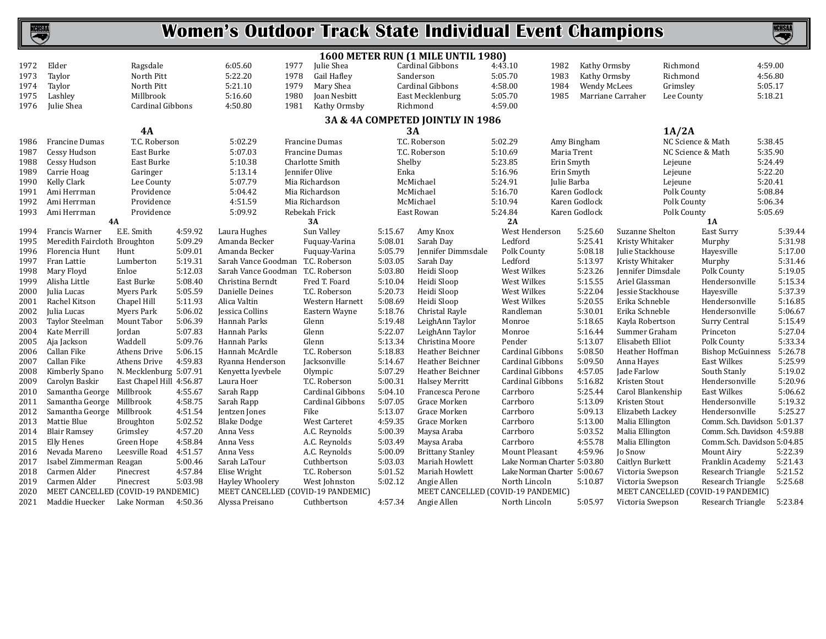

|              |                                          |                              |                    |                                    |                                |                    | 1600 METER RUN (1 MILE UNTIL 1980)     |                             |             |                     |                                     |                                               |         |         |
|--------------|------------------------------------------|------------------------------|--------------------|------------------------------------|--------------------------------|--------------------|----------------------------------------|-----------------------------|-------------|---------------------|-------------------------------------|-----------------------------------------------|---------|---------|
| 1972         | Elder                                    | Ragsdale                     |                    | 6:05.60<br>1977                    | Julie Shea                     |                    | Cardinal Gibbons                       | 4:43.10                     | 1982        | Kathy Ormsby        |                                     | Richmond                                      | 4:59.00 |         |
| 1973         | Taylor                                   | North Pitt                   |                    | 5:22.20<br>1978                    | Gail Hafley                    |                    | Sanderson                              | 5:05.70                     | 1983        | Kathy Ormsby        |                                     | Richmond                                      | 4:56.80 |         |
| 1974         | Taylor                                   | North Pitt                   |                    | 5:21.10<br>1979                    | Mary Shea                      |                    | Cardinal Gibbons                       | 4:58.00                     | 1984        | <b>Wendy McLees</b> |                                     | Grimsley                                      | 5:05.17 |         |
| 1975         | Lashley                                  | Millbrook                    |                    | 5:16.60<br>1980                    | Joan Nesbitt                   |                    | East Mecklenburg                       | 5:05.70                     | 1985        |                     | Marriane Carraher                   | Lee County                                    | 5:18.21 |         |
| 1976         | Julie Shea                               | Cardinal Gibbons             |                    | 4:50.80<br>1981                    | Kathy Ormsby                   |                    | Richmond                               | 4:59.00                     |             |                     |                                     |                                               |         |         |
|              |                                          |                              |                    |                                    |                                |                    | 3A & 4A COMPETED JOINTLY IN 1986       |                             |             |                     |                                     |                                               |         |         |
|              |                                          | 4A                           |                    |                                    |                                | 3A                 |                                        |                             |             |                     |                                     | 1A/2A                                         |         |         |
| 1986         | <b>Francine Dumas</b>                    | T.C. Roberson                |                    | 5:02.29                            | <b>Francine Dumas</b>          |                    | T.C. Roberson                          | 5:02.29                     |             | Amy Bingham         |                                     | NC Science & Math                             | 5:38.45 |         |
| 1987         | Cessy Hudson                             | East Burke                   |                    | 5:07.03                            | <b>Francine Dumas</b>          |                    | T.C. Roberson                          | 5:10.69                     | Maria Trent |                     |                                     | NC Science & Math                             | 5:35.90 |         |
| 1988         | Cessy Hudson                             | East Burke                   |                    | 5:10.38                            | Charlotte Smith                | Shelby             |                                        | 5:23.85                     | Erin Smyth  |                     |                                     | Lejeune                                       | 5:24.49 |         |
| 1989         | Carrie Hoag                              | Garinger                     |                    | 5:13.14                            | Jennifer Olive                 | Enka               |                                        | 5:16.96                     | Erin Smyth  |                     |                                     | Lejeune                                       | 5:22.20 |         |
| 1990         | Kelly Clark                              | Lee County                   |                    | 5:07.79                            | Mia Richardson                 |                    | McMichael                              | 5:24.91                     | Julie Barba |                     |                                     | Lejeune                                       | 5:20.41 |         |
| 1991         | Ami Herrman                              | Providence                   |                    | 5:04.42                            | Mia Richardson                 |                    | McMichael                              | 5:16.70                     |             | Karen Godlock       |                                     | Polk County                                   | 5:08.84 |         |
| 1992         | Ami Herrman                              | Providence                   |                    | 4:51.59                            | Mia Richardson                 |                    | McMichael                              | 5:10.94                     |             | Karen Godlock       |                                     | Polk County                                   | 5:06.34 |         |
| 1993         | Ami Herrman                              | Providence                   |                    | 5:09.92                            | Rebekah Frick                  |                    | East Rowan                             | 5:24.84                     |             | Karen Godlock       |                                     | Polk County                                   | 5:05.69 |         |
|              | <b>4A</b>                                |                              |                    |                                    | 3A                             |                    |                                        | 2A                          |             |                     |                                     | <b>1A</b>                                     |         |         |
| 1994         | Francis Warner                           | E.E. Smith                   | 4:59.92            | Laura Hughes                       | Sun Valley                     | 5:15.67            | Amy Knox                               | West Henderson              |             | 5:25.60             | Suzanne Shelton                     | East Surry                                    |         | 5:39.44 |
| 1995         | Meredith Faircloth Broughton             |                              | 5:09.29            | Amanda Becker                      | Fuquay-Varina                  | 5:08.01            | Sarah Day                              | Ledford                     |             | 5:25.41             | Kristy Whitaker                     | Murphy                                        |         | 5:31.98 |
| 1996         | Florencia Hunt                           | Hunt                         | 5:09.01            | Amanda Becker                      | Fuquay-Varina                  | 5:05.79            | Jennifer Dimmsdale                     | Polk County                 |             | 5:08.18             | Julie Stackhouse                    | Hayesville                                    |         | 5:17.00 |
| 1997         | Fran Lattie                              | Lumberton                    | 5:19.31            | Sarah Vance Goodman T.C. Roberson  |                                | 5:03.05            | Sarah Day                              | Ledford                     |             | 5:13.97             | Kristy Whitaker                     | Murphy                                        |         | 5:31.46 |
| 1998         | Mary Floyd                               | Enloe                        | 5:12.03            | Sarah Vance Goodman T.C. Roberson  |                                | 5:03.80            | Heidi Sloop                            | West Wilkes                 |             | 5:23.26             | Jennifer Dimsdale                   | Polk County                                   |         | 5:19.05 |
| 1999         | Alisha Little                            | East Burke                   | 5:08.40            | Christina Berndt                   | Fred T. Foard                  | 5:10.04            | Heidi Sloop                            | West Wilkes                 |             | 5:15.55             | Ariel Glassman                      | Hendersonville                                |         | 5:15.34 |
| 2000         | Julia Lucas                              | <b>Myers Park</b>            | 5:05.59            | Danielle Deines                    | T.C. Roberson                  | 5:20.73            | Heidi Sloop                            | West Wilkes                 |             | 5:22.04             | Jessie Stackhouse                   | Hayesville                                    |         | 5:37.39 |
| 2001         | Rachel Kitson                            | Chapel Hill                  | 5:11.93            | Alica Valtin                       | Western Harnett                | 5:08.69            | Heidi Sloop                            | West Wilkes                 |             | 5:20.55             | Erika Schneble                      | Hendersonville                                |         | 5:16.85 |
| 2002         | Julia Lucas                              | Myers Park                   | 5:06.02            | Jessica Collins                    | Eastern Wayne                  | 5:18.76            | Christal Rayle                         | Randleman                   |             | 5:30.01             | Erika Schneble                      | Hendersonville                                |         | 5:06.67 |
| 2003         | Taylor Steelman                          | Mount Tabor                  | 5:06.39            | Hannah Parks                       | Glenn                          | 5:19.48            | LeighAnn Taylor                        | Monroe                      |             | 5:18.65             | Kayla Robertson                     | Surry Central                                 |         | 5:15.49 |
| 2004         | Kate Merrill                             | Jordan                       | 5:07.83            | Hannah Parks                       | Glenn                          | 5:22.07            | LeighAnn Taylor                        | Monroe                      |             | 5:16.44             | Summer Graham                       | Princeton                                     |         | 5:27.04 |
| 2005         | Aja Jackson                              | Waddell                      | 5:09.76            | Hannah Parks                       | Glenn                          | 5:13.34            | Christina Moore                        | Pender                      |             | 5:13.07             | Elisabeth Elliot                    | Polk County                                   |         | 5:33.34 |
| 2006         | Callan Fike                              | Athens Drive                 | 5:06.15            | Hannah McArdle                     | T.C. Roberson                  | 5:18.83            | Heather Beichner                       | Cardinal Gibbons            |             | 5:08.50             | Heather Hoffman                     | <b>Bishop McGuinness</b>                      |         | 5:26.78 |
| 2007         | Callan Fike                              | Athens Drive                 | 4:59.83            | Ryanna Henderson                   | Jacksonville                   | 5:14.67            | Heather Beichner                       | Cardinal Gibbons            |             | 5:09.50             | Anna Hayes                          | East Wilkes                                   |         | 5:25.99 |
| 2008         | Kimberly Spano                           | N. Mecklenburg 5:07.91       |                    | Kenyetta Iyevbele                  | Olympic                        | 5:07.29            | Heather Beichner                       | Cardinal Gibbons            |             | 4:57.05             | Jade Farlow                         | South Stanly                                  |         | 5:19.02 |
| 2009         | Carolyn Baskir                           | East Chapel Hill 4:56.87     |                    | Laura Hoer                         | T.C. Roberson                  | 5:00.31            | <b>Halsey Merritt</b>                  | Cardinal Gibbons            |             | 5:16.82             | Kristen Stout                       | Hendersonville                                |         | 5:20.96 |
| 2010         | Samantha George Millbrook                |                              | 4:55.67            | Sarah Rapp                         | Cardinal Gibbons               | 5:04.10            | Francesca Perone                       | Carrboro                    |             | 5:25.44             | Carol Blankenship                   | East Wilkes                                   |         | 5:06.62 |
| 2011         | Samantha George                          | Millbrook                    | 4:58.75            | Sarah Rapp                         | Cardinal Gibbons               | 5:07.05            | Grace Morken                           | Carrboro                    |             | 5:13.09             | Kristen Stout                       | Hendersonville                                |         | 5:19.32 |
| 2012         | Samantha George Millbrook<br>Mattie Blue |                              | 4:51.54<br>5:02.52 | Jentzen Jones                      | Fike                           | 5:13.07<br>4:59.35 | Grace Morken<br>Grace Morken           | Carrboro<br>Carrboro        |             | 5:09.13<br>5:13.00  | Elizabeth Lackey<br>Malia Ellington | Hendersonville<br>Comm. Sch. Davidson 5:01.37 |         | 5:25.27 |
| 2013         | <b>Blair Ramsey</b>                      | <b>Broughton</b>             | 4:57.20            | <b>Blake Dodge</b>                 | West Carteret                  |                    |                                        |                             |             |                     |                                     | Comm. Sch. Davidson 4:59.88                   |         |         |
| 2014         | Elly Henes                               | Grimsley                     | 4:58.84            | Anna Vess                          | A.C. Reynolds                  | 5:00.39<br>5:03.49 | Maysa Araba                            | Carrboro                    |             | 5:03.52<br>4:55.78  | Malia Ellington<br>Malia Ellington  | Comm.Sch. Davidson 5:04.85                    |         |         |
| 2015<br>2016 | Nevada Mareno                            | Green Hope<br>Leesville Road | 4:51.57            | Anna Vess<br>Anna Vess             | A.C. Reynolds<br>A.C. Reynolds | 5:00.09            | Maysa Araba<br><b>Brittany Stanley</b> | Carrboro<br>Mount Pleasant  |             | 4:59.96             | Jo Snow                             | Mount Airy                                    |         | 5:22.39 |
| 2017         | Isabel Zimmerman Reagan                  |                              | 5:00.46            | Sarah LaTour                       | Cuthbertson                    | 5:03.03            | Mariah Howlett                         | Lake Norman Charter 5:03.80 |             |                     | Caitlyn Burkett                     | Franklin Academy                              |         | 5:21.43 |
| 2018         | Carmen Alder                             | Pinecrest                    | 4:57.84            | Elise Wright                       | T.C. Roberson                  | 5:01.52            | Mariah Howlett                         | Lake Norman Charter 5:00.67 |             |                     | Victoria Swepson                    | Research Triangle                             |         | 5:21.52 |
| 2019         | Carmen Alder                             | Pinecrest                    | 5:03.98            | Hayley Whoolery                    | West Johnston                  | 5:02.12            | Angie Allen                            | North Lincoln               |             | 5:10.87             | Victoria Swepson                    | Research Triangle                             |         | 5:25.68 |
| 2020         | MEET CANCELLED (COVID-19 PANDEMIC)       |                              |                    | MEET CANCELLED (COVID-19 PANDEMIC) |                                |                    | MEET CANCELLED (COVID-19 PANDEMIC)     |                             |             |                     |                                     | MEET CANCELLED (COVID-19 PANDEMIC)            |         |         |
| 2021         | Maddie Huecker                           | Lake Norman                  | 4:50.36            | Alyssa Preisano                    | Cuthbertson                    | 4:57.34            | Angie Allen                            | North Lincoln               |             | 5:05.97             | Victoria Swepson                    | Research Triangle                             |         | 5:23.84 |
|              |                                          |                              |                    |                                    |                                |                    |                                        |                             |             |                     |                                     |                                               |         |         |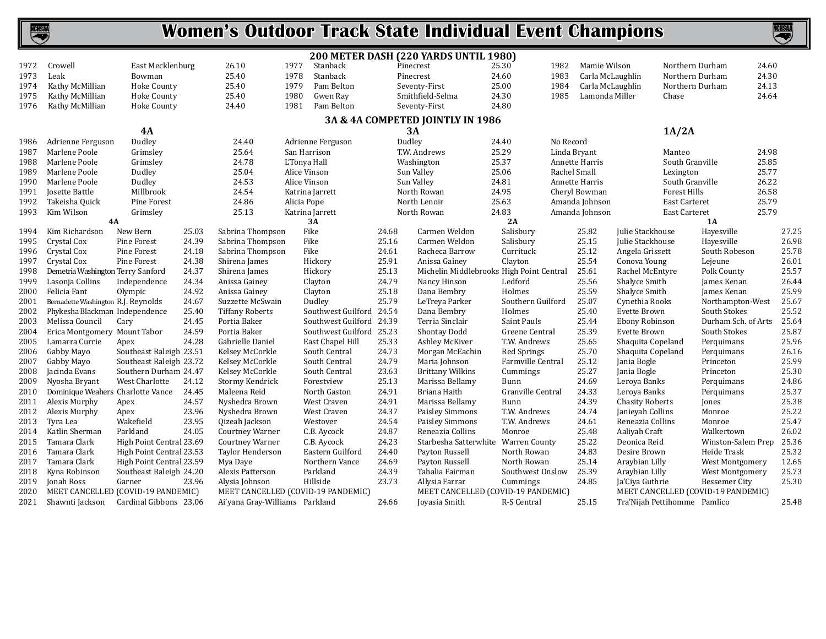

|              |                                                    |                                                  |       |                                    |              |                                |                | 200 METER DASH (220 YARDS UNTIL 1980)    |                      |              |                  |                              |                     |                                    |       |                |
|--------------|----------------------------------------------------|--------------------------------------------------|-------|------------------------------------|--------------|--------------------------------|----------------|------------------------------------------|----------------------|--------------|------------------|------------------------------|---------------------|------------------------------------|-------|----------------|
| 1972         | Crowell                                            | East Mecklenburg                                 |       | 26.10                              | 1977         | Stanback                       |                | Pinecrest                                | 25.30                | 1982         | Mamie Wilson     |                              | Northern Durham     |                                    | 24.60 |                |
| 1973         | Leak                                               | Bowman                                           |       | 25.40                              | 1978         | Stanback                       |                | Pinecrest                                | 24.60                | 1983         | Carla McLaughlin |                              | Northern Durham     |                                    | 24.30 |                |
| 1974         | Kathy McMillian                                    | <b>Hoke County</b>                               |       | 25.40                              | 1979         | Pam Belton                     |                | Seventy-First                            | 25.00                | 1984         | Carla McLaughlin |                              | Northern Durham     |                                    | 24.13 |                |
| 1975         | Kathy McMillian                                    | <b>Hoke County</b>                               |       | 25.40                              | 1980         | Gwen Ray                       |                | Smithfield-Selma                         | 24.30                | 1985         | Lamonda Miller   |                              | Chase               |                                    | 24.64 |                |
| 1976         | Kathy McMillian                                    | Hoke County                                      |       | 24.40                              | 1981         | Pam Belton                     |                | Seventy-First                            | 24.80                |              |                  |                              |                     |                                    |       |                |
|              |                                                    |                                                  |       |                                    |              |                                |                | 3A & 4A COMPETED JOINTLY IN 1986         |                      |              |                  |                              |                     |                                    |       |                |
|              |                                                    | <b>4A</b>                                        |       |                                    |              |                                |                | 3A                                       |                      |              |                  |                              | 1A/2A               |                                    |       |                |
| 1986         | Adrienne Ferguson                                  | Dudley                                           |       | 24.40                              |              | Adrienne Ferguson              | Dudley         |                                          | 24.40                | No Record    |                  |                              |                     |                                    |       |                |
| 1987         | Marlene Poole                                      | Grimslev                                         |       | 25.64                              | San Harrison |                                |                | T.W. Andrews                             | 25.29                | Linda Bryant |                  |                              | Manteo              |                                    | 24.98 |                |
| 1988         | Marlene Poole                                      | Grimsley                                         |       | 24.78                              | L'Tonya Hall |                                |                | Washington                               | 25.37                |              | Annette Harris   |                              | South Granville     |                                    | 25.85 |                |
| 1989         | Marlene Poole                                      | Dudley                                           |       | 25.04                              | Alice Vinson |                                |                | Sun Valley                               | 25.06                | Rachel Small |                  |                              | Lexington           |                                    | 25.77 |                |
| 1990         | Marlene Poole                                      | Dudley                                           |       | 24.53                              | Alice Vinson |                                |                | Sun Valley                               | 24.81                |              | Annette Harris   |                              | South Granville     |                                    | 26.22 |                |
| 1991         | Josette Battle                                     | Millbrook                                        |       | 24.54                              |              | Katrina Jarrett                |                | North Rowan                              | 24.95                |              | Cheryl Bowman    |                              | <b>Forest Hills</b> |                                    | 26.58 |                |
| 1992         | Takeisha Quick                                     | Pine Forest                                      |       | 24.86                              | Alicia Pope  |                                |                | North Lenoir                             | 25.63                |              | Amanda Johnson   |                              | East Carteret       |                                    | 25.79 |                |
| 1993         | Kim Wilson                                         | Grimsley                                         |       | 25.13                              |              | Katrina Jarrett                |                | North Rowan                              | 24.83                |              | Amanda Johnson   |                              | East Carteret       |                                    | 25.79 |                |
|              | 4A                                                 |                                                  |       |                                    |              | 3A                             |                |                                          | 2A                   |              |                  |                              |                     | <b>1A</b>                          |       |                |
| 1994         | Kim Richardson                                     | New Bern                                         | 25.03 | Sabrina Thompson                   |              | Fike                           | 24.68          | Carmen Weldon                            | Salisbury            |              | 25.82            | Julie Stackhouse             |                     | Havesville                         |       | 27.25          |
| 1995         | Crystal Cox                                        | Pine Forest                                      | 24.39 | Sabrina Thompson                   |              | Fike                           | 25.16          | Carmen Weldon                            | Salisbury            |              | 25.15            | Julie Stackhouse             |                     | Hayesville                         |       | 26.98          |
| 1996         | Crystal Cox                                        | Pine Forest                                      | 24.18 | Sabrina Thompson                   |              | Fike                           | 24.61          | Racheca Barrow                           | Currituck            |              | 25.12            | Angela Grissett              |                     | South Robeson                      |       | 25.78          |
| 1997         | Crystal Cox                                        | Pine Forest                                      | 24.38 | Shirena James                      |              | Hickory                        | 25.91          | Anissa Gainey                            | Clayton              |              | 25.54            | Conova Young                 |                     | Lejeune                            |       | 26.01          |
| 1998         | Demetria Washington Terry Sanford                  |                                                  | 24.37 | Shirena James                      |              | Hickory                        | 25.13          | Michelin Middlebrooks High Point Central |                      |              | 25.61            | Rachel McEntyre              |                     | Polk County                        |       | 25.57          |
| 1999         | Lasonja Collins                                    | Independence                                     | 24.34 | Anissa Gainey                      |              | Clayton                        | 24.79          | Nancy Hinson                             | Ledford              |              | 25.56            | Shalyce Smith                |                     | James Kenan                        |       | 26.44          |
| 2000         | Felicia Fant                                       | Olympic                                          | 24.92 | Anissa Gainey                      |              | Clayton                        | 25.18          | Dana Bembry                              | Holmes               |              | 25.59            | Shalyce Smith                |                     | James Kenan                        |       | 25.99          |
| 2001         | Bernadette Washington R.J. Reynolds                |                                                  | 24.67 | Suzzette McSwain                   |              | Dudley                         | 25.79          | LeTreya Parker                           | Southern Guilford    |              | 25.07            | Cynethia Rooks               |                     | Northampton-West                   |       | 25.67          |
| 2002         | Phykesha Blackman Independence                     |                                                  | 25.40 | <b>Tiffany Roberts</b>             |              | Southwest Guilford 24.54       |                | Dana Bembry                              | Holmes               |              | 25.40            | Evette Brown                 |                     | South Stokes                       |       | 25.52          |
| 2003         | Melissa Council                                    | Cary                                             | 24.45 | Portia Baker                       |              | Southwest Guilford 24.39       |                | Terria Sinclair                          | Saint Pauls          |              | 25.44            | Ebony Robinson               |                     | Durham Sch. of Arts                |       | 25.64          |
| 2004         | Erica Montgomery Mount Tabor                       |                                                  | 24.59 | Portia Baker                       |              | Southwest Guilford             | 25.23          | Shontay Dodd                             | Greene Central       |              | 25.39            | Evette Brown                 |                     | South Stokes                       |       | 25.87          |
| 2005         | Lamarra Currie                                     | Apex                                             | 24.28 | Gabrielle Daniel                   |              | East Chapel Hill               | 25.33          | Ashley McKiver                           | T.W. Andrews         |              | 25.65            | Shaquita Copeland            |                     | Perquimans                         |       | 25.96          |
| 2006         | Gabby Mayo                                         | Southeast Raleigh 23.51                          |       | Kelsey McCorkle                    |              | South Central                  | 24.73          | Morgan McEachin                          | <b>Red Springs</b>   |              | 25.70            | Shaquita Copeland            |                     | Perquimans                         |       | 26.16          |
| 2007         | Gabby Mayo<br>Jacinda Evans                        | Southeast Raleigh 23.72<br>Southern Durham 24.47 |       | Kelsey McCorkle<br>Kelsey McCorkle |              | South Central<br>South Central | 24.79<br>23.63 | Maria Johnson<br><b>Brittany Wilkins</b> | Farmville Central    |              | 25.12<br>25.27   | Jania Bogle<br>Jania Bogle   |                     | Princeton<br>Princeton             |       | 25.99<br>25.30 |
| 2008         |                                                    | West Charlotte                                   | 24.12 | Stormy Kendrick                    |              |                                | 25.13          | Marissa Bellamy                          | Cummings<br>Bunn     |              | 24.69            |                              |                     |                                    |       | 24.86          |
| 2009<br>2010 | Nyosha Bryant<br>Dominique Weahers Charlotte Vance |                                                  | 24.45 | Maleena Reid                       |              | Forestview<br>North Gaston     | 24.91          | Briana Haith                             | Granville Central    |              | 24.33            | Leroya Banks<br>Leroya Banks |                     | Perquimans<br>Perquimans           |       | 25.37          |
| 2011         | Alexis Murphy                                      | Apex                                             | 24.57 | Nyshedra Brown                     |              | West Craven                    | 24.91          | Marissa Bellamy                          | Bunn                 |              | 24.39            | <b>Chasity Roberts</b>       |                     | Jones                              |       | 25.38          |
| 2012         | Alexis Murphy                                      | Apex                                             | 23.96 | Nyshedra Brown                     |              | West Craven                    | 24.37          | Paisley Simmons                          | T.W. Andrews         |              | 24.74            | Janieyah Collins             |                     | Monroe                             |       | 25.22          |
| 2013         | Tyra Lea                                           | Wakefield                                        | 23.95 | Oizeah Jackson                     |              | Westover                       | 24.54          | Paisley Simmons                          | T.W. Andrews         |              | 24.61            | Reneazia Collins             |                     | Monroe                             |       | 25.47          |
| 2014         | Katlin Sherman                                     | Parkland                                         | 24.05 | <b>Courtney Warner</b>             |              | C.B. Aycock                    | 24.87          | Reneazia Collins                         | Monroe               |              | 25.48            | Aaliyah Craft                |                     | Walkertown                         |       | 26.02          |
| 2015         | Tamara Clark                                       | High Point Central 23.69                         |       | <b>Courtney Warner</b>             |              | C.B. Aycock                    | 24.23          | Starbesha Satterwhite                    | <b>Warren County</b> |              | 25.22            | Deonica Reid                 |                     | Winston-Salem Prep                 |       | 25.36          |
| 2016         | Tamara Clark                                       | High Point Central 23.53                         |       | Taylor Henderson                   |              | Eastern Guilford               | 24.40          | Payton Russell                           | North Rowan          |              | 24.83            | Desire Brown                 |                     | Heide Trask                        |       | 25.32          |
| 2017         | Tamara Clark                                       | High Point Central 23.59                         |       | Mya Daye                           |              | Northern Vance                 | 24.69          | Payton Russell                           | North Rowan          |              | 25.14            | Araybian Lilly               |                     | West Montgomery                    |       | 12.65          |
| 2018         | Kyna Robinson                                      | Southeast Raleigh 24.20                          |       | Alexis Patterson                   |              | Parkland                       | 24.39          | Tahalia Fairman                          | Southwest Onslow     |              | 25.39            | Araybian Lilly               |                     | West Montgomery                    |       | 25.73          |
| 2019         | Jonah Ross                                         | Garner                                           | 23.96 | Alysia Johnson                     |              | Hillside                       | 23.73          | Allysia Farrar                           | Cummings             |              | 24.85            | Ja'Ciya Guthrie              |                     | Bessemer City                      |       | 25.30          |
| 2020         | MEET CANCELLED (COVID-19 PANDEMIC)                 |                                                  |       | MEET CANCELLED (COVID-19 PANDEMIC) |              |                                |                | MEET CANCELLED (COVID-19 PANDEMIC)       |                      |              |                  |                              |                     | MEET CANCELLED (COVID-19 PANDEMIC) |       |                |
| 2021         | Shawnti Jackson                                    | Cardinal Gibbons 23.06                           |       | Ai'yana Gray-Williams Parkland     |              |                                | 24.66          | Joyasia Smith                            | R-S Central          |              | 25.15            | Tra'Nijah Pettihomme Pamlico |                     |                                    |       | 25.48          |
|              |                                                    |                                                  |       |                                    |              |                                |                |                                          |                      |              |                  |                              |                     |                                    |       |                |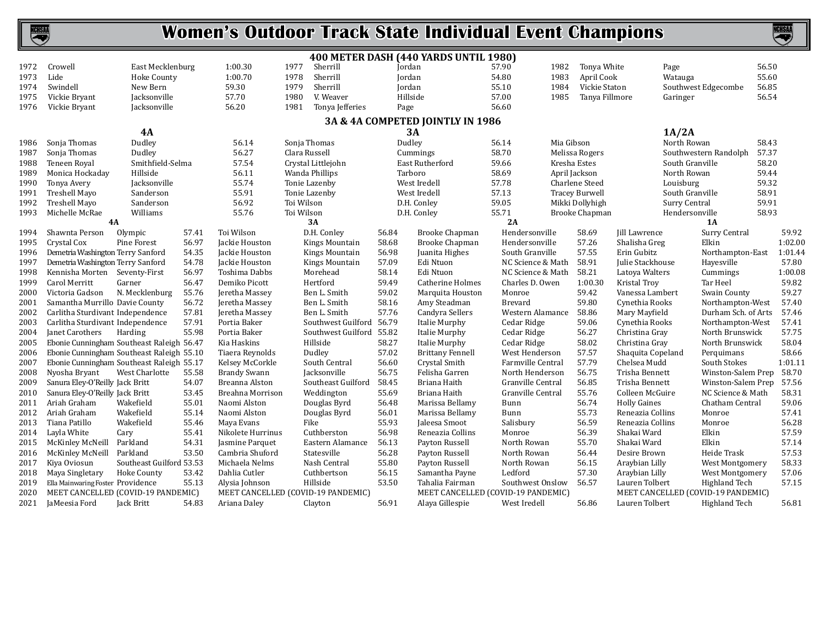

|      |                                           |                          |       |                     |                                    |       | 400 METER DASH (440 YARDS UNTIL 1980) |                   |            |                       |                     |                                    |       |                |
|------|-------------------------------------------|--------------------------|-------|---------------------|------------------------------------|-------|---------------------------------------|-------------------|------------|-----------------------|---------------------|------------------------------------|-------|----------------|
| 1972 | Crowell                                   | East Mecklenburg         |       | 1:00.30             | Sherrill<br>1977                   |       | Jordan                                | 57.90             | 1982       | Tonya White           |                     | Page                               | 56.50 |                |
| 1973 | Lide                                      | <b>Hoke County</b>       |       | 1:00.70             | 1978<br>Sherrill                   |       | Jordan                                | 54.80             | 1983       | April Cook            |                     | Watauga                            | 55.60 |                |
| 1974 | Swindell                                  | New Bern                 |       | 59.30               | 1979<br>Sherrill                   |       | Jordan                                | 55.10             | 1984       | Vickie Staton         |                     | Southwest Edgecombe                | 56.85 |                |
| 1975 | Vickie Bryant                             | Jacksonville             |       | 57.70               | 1980<br>V. Weaver                  |       | Hillside                              | 57.00             | 1985       | Tanya Fillmore        |                     | Garinger                           | 56.54 |                |
| 1976 | Vickie Bryant                             | Jacksonville             |       | 56.20               | 1981<br>Tonya Jefferies            |       | Page                                  | 56.60             |            |                       |                     |                                    |       |                |
|      |                                           |                          |       |                     |                                    |       | 3A & 4A COMPETED JOINTLY IN 1986      |                   |            |                       |                     |                                    |       |                |
|      |                                           | 4A                       |       |                     |                                    |       | 3A                                    |                   |            |                       |                     | 1A/2A                              |       |                |
| 1986 | Sonja Thomas                              | Dudley                   |       | 56.14               | Sonja Thomas                       |       | Dudley                                | 56.14             | Mia Gibson |                       |                     | North Rowan                        | 58.43 |                |
| 1987 | Sonja Thomas                              | Dudley                   |       | 56.27               | Clara Russell                      |       | Cummings                              | 58.70             |            | Melissa Rogers        |                     | Southwestern Randolph              | 57.37 |                |
| 1988 | Teneen Royal                              | Smithfield-Selma         |       | 57.54               | Crystal Littlejohn                 |       | East Rutherford                       | 59.66             |            | Kresha Estes          |                     | South Granville                    | 58.20 |                |
| 1989 | Monica Hockaday                           | Hillside                 |       | 56.11               | Wanda Phillips                     |       | Tarboro                               | 58.69             |            | April Jackson         |                     | North Rowan                        | 59.44 |                |
| 1990 | Tonya Avery                               | Jacksonville             |       | 55.74               | Tonie Lazenby                      |       | West Iredell                          | 57.78             |            | Charlene Steed        |                     | Louisburg                          | 59.32 |                |
| 1991 | Treshell Mayo                             | Sanderson                |       | 55.91               | Tonie Lazenby                      |       | West Iredell                          | 57.13             |            | <b>Tracey Burwell</b> |                     | South Granville                    | 58.91 |                |
| 1992 | Treshell Mayo                             | Sanderson                |       | 56.92               | Toi Wilson                         |       | D.H. Conley                           | 59.05             |            | Mikki Dollyhigh       |                     | Surry Central                      | 59.91 |                |
| 1993 | Michelle McRae                            | Williams                 |       | 55.76               | Toi Wilson                         |       | D.H. Conley                           | 55.71             |            | Brooke Chapman        |                     | Hendersonville                     | 58.93 |                |
|      |                                           | 4A                       |       |                     | 3A                                 |       |                                       | 2A                |            |                       |                     | <b>1A</b>                          |       |                |
| 1994 | Shawnta Person                            | Olympic                  | 57.41 | Toi Wilson          | D.H. Conley                        | 56.84 | Brooke Chapman                        | Hendersonville    |            | 58.69                 | Jill Lawrence       | Surry Central                      |       | 59.92          |
| 1995 | Crystal Cox                               | Pine Forest              | 56.97 | Jackie Houston      | Kings Mountain                     | 58.68 | <b>Brooke Chapman</b>                 | Hendersonville    |            | 57.26                 | Shalisha Greg       | Elkin                              |       | 1:02.00        |
| 1996 | Demetria Washington Terry Sanford         |                          | 54.35 | Jackie Houston      | Kings Mountain                     | 56.98 | Juanita Highes                        | South Granville   |            | 57.55                 | Erin Gubitz         | Northampton-East                   |       | 1:01.44        |
| 1997 | Demetria Washington Terry Sanford         |                          | 54.78 | Jackie Houston      | <b>Kings Mountain</b>              | 57.09 | Edi Ntuon                             | NC Science & Math |            | 58.91                 | Julie Stackhouse    | Hayesville                         |       | 57.80          |
| 1998 | Kennisha Morten Seventy-First             |                          | 56.97 | Toshima Dabbs       | Morehead                           | 58.14 | Edi Ntuon                             | NC Science & Math |            | 58.21                 | Latova Walters      | Cummings                           |       | 1:00.08        |
| 1999 | Carol Merritt                             | Garner                   | 56.47 | Demiko Picott       | Hertford                           | 59.49 | Catherine Holmes                      | Charles D. Owen   |            | 1:00.30               | Kristal Troy        | Tar Heel                           |       | 59.82          |
| 2000 | Victoria Gadson                           | N. Mecklenburg           | 55.76 | Jeretha Massey      | Ben L. Smith                       | 59.02 | Marquita Houston                      | Monroe            |            | 59.42                 | Vanessa Lambert     | Swain County                       |       | 59.27          |
| 2001 | Samantha Murrillo Davie County            |                          | 56.72 | Jeretha Massey      | Ben L. Smith                       | 58.16 | Amy Steadman                          | <b>Brevard</b>    |            | 59.80                 | Cynethia Rooks      | Northampton-West                   |       | 57.40          |
| 2002 | Carlitha Sturdivant Independence          |                          | 57.81 | Jeretha Massey      | Ben L. Smith                       | 57.76 | Candyra Sellers                       | Western Alamance  |            | 58.86                 | Mary Mayfield       | Durham Sch. of Arts                |       | 57.46          |
| 2003 | Carlitha Sturdivant Independence          |                          | 57.91 | Portia Baker        | Southwest Guilford                 | 56.79 | Italie Murphy                         | Cedar Ridge       |            | 59.06                 | Cynethia Rooks      | Northampton-West                   |       | 57.41          |
| 2004 | Janet Carothers                           | Harding                  | 55.98 | Portia Baker        | Southwest Guilford                 | 55.82 | Italie Murphy                         | Cedar Ridge       |            | 56.27                 | Christina Gray      | North Brunswick                    |       | 57.75          |
| 2005 | Ebonie Cunningham Southeast Raleigh 56.47 |                          |       | Kia Haskins         | Hillside                           | 58.27 | Italie Murphy                         | Cedar Ridge       |            | 58.02                 | Christina Gray      | North Brunswick                    |       | 58.04          |
| 2006 | Ebonie Cunningham Southeast Raleigh 55.10 |                          |       | Tiaera Reynolds     | Dudley                             | 57.02 | <b>Brittany Fennell</b>               | West Henderson    |            | 57.57                 | Shaquita Copeland   | Perquimans                         |       | 58.66          |
| 2007 | Ebonie Cunningham Southeast Raleigh 55.17 |                          |       | Kelsey McCorkle     | South Central                      | 56.60 | Crystal Smith                         | Farmville Central |            | 57.79                 | Chelsea Mudd        | South Stokes                       |       | 1:01.11        |
| 2008 | Nyosha Bryant                             | West Charlotte           | 55.58 | <b>Brandy Swann</b> | Jacksonville                       | 56.75 | Felisha Garren                        | North Henderson   |            | 56.75                 | Trisha Bennett      | Winston-Salem Prep                 |       | 58.70          |
| 2009 | Sanura Eley-O'Reilly Jack Britt           |                          | 54.07 | Breanna Alston      | Southeast Guilford                 | 58.45 | Briana Haith                          | Granville Central |            | 56.85                 | Trisha Bennett      | Winston-Salem Prep                 |       | 57.56          |
| 2010 | Sanura Eley-O'Reilly Jack Britt           |                          | 53.45 | Breahna Morrison    | Weddington                         | 55.69 | Briana Haith                          | Granville Central |            | 55.76                 | Colleen McGuire     | NC Science & Math                  |       | 58.31          |
| 2011 | Ariah Graham                              | Wakefield                | 55.01 | Naomi Alston        | Douglas Byrd                       | 56.48 | Marissa Bellamy                       | Bunn              |            | 56.74                 | <b>Holly Gaines</b> | Chatham Central                    |       | 59.06          |
| 2012 | Ariah Graham                              | Wakefield                | 55.14 | Naomi Alston        | Douglas Byrd                       | 56.01 | Marissa Bellamy                       | Bunn              |            | 55.73                 | Reneazia Collins    | Monroe                             |       | 57.41          |
| 2013 | Tiana Patillo                             | Wakefield                | 55.46 | Maya Evans          | Fike                               | 55.93 | Jaleesa Smoot                         | Salisbury         |            | 56.59                 | Reneazia Collins    | Monroe                             |       | 56.28          |
| 2014 | Layla White                               | Cary                     | 55.41 | Nikolete Hurrinus   | Cuthberston                        | 56.98 | Reneazia Collins                      | Monroe            |            | 56.39                 | Shakai Ward         | Elkin                              |       | 57.59          |
| 2015 | McKinley McNeill                          | Parkland                 | 54.31 | Jasmine Parquet     | Eastern Alamance                   | 56.13 | Payton Russell                        | North Rowan       |            | 55.70                 | Shakai Ward         | Elkin                              |       | 57.14          |
| 2016 | McKinley McNeill                          | Parkland                 | 53.50 | Cambria Shuford     | Statesville                        | 56.28 | Payton Russell                        | North Rowan       |            | 56.44                 | Desire Brown        | Heide Trask                        |       | 57.53          |
| 2017 | Kiya Oviosun                              | Southeast Guilford 53.53 |       | Michaela Nelms      | Nash Central                       | 55.80 | Payton Russell                        | North Rowan       |            | 56.15                 | Araybian Lilly      | West Montgomery                    |       | 58.33          |
| 2018 | Maya Singletary                           | Hoke County              | 53.42 | Dahlia Cutler       | Cuthbertson                        | 56.15 | Samantha Payne                        | Ledford           |            | 57.30                 | Araybian Lilly      | <b>West Montgomery</b>             |       | 57.06<br>57.15 |
| 2019 | Ella Mainwaring Foster Providence         |                          | 55.13 | Alysia Johnson      | Hillside                           | 53.50 | Tahalia Fairman                       | Southwest Onslow  |            | 56.57                 | Lauren Tolbert      | Highland Tech                      |       |                |
| 2020 | MEET CANCELLED (COVID-19 PANDEMIC)        |                          |       |                     | MEET CANCELLED (COVID-19 PANDEMIC) |       | MEET CANCELLED (COVID-19 PANDEMIC)    |                   |            |                       |                     | MEET CANCELLED (COVID-19 PANDEMIC) |       |                |
| 2021 | JaMeesia Ford                             | Jack Britt               | 54.83 | Ariana Daley        | Clayton                            | 56.91 | Alaya Gillespie                       | West Iredell      |            | 56.86                 | Lauren Tolbert      | Highland Tech                      |       | 56.81          |

NCHSM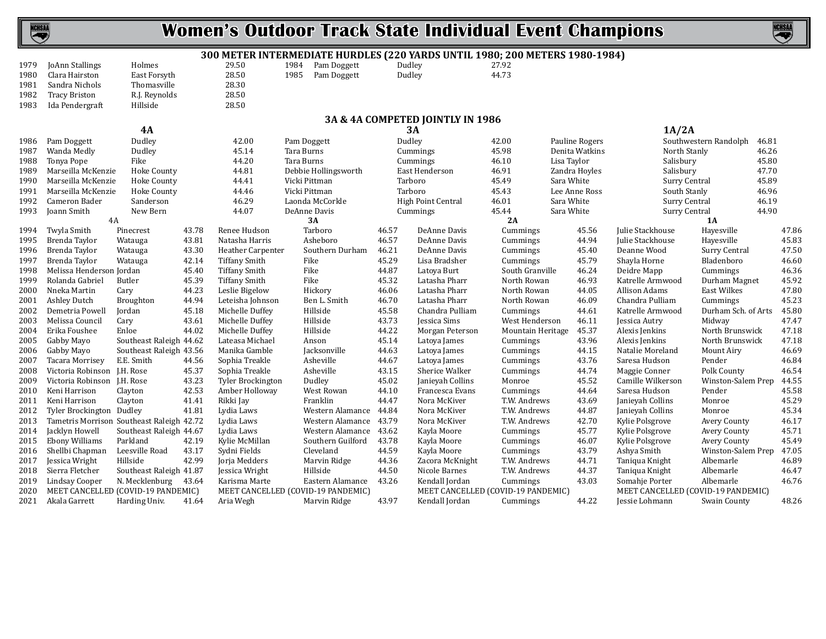

#### **300 METER INTERMEDIATE HURDLES (220 YARDS UNTIL 1980; 200 METERS 1980-1984)**

|      |                 |               | əvv ris o |
|------|-----------------|---------------|-----------|
| 1979 | JoAnn Stallings | Holmes        | 29.50     |
| 1980 | Clara Hairston  | East Forsyth  | 28.50     |
| 1981 | Sandra Nichols  | Thomasville   | 28.30     |
| 1982 | Tracy Briston   | R.J. Reynolds | 28.50     |
| 1983 | Ida Pendergraft | Hillside      | 28.50     |
|      |                 |               |           |
|      |                 |               |           |

1985 Pam Doggett

1984 Pam Doggett Dudley 27.92<br>1985 Pam Doggett Dudley 44.73

| 1981         | Sandra Nichols                     |                                                                                                                                                                                                                                                                                                                                                                                                                                                                                                                                                                                                                                                                                                                                                                                                                                                                                                                                                                                                                                                                                                                                                                                                                                                                                                                                                                                                                                                                                                                                                                                                                                                                                                                                                                                                                                                                                                                                                                                                                                                                                                                                                                                                                                                                                                                                                                                                                                                                                                                                                                                                                                                                                                                                                                                                                                                                                                                                                                                                                                                                                                                                                                                                                                                                                                                                                                                                                                                                                                                                                                                                                                                                                                                                                                                                                                                                                                                                                                                                                                                                                                                                                                                                                                                                                                                                                                                                                                                                                                                                                                                                                                                                                                                                                                                                          |       |                                    |                  |       |                                                                          |              |       |                |              |       |  |  |
|--------------|------------------------------------|----------------------------------------------------------------------------------------------------------------------------------------------------------------------------------------------------------------------------------------------------------------------------------------------------------------------------------------------------------------------------------------------------------------------------------------------------------------------------------------------------------------------------------------------------------------------------------------------------------------------------------------------------------------------------------------------------------------------------------------------------------------------------------------------------------------------------------------------------------------------------------------------------------------------------------------------------------------------------------------------------------------------------------------------------------------------------------------------------------------------------------------------------------------------------------------------------------------------------------------------------------------------------------------------------------------------------------------------------------------------------------------------------------------------------------------------------------------------------------------------------------------------------------------------------------------------------------------------------------------------------------------------------------------------------------------------------------------------------------------------------------------------------------------------------------------------------------------------------------------------------------------------------------------------------------------------------------------------------------------------------------------------------------------------------------------------------------------------------------------------------------------------------------------------------------------------------------------------------------------------------------------------------------------------------------------------------------------------------------------------------------------------------------------------------------------------------------------------------------------------------------------------------------------------------------------------------------------------------------------------------------------------------------------------------------------------------------------------------------------------------------------------------------------------------------------------------------------------------------------------------------------------------------------------------------------------------------------------------------------------------------------------------------------------------------------------------------------------------------------------------------------------------------------------------------------------------------------------------------------------------------------------------------------------------------------------------------------------------------------------------------------------------------------------------------------------------------------------------------------------------------------------------------------------------------------------------------------------------------------------------------------------------------------------------------------------------------------------------------------------------------------------------------------------------------------------------------------------------------------------------------------------------------------------------------------------------------------------------------------------------------------------------------------------------------------------------------------------------------------------------------------------------------------------------------------------------------------------------------------------------------------------------------------------------------------------------------------------------------------------------------------------------------------------------------------------------------------------------------------------------------------------------------------------------------------------------------------------------------------------------------------------------------------------------------------------------------------------------------------------------------------------------------------------------------|-------|------------------------------------|------------------|-------|--------------------------------------------------------------------------|--------------|-------|----------------|--------------|-------|--|--|
| 1982         | <b>Tracy Briston</b>               | R.J. Reynolds                                                                                                                                                                                                                                                                                                                                                                                                                                                                                                                                                                                                                                                                                                                                                                                                                                                                                                                                                                                                                                                                                                                                                                                                                                                                                                                                                                                                                                                                                                                                                                                                                                                                                                                                                                                                                                                                                                                                                                                                                                                                                                                                                                                                                                                                                                                                                                                                                                                                                                                                                                                                                                                                                                                                                                                                                                                                                                                                                                                                                                                                                                                                                                                                                                                                                                                                                                                                                                                                                                                                                                                                                                                                                                                                                                                                                                                                                                                                                                                                                                                                                                                                                                                                                                                                                                                                                                                                                                                                                                                                                                                                                                                                                                                                                                                            |       | 28.50                              |                  |       |                                                                          |              |       |                |              |       |  |  |
| 1983         | Ida Pendergraft                    | Hillside                                                                                                                                                                                                                                                                                                                                                                                                                                                                                                                                                                                                                                                                                                                                                                                                                                                                                                                                                                                                                                                                                                                                                                                                                                                                                                                                                                                                                                                                                                                                                                                                                                                                                                                                                                                                                                                                                                                                                                                                                                                                                                                                                                                                                                                                                                                                                                                                                                                                                                                                                                                                                                                                                                                                                                                                                                                                                                                                                                                                                                                                                                                                                                                                                                                                                                                                                                                                                                                                                                                                                                                                                                                                                                                                                                                                                                                                                                                                                                                                                                                                                                                                                                                                                                                                                                                                                                                                                                                                                                                                                                                                                                                                                                                                                                                                 |       | 28.50                              |                  |       |                                                                          |              |       |                |              |       |  |  |
|              |                                    |                                                                                                                                                                                                                                                                                                                                                                                                                                                                                                                                                                                                                                                                                                                                                                                                                                                                                                                                                                                                                                                                                                                                                                                                                                                                                                                                                                                                                                                                                                                                                                                                                                                                                                                                                                                                                                                                                                                                                                                                                                                                                                                                                                                                                                                                                                                                                                                                                                                                                                                                                                                                                                                                                                                                                                                                                                                                                                                                                                                                                                                                                                                                                                                                                                                                                                                                                                                                                                                                                                                                                                                                                                                                                                                                                                                                                                                                                                                                                                                                                                                                                                                                                                                                                                                                                                                                                                                                                                                                                                                                                                                                                                                                                                                                                                                                          |       |                                    |                  |       |                                                                          |              |       |                |              |       |  |  |
|              |                                    | Thomasville<br>28.30<br>3A & 4A COMPETED JOINTLY IN 1986<br>1A/2A<br><b>4A</b><br><b>3A</b><br>Dudley<br>Southwestern Randolph<br>42.00<br>Dudley<br>42.00<br>Pauline Rogers<br>Pam Doggett<br>Pam Doggett<br>46.81<br>Tara Burns<br>45.98<br>Denita Watkins<br>Wanda Medly<br>Dudley<br>45.14<br>North Stanly<br>46.26<br>Cummings<br>44.20<br>Tara Burns<br>46.10<br>Lisa Taylor<br>Salisbury<br>45.80<br>Tonya Pope<br>Fike<br>Cummings<br>Marseilla McKenzie<br>44.81<br>Debbie Hollingsworth<br>East Henderson<br>46.91<br>Salisbury<br>47.70<br>Hoke County<br>Zandra Hoyles<br>Marseilla McKenzie<br><b>Hoke County</b><br>44.41<br>Vicki Pittman<br>Tarboro<br>45.49<br>Sara White<br>Surry Central<br>45.89<br>Marseilla McKenzie<br>44.46<br>Vicki Pittman<br>45.43<br>Lee Anne Ross<br>South Stanly<br>46.96<br><b>Hoke County</b><br>Tarboro<br>46.29<br>Sara White<br>Cameron Bader<br>Sanderson<br>Laonda McCorkle<br><b>High Point Central</b><br>46.01<br>Surry Central<br>46.19<br>New Bern<br>DeAnne Davis<br>45.44<br>Sara White<br>44.90<br>Joann Smith<br>44.07<br>Cummings<br>Surry Central<br>4A<br>3A<br>2A<br><b>1A</b><br>Tarboro<br>Twyla Smith<br>43.78<br>Renee Hudson<br>46.57<br>DeAnne Davis<br>45.56<br>Julie Stackhouse<br>Hayesville<br>47.86<br>Pinecrest<br>Cummings<br>43.81<br>Asheboro<br>46.57<br>44.94<br>45.83<br>Brenda Taylor<br>Natasha Harris<br>DeAnne Davis<br>Julie Stackhouse<br>Hayesville<br>Watauga<br>Cummings<br>43.30<br><b>Heather Carpenter</b><br>Southern Durham<br>46.21<br>DeAnne Davis<br>45.40<br>Deanne Wood<br>Surry Central<br>47.50<br>Brenda Taylor<br>Watauga<br>Cummings<br>42.14<br>45.29<br>Brenda Taylor<br><b>Tiffany Smith</b><br>Fike<br>Lisa Bradsher<br>45.79<br>Shayla Horne<br>Bladenboro<br>46.60<br>Watauga<br>Cummings<br>45.40<br><b>Tiffany Smith</b><br>Fike<br>44.87<br>South Granville<br>46.24<br>46.36<br>Melissa Henderson Jordan<br>Latoya Burt<br>Deidre Mapp<br>Cummings<br>45.39<br>45.32<br>46.93<br>Butler<br><b>Tiffany Smith</b><br>Fike<br>Latasha Pharr<br>North Rowan<br>Katrelle Armwood<br>Durham Magnet<br>45.92<br>44.23<br>Latasha Pharr<br>North Rowan<br>44.05<br>Allison Adams<br><b>East Wilkes</b><br>47.80<br>Leslie Bigelow<br>Hickory<br>46.06<br>Cary<br>44.94<br>Leteisha Johnson<br>Ben L. Smith<br>46.70<br>Latasha Pharr<br>North Rowan<br>46.09<br>Chandra Pulliam<br>45.23<br>Broughton<br>Cummings<br>45.18<br>Hillside<br>45.58<br>Chandra Pulliam<br>45.80<br>Jordan<br>Michelle Duffey<br>Cummings<br>44.61<br>Katrelle Armwood<br>Durham Sch. of Arts<br>43.61<br>Hillside<br>43.73<br>Jessica Sims<br>West Henderson<br>47.47<br>Cary<br>Michelle Duffey<br>46.11<br>Midway<br>Jessica Autry<br>Hillside<br>45.37<br>44.02<br>Michelle Duffey<br>44.22<br><b>Mountain Heritage</b><br>Alexis Jenkins<br>North Brunswick<br>47.18<br>Enloe<br>Morgan Peterson<br>47.18<br>Southeast Raleigh 44.62<br>Lateasa Michael<br>Anson<br>45.14<br>Latoya James<br>43.96<br>Alexis Jenkins<br>North Brunswick<br>Cummings<br>Southeast Raleigh 43.56<br>Manika Gamble<br>Jacksonville<br>44.63<br>44.15<br>Natalie Moreland<br>46.69<br>Latoya James<br>Cummings<br>Mount Airy<br>E.E. Smith<br>44.56<br>Asheville<br>44.67<br>43.76<br>Saresa Hudson<br>Pender<br>46.84<br>Sophia Treakle<br>Latoya James<br>Cummings<br>Victoria Robinson J.H. Rose<br>45.37<br>Asheville<br>43.15<br>Sherice Walker<br>44.74<br>Polk County<br>46.54<br>Sophia Treakle<br>Maggie Conner<br>Cummings<br>43.23<br>45.02<br>45.52<br>Camille Wilkerson<br>Winston-Salem Prep<br>Victoria Robinson J.H. Rose<br><b>Tyler Brockington</b><br>Dudley<br>Janieyah Collins<br>Monroe<br>44.55<br>42.53<br>Amber Holloway<br>West Rowan<br>44.10<br>Francesca Evans<br>44.64<br>Saresa Hudson<br>Pender<br>45.58<br>Clayton<br>Cummings<br>41.41<br>Franklin<br>44.47<br>Nora McKiver<br>T.W. Andrews<br>43.69<br>45.29<br>Clayton<br>Rikki Jay<br>Janieyah Collins<br>Monroe<br>Tyler Brockington Dudley<br>41.81<br>Western Alamance<br>44.84<br>Nora McKiver<br>T.W. Andrews<br>44.87<br>45.34<br>Lydia Laws<br>Janieyah Collins<br>Monroe<br>Western Alamance<br>43.79<br>42.70<br>Tametris Morrison Southeast Raleigh 42.72<br>Lydia Laws<br>Nora McKiver<br>T.W. Andrews<br>Kylie Polsgrove<br>Avery County<br>46.17<br>Western Alamance<br>43.62<br>Southeast Raleigh 44.67<br>Lydia Laws<br>Kayla Moore<br>45.77<br>Kylie Polsgrove<br><b>Avery County</b><br>45.71<br>Cummings<br>Parkland<br>42.19<br>Kylie McMillan<br>Southern Guilford<br>43.78<br>Kayla Moore<br>46.07<br><b>Avery County</b><br>45.49<br>Cummings<br>Kylie Polsgrove<br>Leesville Road<br>Sydni Fields<br>Cleveland<br>43.79<br>Winston-Salem Prep<br>43.17<br>44.59<br>Kayla Moore<br>Ashya Smith<br>47.05<br>Cummings |       |                                    |                  |       |                                                                          |              |       |                |              |       |  |  |
| 1986         |                                    |                                                                                                                                                                                                                                                                                                                                                                                                                                                                                                                                                                                                                                                                                                                                                                                                                                                                                                                                                                                                                                                                                                                                                                                                                                                                                                                                                                                                                                                                                                                                                                                                                                                                                                                                                                                                                                                                                                                                                                                                                                                                                                                                                                                                                                                                                                                                                                                                                                                                                                                                                                                                                                                                                                                                                                                                                                                                                                                                                                                                                                                                                                                                                                                                                                                                                                                                                                                                                                                                                                                                                                                                                                                                                                                                                                                                                                                                                                                                                                                                                                                                                                                                                                                                                                                                                                                                                                                                                                                                                                                                                                                                                                                                                                                                                                                                          |       |                                    |                  |       |                                                                          |              |       |                |              |       |  |  |
| 1987         |                                    |                                                                                                                                                                                                                                                                                                                                                                                                                                                                                                                                                                                                                                                                                                                                                                                                                                                                                                                                                                                                                                                                                                                                                                                                                                                                                                                                                                                                                                                                                                                                                                                                                                                                                                                                                                                                                                                                                                                                                                                                                                                                                                                                                                                                                                                                                                                                                                                                                                                                                                                                                                                                                                                                                                                                                                                                                                                                                                                                                                                                                                                                                                                                                                                                                                                                                                                                                                                                                                                                                                                                                                                                                                                                                                                                                                                                                                                                                                                                                                                                                                                                                                                                                                                                                                                                                                                                                                                                                                                                                                                                                                                                                                                                                                                                                                                                          |       |                                    |                  |       |                                                                          |              |       |                |              |       |  |  |
|              |                                    |                                                                                                                                                                                                                                                                                                                                                                                                                                                                                                                                                                                                                                                                                                                                                                                                                                                                                                                                                                                                                                                                                                                                                                                                                                                                                                                                                                                                                                                                                                                                                                                                                                                                                                                                                                                                                                                                                                                                                                                                                                                                                                                                                                                                                                                                                                                                                                                                                                                                                                                                                                                                                                                                                                                                                                                                                                                                                                                                                                                                                                                                                                                                                                                                                                                                                                                                                                                                                                                                                                                                                                                                                                                                                                                                                                                                                                                                                                                                                                                                                                                                                                                                                                                                                                                                                                                                                                                                                                                                                                                                                                                                                                                                                                                                                                                                          |       |                                    |                  |       |                                                                          |              |       |                |              |       |  |  |
| 1988         |                                    |                                                                                                                                                                                                                                                                                                                                                                                                                                                                                                                                                                                                                                                                                                                                                                                                                                                                                                                                                                                                                                                                                                                                                                                                                                                                                                                                                                                                                                                                                                                                                                                                                                                                                                                                                                                                                                                                                                                                                                                                                                                                                                                                                                                                                                                                                                                                                                                                                                                                                                                                                                                                                                                                                                                                                                                                                                                                                                                                                                                                                                                                                                                                                                                                                                                                                                                                                                                                                                                                                                                                                                                                                                                                                                                                                                                                                                                                                                                                                                                                                                                                                                                                                                                                                                                                                                                                                                                                                                                                                                                                                                                                                                                                                                                                                                                                          |       |                                    |                  |       |                                                                          |              |       |                |              |       |  |  |
| 1989<br>1990 |                                    |                                                                                                                                                                                                                                                                                                                                                                                                                                                                                                                                                                                                                                                                                                                                                                                                                                                                                                                                                                                                                                                                                                                                                                                                                                                                                                                                                                                                                                                                                                                                                                                                                                                                                                                                                                                                                                                                                                                                                                                                                                                                                                                                                                                                                                                                                                                                                                                                                                                                                                                                                                                                                                                                                                                                                                                                                                                                                                                                                                                                                                                                                                                                                                                                                                                                                                                                                                                                                                                                                                                                                                                                                                                                                                                                                                                                                                                                                                                                                                                                                                                                                                                                                                                                                                                                                                                                                                                                                                                                                                                                                                                                                                                                                                                                                                                                          |       |                                    |                  |       |                                                                          |              |       |                |              |       |  |  |
| 1991         |                                    |                                                                                                                                                                                                                                                                                                                                                                                                                                                                                                                                                                                                                                                                                                                                                                                                                                                                                                                                                                                                                                                                                                                                                                                                                                                                                                                                                                                                                                                                                                                                                                                                                                                                                                                                                                                                                                                                                                                                                                                                                                                                                                                                                                                                                                                                                                                                                                                                                                                                                                                                                                                                                                                                                                                                                                                                                                                                                                                                                                                                                                                                                                                                                                                                                                                                                                                                                                                                                                                                                                                                                                                                                                                                                                                                                                                                                                                                                                                                                                                                                                                                                                                                                                                                                                                                                                                                                                                                                                                                                                                                                                                                                                                                                                                                                                                                          |       |                                    |                  |       |                                                                          |              |       |                |              |       |  |  |
| 1992         |                                    |                                                                                                                                                                                                                                                                                                                                                                                                                                                                                                                                                                                                                                                                                                                                                                                                                                                                                                                                                                                                                                                                                                                                                                                                                                                                                                                                                                                                                                                                                                                                                                                                                                                                                                                                                                                                                                                                                                                                                                                                                                                                                                                                                                                                                                                                                                                                                                                                                                                                                                                                                                                                                                                                                                                                                                                                                                                                                                                                                                                                                                                                                                                                                                                                                                                                                                                                                                                                                                                                                                                                                                                                                                                                                                                                                                                                                                                                                                                                                                                                                                                                                                                                                                                                                                                                                                                                                                                                                                                                                                                                                                                                                                                                                                                                                                                                          |       |                                    |                  |       |                                                                          |              |       |                |              |       |  |  |
| 1993         |                                    |                                                                                                                                                                                                                                                                                                                                                                                                                                                                                                                                                                                                                                                                                                                                                                                                                                                                                                                                                                                                                                                                                                                                                                                                                                                                                                                                                                                                                                                                                                                                                                                                                                                                                                                                                                                                                                                                                                                                                                                                                                                                                                                                                                                                                                                                                                                                                                                                                                                                                                                                                                                                                                                                                                                                                                                                                                                                                                                                                                                                                                                                                                                                                                                                                                                                                                                                                                                                                                                                                                                                                                                                                                                                                                                                                                                                                                                                                                                                                                                                                                                                                                                                                                                                                                                                                                                                                                                                                                                                                                                                                                                                                                                                                                                                                                                                          |       |                                    |                  |       |                                                                          |              |       |                |              |       |  |  |
|              |                                    |                                                                                                                                                                                                                                                                                                                                                                                                                                                                                                                                                                                                                                                                                                                                                                                                                                                                                                                                                                                                                                                                                                                                                                                                                                                                                                                                                                                                                                                                                                                                                                                                                                                                                                                                                                                                                                                                                                                                                                                                                                                                                                                                                                                                                                                                                                                                                                                                                                                                                                                                                                                                                                                                                                                                                                                                                                                                                                                                                                                                                                                                                                                                                                                                                                                                                                                                                                                                                                                                                                                                                                                                                                                                                                                                                                                                                                                                                                                                                                                                                                                                                                                                                                                                                                                                                                                                                                                                                                                                                                                                                                                                                                                                                                                                                                                                          |       |                                    |                  |       |                                                                          |              |       |                |              |       |  |  |
| 1994         |                                    |                                                                                                                                                                                                                                                                                                                                                                                                                                                                                                                                                                                                                                                                                                                                                                                                                                                                                                                                                                                                                                                                                                                                                                                                                                                                                                                                                                                                                                                                                                                                                                                                                                                                                                                                                                                                                                                                                                                                                                                                                                                                                                                                                                                                                                                                                                                                                                                                                                                                                                                                                                                                                                                                                                                                                                                                                                                                                                                                                                                                                                                                                                                                                                                                                                                                                                                                                                                                                                                                                                                                                                                                                                                                                                                                                                                                                                                                                                                                                                                                                                                                                                                                                                                                                                                                                                                                                                                                                                                                                                                                                                                                                                                                                                                                                                                                          |       |                                    |                  |       |                                                                          |              |       |                |              |       |  |  |
| 1995         |                                    |                                                                                                                                                                                                                                                                                                                                                                                                                                                                                                                                                                                                                                                                                                                                                                                                                                                                                                                                                                                                                                                                                                                                                                                                                                                                                                                                                                                                                                                                                                                                                                                                                                                                                                                                                                                                                                                                                                                                                                                                                                                                                                                                                                                                                                                                                                                                                                                                                                                                                                                                                                                                                                                                                                                                                                                                                                                                                                                                                                                                                                                                                                                                                                                                                                                                                                                                                                                                                                                                                                                                                                                                                                                                                                                                                                                                                                                                                                                                                                                                                                                                                                                                                                                                                                                                                                                                                                                                                                                                                                                                                                                                                                                                                                                                                                                                          |       |                                    |                  |       |                                                                          |              |       |                |              |       |  |  |
| 1996         |                                    |                                                                                                                                                                                                                                                                                                                                                                                                                                                                                                                                                                                                                                                                                                                                                                                                                                                                                                                                                                                                                                                                                                                                                                                                                                                                                                                                                                                                                                                                                                                                                                                                                                                                                                                                                                                                                                                                                                                                                                                                                                                                                                                                                                                                                                                                                                                                                                                                                                                                                                                                                                                                                                                                                                                                                                                                                                                                                                                                                                                                                                                                                                                                                                                                                                                                                                                                                                                                                                                                                                                                                                                                                                                                                                                                                                                                                                                                                                                                                                                                                                                                                                                                                                                                                                                                                                                                                                                                                                                                                                                                                                                                                                                                                                                                                                                                          |       |                                    |                  |       |                                                                          |              |       |                |              |       |  |  |
| 1997         |                                    |                                                                                                                                                                                                                                                                                                                                                                                                                                                                                                                                                                                                                                                                                                                                                                                                                                                                                                                                                                                                                                                                                                                                                                                                                                                                                                                                                                                                                                                                                                                                                                                                                                                                                                                                                                                                                                                                                                                                                                                                                                                                                                                                                                                                                                                                                                                                                                                                                                                                                                                                                                                                                                                                                                                                                                                                                                                                                                                                                                                                                                                                                                                                                                                                                                                                                                                                                                                                                                                                                                                                                                                                                                                                                                                                                                                                                                                                                                                                                                                                                                                                                                                                                                                                                                                                                                                                                                                                                                                                                                                                                                                                                                                                                                                                                                                                          |       |                                    |                  |       |                                                                          |              |       |                |              |       |  |  |
| 1998         |                                    |                                                                                                                                                                                                                                                                                                                                                                                                                                                                                                                                                                                                                                                                                                                                                                                                                                                                                                                                                                                                                                                                                                                                                                                                                                                                                                                                                                                                                                                                                                                                                                                                                                                                                                                                                                                                                                                                                                                                                                                                                                                                                                                                                                                                                                                                                                                                                                                                                                                                                                                                                                                                                                                                                                                                                                                                                                                                                                                                                                                                                                                                                                                                                                                                                                                                                                                                                                                                                                                                                                                                                                                                                                                                                                                                                                                                                                                                                                                                                                                                                                                                                                                                                                                                                                                                                                                                                                                                                                                                                                                                                                                                                                                                                                                                                                                                          |       |                                    |                  |       |                                                                          |              |       |                |              |       |  |  |
| 1999         | Rolanda Gabriel                    |                                                                                                                                                                                                                                                                                                                                                                                                                                                                                                                                                                                                                                                                                                                                                                                                                                                                                                                                                                                                                                                                                                                                                                                                                                                                                                                                                                                                                                                                                                                                                                                                                                                                                                                                                                                                                                                                                                                                                                                                                                                                                                                                                                                                                                                                                                                                                                                                                                                                                                                                                                                                                                                                                                                                                                                                                                                                                                                                                                                                                                                                                                                                                                                                                                                                                                                                                                                                                                                                                                                                                                                                                                                                                                                                                                                                                                                                                                                                                                                                                                                                                                                                                                                                                                                                                                                                                                                                                                                                                                                                                                                                                                                                                                                                                                                                          |       |                                    |                  |       |                                                                          |              |       |                |              |       |  |  |
| 2000         | Nneka Martin                       |                                                                                                                                                                                                                                                                                                                                                                                                                                                                                                                                                                                                                                                                                                                                                                                                                                                                                                                                                                                                                                                                                                                                                                                                                                                                                                                                                                                                                                                                                                                                                                                                                                                                                                                                                                                                                                                                                                                                                                                                                                                                                                                                                                                                                                                                                                                                                                                                                                                                                                                                                                                                                                                                                                                                                                                                                                                                                                                                                                                                                                                                                                                                                                                                                                                                                                                                                                                                                                                                                                                                                                                                                                                                                                                                                                                                                                                                                                                                                                                                                                                                                                                                                                                                                                                                                                                                                                                                                                                                                                                                                                                                                                                                                                                                                                                                          |       |                                    |                  |       |                                                                          |              |       |                |              |       |  |  |
| 2001         | <b>Ashley Dutch</b>                |                                                                                                                                                                                                                                                                                                                                                                                                                                                                                                                                                                                                                                                                                                                                                                                                                                                                                                                                                                                                                                                                                                                                                                                                                                                                                                                                                                                                                                                                                                                                                                                                                                                                                                                                                                                                                                                                                                                                                                                                                                                                                                                                                                                                                                                                                                                                                                                                                                                                                                                                                                                                                                                                                                                                                                                                                                                                                                                                                                                                                                                                                                                                                                                                                                                                                                                                                                                                                                                                                                                                                                                                                                                                                                                                                                                                                                                                                                                                                                                                                                                                                                                                                                                                                                                                                                                                                                                                                                                                                                                                                                                                                                                                                                                                                                                                          |       |                                    |                  |       |                                                                          |              |       |                |              |       |  |  |
| 2002         | Demetria Powell                    |                                                                                                                                                                                                                                                                                                                                                                                                                                                                                                                                                                                                                                                                                                                                                                                                                                                                                                                                                                                                                                                                                                                                                                                                                                                                                                                                                                                                                                                                                                                                                                                                                                                                                                                                                                                                                                                                                                                                                                                                                                                                                                                                                                                                                                                                                                                                                                                                                                                                                                                                                                                                                                                                                                                                                                                                                                                                                                                                                                                                                                                                                                                                                                                                                                                                                                                                                                                                                                                                                                                                                                                                                                                                                                                                                                                                                                                                                                                                                                                                                                                                                                                                                                                                                                                                                                                                                                                                                                                                                                                                                                                                                                                                                                                                                                                                          |       |                                    |                  |       |                                                                          |              |       |                |              |       |  |  |
| 2003         | Melissa Council                    |                                                                                                                                                                                                                                                                                                                                                                                                                                                                                                                                                                                                                                                                                                                                                                                                                                                                                                                                                                                                                                                                                                                                                                                                                                                                                                                                                                                                                                                                                                                                                                                                                                                                                                                                                                                                                                                                                                                                                                                                                                                                                                                                                                                                                                                                                                                                                                                                                                                                                                                                                                                                                                                                                                                                                                                                                                                                                                                                                                                                                                                                                                                                                                                                                                                                                                                                                                                                                                                                                                                                                                                                                                                                                                                                                                                                                                                                                                                                                                                                                                                                                                                                                                                                                                                                                                                                                                                                                                                                                                                                                                                                                                                                                                                                                                                                          |       |                                    |                  |       |                                                                          |              |       |                |              |       |  |  |
| 2004         | Erika Foushee                      |                                                                                                                                                                                                                                                                                                                                                                                                                                                                                                                                                                                                                                                                                                                                                                                                                                                                                                                                                                                                                                                                                                                                                                                                                                                                                                                                                                                                                                                                                                                                                                                                                                                                                                                                                                                                                                                                                                                                                                                                                                                                                                                                                                                                                                                                                                                                                                                                                                                                                                                                                                                                                                                                                                                                                                                                                                                                                                                                                                                                                                                                                                                                                                                                                                                                                                                                                                                                                                                                                                                                                                                                                                                                                                                                                                                                                                                                                                                                                                                                                                                                                                                                                                                                                                                                                                                                                                                                                                                                                                                                                                                                                                                                                                                                                                                                          |       |                                    |                  |       |                                                                          |              |       |                |              |       |  |  |
| 2005         | Gabby Mayo                         |                                                                                                                                                                                                                                                                                                                                                                                                                                                                                                                                                                                                                                                                                                                                                                                                                                                                                                                                                                                                                                                                                                                                                                                                                                                                                                                                                                                                                                                                                                                                                                                                                                                                                                                                                                                                                                                                                                                                                                                                                                                                                                                                                                                                                                                                                                                                                                                                                                                                                                                                                                                                                                                                                                                                                                                                                                                                                                                                                                                                                                                                                                                                                                                                                                                                                                                                                                                                                                                                                                                                                                                                                                                                                                                                                                                                                                                                                                                                                                                                                                                                                                                                                                                                                                                                                                                                                                                                                                                                                                                                                                                                                                                                                                                                                                                                          |       |                                    |                  |       |                                                                          |              |       |                |              |       |  |  |
| 2006         | Gabby Mayo                         |                                                                                                                                                                                                                                                                                                                                                                                                                                                                                                                                                                                                                                                                                                                                                                                                                                                                                                                                                                                                                                                                                                                                                                                                                                                                                                                                                                                                                                                                                                                                                                                                                                                                                                                                                                                                                                                                                                                                                                                                                                                                                                                                                                                                                                                                                                                                                                                                                                                                                                                                                                                                                                                                                                                                                                                                                                                                                                                                                                                                                                                                                                                                                                                                                                                                                                                                                                                                                                                                                                                                                                                                                                                                                                                                                                                                                                                                                                                                                                                                                                                                                                                                                                                                                                                                                                                                                                                                                                                                                                                                                                                                                                                                                                                                                                                                          |       |                                    |                  |       |                                                                          |              |       |                |              |       |  |  |
| 2007         | Tacara Morrisev                    |                                                                                                                                                                                                                                                                                                                                                                                                                                                                                                                                                                                                                                                                                                                                                                                                                                                                                                                                                                                                                                                                                                                                                                                                                                                                                                                                                                                                                                                                                                                                                                                                                                                                                                                                                                                                                                                                                                                                                                                                                                                                                                                                                                                                                                                                                                                                                                                                                                                                                                                                                                                                                                                                                                                                                                                                                                                                                                                                                                                                                                                                                                                                                                                                                                                                                                                                                                                                                                                                                                                                                                                                                                                                                                                                                                                                                                                                                                                                                                                                                                                                                                                                                                                                                                                                                                                                                                                                                                                                                                                                                                                                                                                                                                                                                                                                          |       |                                    |                  |       |                                                                          |              |       |                |              |       |  |  |
| 2008         |                                    |                                                                                                                                                                                                                                                                                                                                                                                                                                                                                                                                                                                                                                                                                                                                                                                                                                                                                                                                                                                                                                                                                                                                                                                                                                                                                                                                                                                                                                                                                                                                                                                                                                                                                                                                                                                                                                                                                                                                                                                                                                                                                                                                                                                                                                                                                                                                                                                                                                                                                                                                                                                                                                                                                                                                                                                                                                                                                                                                                                                                                                                                                                                                                                                                                                                                                                                                                                                                                                                                                                                                                                                                                                                                                                                                                                                                                                                                                                                                                                                                                                                                                                                                                                                                                                                                                                                                                                                                                                                                                                                                                                                                                                                                                                                                                                                                          |       |                                    |                  |       |                                                                          |              |       |                |              |       |  |  |
| 2009         |                                    |                                                                                                                                                                                                                                                                                                                                                                                                                                                                                                                                                                                                                                                                                                                                                                                                                                                                                                                                                                                                                                                                                                                                                                                                                                                                                                                                                                                                                                                                                                                                                                                                                                                                                                                                                                                                                                                                                                                                                                                                                                                                                                                                                                                                                                                                                                                                                                                                                                                                                                                                                                                                                                                                                                                                                                                                                                                                                                                                                                                                                                                                                                                                                                                                                                                                                                                                                                                                                                                                                                                                                                                                                                                                                                                                                                                                                                                                                                                                                                                                                                                                                                                                                                                                                                                                                                                                                                                                                                                                                                                                                                                                                                                                                                                                                                                                          |       |                                    |                  |       |                                                                          |              |       |                |              |       |  |  |
| 2010         | Keni Harrison                      |                                                                                                                                                                                                                                                                                                                                                                                                                                                                                                                                                                                                                                                                                                                                                                                                                                                                                                                                                                                                                                                                                                                                                                                                                                                                                                                                                                                                                                                                                                                                                                                                                                                                                                                                                                                                                                                                                                                                                                                                                                                                                                                                                                                                                                                                                                                                                                                                                                                                                                                                                                                                                                                                                                                                                                                                                                                                                                                                                                                                                                                                                                                                                                                                                                                                                                                                                                                                                                                                                                                                                                                                                                                                                                                                                                                                                                                                                                                                                                                                                                                                                                                                                                                                                                                                                                                                                                                                                                                                                                                                                                                                                                                                                                                                                                                                          |       |                                    |                  |       |                                                                          |              |       |                |              |       |  |  |
| 2011         | Keni Harrison                      |                                                                                                                                                                                                                                                                                                                                                                                                                                                                                                                                                                                                                                                                                                                                                                                                                                                                                                                                                                                                                                                                                                                                                                                                                                                                                                                                                                                                                                                                                                                                                                                                                                                                                                                                                                                                                                                                                                                                                                                                                                                                                                                                                                                                                                                                                                                                                                                                                                                                                                                                                                                                                                                                                                                                                                                                                                                                                                                                                                                                                                                                                                                                                                                                                                                                                                                                                                                                                                                                                                                                                                                                                                                                                                                                                                                                                                                                                                                                                                                                                                                                                                                                                                                                                                                                                                                                                                                                                                                                                                                                                                                                                                                                                                                                                                                                          |       |                                    |                  |       |                                                                          |              |       |                |              |       |  |  |
| 2012         |                                    |                                                                                                                                                                                                                                                                                                                                                                                                                                                                                                                                                                                                                                                                                                                                                                                                                                                                                                                                                                                                                                                                                                                                                                                                                                                                                                                                                                                                                                                                                                                                                                                                                                                                                                                                                                                                                                                                                                                                                                                                                                                                                                                                                                                                                                                                                                                                                                                                                                                                                                                                                                                                                                                                                                                                                                                                                                                                                                                                                                                                                                                                                                                                                                                                                                                                                                                                                                                                                                                                                                                                                                                                                                                                                                                                                                                                                                                                                                                                                                                                                                                                                                                                                                                                                                                                                                                                                                                                                                                                                                                                                                                                                                                                                                                                                                                                          |       |                                    |                  |       |                                                                          |              |       |                |              |       |  |  |
| 2013         |                                    |                                                                                                                                                                                                                                                                                                                                                                                                                                                                                                                                                                                                                                                                                                                                                                                                                                                                                                                                                                                                                                                                                                                                                                                                                                                                                                                                                                                                                                                                                                                                                                                                                                                                                                                                                                                                                                                                                                                                                                                                                                                                                                                                                                                                                                                                                                                                                                                                                                                                                                                                                                                                                                                                                                                                                                                                                                                                                                                                                                                                                                                                                                                                                                                                                                                                                                                                                                                                                                                                                                                                                                                                                                                                                                                                                                                                                                                                                                                                                                                                                                                                                                                                                                                                                                                                                                                                                                                                                                                                                                                                                                                                                                                                                                                                                                                                          |       |                                    |                  |       |                                                                          |              |       |                |              |       |  |  |
| 2014         | Jacklyn Howell                     |                                                                                                                                                                                                                                                                                                                                                                                                                                                                                                                                                                                                                                                                                                                                                                                                                                                                                                                                                                                                                                                                                                                                                                                                                                                                                                                                                                                                                                                                                                                                                                                                                                                                                                                                                                                                                                                                                                                                                                                                                                                                                                                                                                                                                                                                                                                                                                                                                                                                                                                                                                                                                                                                                                                                                                                                                                                                                                                                                                                                                                                                                                                                                                                                                                                                                                                                                                                                                                                                                                                                                                                                                                                                                                                                                                                                                                                                                                                                                                                                                                                                                                                                                                                                                                                                                                                                                                                                                                                                                                                                                                                                                                                                                                                                                                                                          |       |                                    |                  |       |                                                                          |              |       |                |              |       |  |  |
| 2015         | <b>Ebony Williams</b>              |                                                                                                                                                                                                                                                                                                                                                                                                                                                                                                                                                                                                                                                                                                                                                                                                                                                                                                                                                                                                                                                                                                                                                                                                                                                                                                                                                                                                                                                                                                                                                                                                                                                                                                                                                                                                                                                                                                                                                                                                                                                                                                                                                                                                                                                                                                                                                                                                                                                                                                                                                                                                                                                                                                                                                                                                                                                                                                                                                                                                                                                                                                                                                                                                                                                                                                                                                                                                                                                                                                                                                                                                                                                                                                                                                                                                                                                                                                                                                                                                                                                                                                                                                                                                                                                                                                                                                                                                                                                                                                                                                                                                                                                                                                                                                                                                          |       |                                    |                  |       |                                                                          |              |       |                |              |       |  |  |
| 2016         | Shellbi Chapman                    |                                                                                                                                                                                                                                                                                                                                                                                                                                                                                                                                                                                                                                                                                                                                                                                                                                                                                                                                                                                                                                                                                                                                                                                                                                                                                                                                                                                                                                                                                                                                                                                                                                                                                                                                                                                                                                                                                                                                                                                                                                                                                                                                                                                                                                                                                                                                                                                                                                                                                                                                                                                                                                                                                                                                                                                                                                                                                                                                                                                                                                                                                                                                                                                                                                                                                                                                                                                                                                                                                                                                                                                                                                                                                                                                                                                                                                                                                                                                                                                                                                                                                                                                                                                                                                                                                                                                                                                                                                                                                                                                                                                                                                                                                                                                                                                                          |       |                                    |                  |       |                                                                          |              |       |                |              |       |  |  |
| 2017         | Jessica Wright                     | Hillside                                                                                                                                                                                                                                                                                                                                                                                                                                                                                                                                                                                                                                                                                                                                                                                                                                                                                                                                                                                                                                                                                                                                                                                                                                                                                                                                                                                                                                                                                                                                                                                                                                                                                                                                                                                                                                                                                                                                                                                                                                                                                                                                                                                                                                                                                                                                                                                                                                                                                                                                                                                                                                                                                                                                                                                                                                                                                                                                                                                                                                                                                                                                                                                                                                                                                                                                                                                                                                                                                                                                                                                                                                                                                                                                                                                                                                                                                                                                                                                                                                                                                                                                                                                                                                                                                                                                                                                                                                                                                                                                                                                                                                                                                                                                                                                                 | 42.99 | Jorja Medders                      | Marvin Ridge     | 44.36 | Zacora McKnight                                                          | T.W. Andrews | 44.71 | Taniqua Knight | Albemarle    | 46.89 |  |  |
| 2018         | Sierra Fletcher                    | Southeast Raleigh 41.87                                                                                                                                                                                                                                                                                                                                                                                                                                                                                                                                                                                                                                                                                                                                                                                                                                                                                                                                                                                                                                                                                                                                                                                                                                                                                                                                                                                                                                                                                                                                                                                                                                                                                                                                                                                                                                                                                                                                                                                                                                                                                                                                                                                                                                                                                                                                                                                                                                                                                                                                                                                                                                                                                                                                                                                                                                                                                                                                                                                                                                                                                                                                                                                                                                                                                                                                                                                                                                                                                                                                                                                                                                                                                                                                                                                                                                                                                                                                                                                                                                                                                                                                                                                                                                                                                                                                                                                                                                                                                                                                                                                                                                                                                                                                                                                  |       | Jessica Wright                     | Hillside         | 44.50 | Nicole Barnes                                                            | T.W. Andrews | 44.37 | Taniqua Knight | Albemarle    | 46.47 |  |  |
| 2019         | Lindsay Cooper                     | N. Mecklenburg                                                                                                                                                                                                                                                                                                                                                                                                                                                                                                                                                                                                                                                                                                                                                                                                                                                                                                                                                                                                                                                                                                                                                                                                                                                                                                                                                                                                                                                                                                                                                                                                                                                                                                                                                                                                                                                                                                                                                                                                                                                                                                                                                                                                                                                                                                                                                                                                                                                                                                                                                                                                                                                                                                                                                                                                                                                                                                                                                                                                                                                                                                                                                                                                                                                                                                                                                                                                                                                                                                                                                                                                                                                                                                                                                                                                                                                                                                                                                                                                                                                                                                                                                                                                                                                                                                                                                                                                                                                                                                                                                                                                                                                                                                                                                                                           | 43.64 | Karisma Marte                      | Eastern Alamance | 43.26 | Kendall Jordan                                                           | Cummings     | 43.03 | Somahje Porter | Albemarle    | 46.76 |  |  |
| 2020         | MEET CANCELLED (COVID-19 PANDEMIC) |                                                                                                                                                                                                                                                                                                                                                                                                                                                                                                                                                                                                                                                                                                                                                                                                                                                                                                                                                                                                                                                                                                                                                                                                                                                                                                                                                                                                                                                                                                                                                                                                                                                                                                                                                                                                                                                                                                                                                                                                                                                                                                                                                                                                                                                                                                                                                                                                                                                                                                                                                                                                                                                                                                                                                                                                                                                                                                                                                                                                                                                                                                                                                                                                                                                                                                                                                                                                                                                                                                                                                                                                                                                                                                                                                                                                                                                                                                                                                                                                                                                                                                                                                                                                                                                                                                                                                                                                                                                                                                                                                                                                                                                                                                                                                                                                          |       | MEET CANCELLED (COVID-19 PANDEMIC) |                  |       | MEET CANCELLED (COVID-19 PANDEMIC)<br>MEET CANCELLED (COVID-19 PANDEMIC) |              |       |                |              |       |  |  |
| 2021         | Akala Garrett                      | Harding Univ.                                                                                                                                                                                                                                                                                                                                                                                                                                                                                                                                                                                                                                                                                                                                                                                                                                                                                                                                                                                                                                                                                                                                                                                                                                                                                                                                                                                                                                                                                                                                                                                                                                                                                                                                                                                                                                                                                                                                                                                                                                                                                                                                                                                                                                                                                                                                                                                                                                                                                                                                                                                                                                                                                                                                                                                                                                                                                                                                                                                                                                                                                                                                                                                                                                                                                                                                                                                                                                                                                                                                                                                                                                                                                                                                                                                                                                                                                                                                                                                                                                                                                                                                                                                                                                                                                                                                                                                                                                                                                                                                                                                                                                                                                                                                                                                            | 41.64 | Aria Wegh                          | Marvin Ridge     | 43.97 | Kendall Jordan                                                           | Cummings     | 44.22 | Jessie Lohmann | Swain County | 48.26 |  |  |
|              |                                    |                                                                                                                                                                                                                                                                                                                                                                                                                                                                                                                                                                                                                                                                                                                                                                                                                                                                                                                                                                                                                                                                                                                                                                                                                                                                                                                                                                                                                                                                                                                                                                                                                                                                                                                                                                                                                                                                                                                                                                                                                                                                                                                                                                                                                                                                                                                                                                                                                                                                                                                                                                                                                                                                                                                                                                                                                                                                                                                                                                                                                                                                                                                                                                                                                                                                                                                                                                                                                                                                                                                                                                                                                                                                                                                                                                                                                                                                                                                                                                                                                                                                                                                                                                                                                                                                                                                                                                                                                                                                                                                                                                                                                                                                                                                                                                                                          |       |                                    |                  |       |                                                                          |              |       |                |              |       |  |  |

**NCHSM**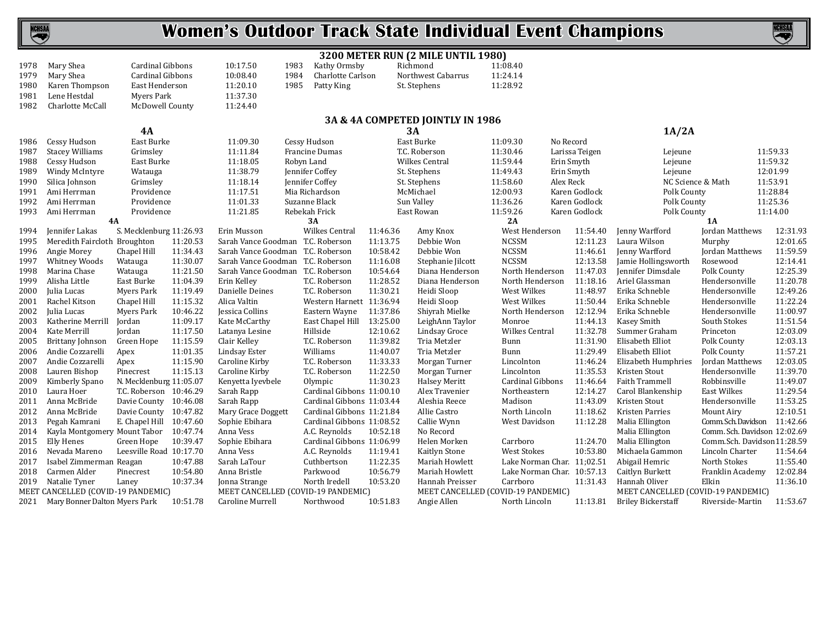

**NCHSAA** (V)

|      | 3200 METER RUN (2 MILE UNTIL 1980)                  |                         |          |                                                        |                           |          |                      |                                                     |                |                                    |                              |          |  |
|------|-----------------------------------------------------|-------------------------|----------|--------------------------------------------------------|---------------------------|----------|----------------------|-----------------------------------------------------|----------------|------------------------------------|------------------------------|----------|--|
| 1978 | Mary Shea                                           | Cardinal Gibbons        |          | 10:17.50<br>1983                                       | Kathy Ormsby              |          | Richmond             | 11:08.40                                            |                |                                    |                              |          |  |
| 1979 | Mary Shea                                           | Cardinal Gibbons        |          | 10:08.40<br>1984                                       | Charlotte Carlson         |          | Northwest Cabarrus   | 11:24.14                                            |                |                                    |                              |          |  |
| 1980 | Karen Thompson                                      | East Henderson          |          | 11:20.10<br>1985                                       | Patty King                |          | St. Stephens         | 11:28.92                                            |                |                                    |                              |          |  |
| 1981 | Lene Hestdal                                        | Myers Park              |          | 11:37.30                                               |                           |          |                      |                                                     |                |                                    |                              |          |  |
| 1982 | Charlotte McCall                                    | McDowell County         |          | 11:24.40                                               |                           |          |                      |                                                     |                |                                    |                              |          |  |
|      | 3A & 4A COMPETED JOINTLY IN 1986                    |                         |          |                                                        |                           |          |                      |                                                     |                |                                    |                              |          |  |
|      |                                                     | 4A                      |          |                                                        |                           | 3A       |                      |                                                     |                | 1A/2A                              |                              |          |  |
| 1986 | Cessy Hudson                                        | East Burke              |          | 11:09.30                                               | Cessy Hudson              |          | East Burke           | 11:09.30<br>No Record                               |                |                                    |                              |          |  |
| 1987 | <b>Stacey Williams</b>                              | Grimsley                |          | 11:11.84                                               | Francine Dumas            |          | T.C. Roberson        | 11:30.46                                            | Larissa Teigen | Lejeune                            |                              | 11:59.33 |  |
| 1988 | Cessy Hudson                                        | East Burke              |          | 11:18.05                                               | Robyn Land                |          | Wilkes Central       | 11:59.44<br>Erin Smyth                              |                | Lejeune                            |                              | 11:59.32 |  |
| 1989 | Windy McIntyre                                      | Watauga                 |          | 11:38.79                                               | Jennifer Coffey           |          | St. Stephens         | 11:49.43<br>Erin Smyth                              |                | Lejeune                            |                              | 12:01.99 |  |
| 1990 | Silica Johnson                                      | Grimsley                |          | 11:18.14                                               | Jennifer Coffey           |          | St. Stephens         | 11:58.60<br>Alex Reck                               |                | NC Science & Math                  |                              | 11:53.91 |  |
| 1991 | Ami Herrman                                         | Providence              |          | 11:17.51                                               | Mia Richardson            |          | McMichael            | 12:00.93                                            | Karen Godlock  | Polk County                        |                              | 11:28.84 |  |
| 1992 | Ami Herrman                                         | Providence              |          | 11:01.33                                               | Suzanne Black             |          | Sun Valley           | 11:36.26                                            | Karen Godlock  | Polk County                        |                              | 11:25.36 |  |
| 1993 | Ami Herrman                                         | Providence              |          | 11:21.85                                               | Rebekah Frick             |          | East Rowan           | 11:59.26                                            | Karen Godlock  | Polk County                        |                              | 11:14.00 |  |
|      | 4A                                                  |                         |          |                                                        | 3A                        |          |                      | 2A                                                  |                |                                    | 1A                           |          |  |
| 1994 | Jennifer Lakas                                      | S. Mecklenburg 11:26.93 |          | Erin Musson                                            | Wilkes Central            | 11:46.36 | Amy Knox             | West Henderson                                      | 11:54.40       | Jenny Warfford                     | Jordan Matthews              | 12:31.93 |  |
| 1995 | Meredith Faircloth Broughton                        |                         | 11:20.53 | Sarah Vance Goodman T.C. Roberson                      |                           | 11:13.75 | Debbie Won           | <b>NCSSM</b>                                        | 12:11.23       | Laura Wilson                       | Murphy                       | 12:01.65 |  |
| 1996 | Angie Morey                                         | Chapel Hill             | 11:34.43 | Sarah Vance Goodman                                    | T.C. Roberson             | 10:58.42 | Debbie Won           | <b>NCSSM</b>                                        | 11:46.61       | Jenny Warfford                     | Jordan Matthews              | 11:59.59 |  |
| 1997 | Whitney Woods                                       | Watauga                 | 11:30.07 | Sarah Vance Goodman T.C. Roberson                      |                           | 11:16.08 | Stephanie Jilcott    | <b>NCSSM</b>                                        | 12:13.58       | Jamie Hollingsworth                | Rosewood                     | 12:14.41 |  |
| 1998 | Marina Chase                                        | Watauga                 | 11:21.50 | Sarah Vance Goodman                                    | T.C. Roberson             | 10:54.64 | Diana Henderson      | North Henderson                                     | 11:47.03       | Jennifer Dimsdale                  | Polk County                  | 12:25.39 |  |
| 1999 | Alisha Little                                       | East Burke              | 11:04.39 | Erin Kelley                                            | T.C. Roberson             | 11:28.52 | Diana Henderson      | North Henderson                                     | 11:18.16       | Ariel Glassman                     | Hendersonville               | 11:20.78 |  |
| 2000 | Julia Lucas                                         | <b>Myers Park</b>       | 11:19.49 | Danielle Deines                                        | T.C. Roberson             | 11:30.21 | Heidi Sloop          | West Wilkes                                         | 11:48.97       | Erika Schneble                     | Hendersonville               | 12:49.26 |  |
| 2001 | Rachel Kitson                                       | Chapel Hill             | 11:15.32 | Alica Valtin                                           | Western Harnett 11:36.94  |          | Heidi Sloop          | West Wilkes                                         | 11:50.44       | Erika Schneble                     | Hendersonville               | 11:22.24 |  |
| 2002 | Julia Lucas                                         | <b>Myers Park</b>       | 10:46.22 | Jessica Collins                                        | Eastern Wayne             | 11:37.86 | Shiyrah Mielke       | North Henderson                                     | 12:12.94       | Erika Schneble                     | Hendersonville               | 11:00.97 |  |
| 2003 | Katherine Merrill                                   | Jordan                  | 11:09.17 | Kate McCarthy                                          | East Chapel Hill 13:25.00 |          | LeighAnn Taylor      | Monroe                                              | 11:44.13       | Kasey Smith                        | South Stokes                 | 11:51.54 |  |
| 2004 | Kate Merrill                                        | Jordan                  | 11:17.50 | Latanya Lesine                                         | Hillside                  | 12:10.62 | Lindsay Groce        | Wilkes Central                                      | 11:32.78       | Summer Graham                      | Princeton                    | 12:03.09 |  |
| 2005 | <b>Brittany Johnson</b>                             | Green Hope              | 11:15.59 | Clair Kelley                                           | T.C. Roberson             | 11:39.82 | Tria Metzler         | Bunn                                                | 11:31.90       | Elisabeth Elliot                   | Polk County                  | 12:03.13 |  |
| 2006 | Andie Cozzarelli                                    | Apex                    | 11:01.35 | Lindsay Ester                                          | Williams                  | 11:40.07 | Tria Metzler         | Bunn                                                | 11:29.49       | Elisabeth Elliot                   | Polk County                  | 11:57.21 |  |
| 2007 | Andie Cozzarelli                                    | Apex                    | 11:15.90 | Caroline Kirby                                         | T.C. Roberson             | 11:33.33 | Morgan Turner        | Lincolnton                                          | 11:46.24       | Elizabeth Humphries                | <b>Jordan Matthews</b>       | 12:03.05 |  |
| 2008 | Lauren Bishop                                       | Pinecrest               | 11:15.13 | Caroline Kirby                                         | T.C. Roberson             | 11:22.50 | Morgan Turner        | Lincolnton                                          | 11:35.53       | Kristen Stout                      | Hendersonville               | 11:39.70 |  |
| 2009 | Kimberly Spano                                      | N. Mecklenburg 11:05.07 |          | Kenyetta Iyevbele                                      | Olympic                   | 11:30.23 | <b>Halsey Meritt</b> | Cardinal Gibbons                                    | 11:46.64       | Faith Trammell                     | Robbinsville                 | 11:49.07 |  |
| 2010 | Laura Hoer                                          | T.C. Roberson 10:46.29  |          | Sarah Rapp                                             | Cardinal Gibbons 11:00.10 |          | Alex Travenier       | Northeastern                                        | 12:14.27       | Carol Blankenship                  | East Wilkes                  | 11:29.54 |  |
| 2011 | Anna McBride                                        | Davie County 10:46.08   |          | Sarah Rapp                                             | Cardinal Gibbons 11:03.44 |          | Aleshia Reece        | Madison                                             | 11:43.09       | Kristen Stout                      | Hendersonville               | 11:53.25 |  |
| 2012 | Anna McBride                                        | Davie County 10:47.82   |          | Mary Grace Doggett                                     | Cardinal Gibbons 11:21.84 |          | Allie Castro         | North Lincoln                                       | 11:18.62       | Kristen Parries                    | Mount Airy                   | 12:10.51 |  |
| 2013 | Pegah Kamrani                                       | E. Chapel Hill 10:47.60 |          | Sophie Ebihara                                         | Cardinal Gibbons 11:08.52 |          | Callie Wynn          | West Davidson                                       | 11:12.28       | Malia Ellington                    | Comm. Sch. Davidson 11:42.66 |          |  |
| 2014 | Kayla Montgomery Mount Tabor 10:47.74               |                         |          | Anna Vess                                              | A.C. Reynolds             | 10:52.18 | No Record            |                                                     |                | Malia Ellington                    | Comm. Sch. Davidson 12:02.69 |          |  |
| 2015 | Elly Henes                                          | Green Hope              | 10:39.47 | Sophie Ebihara                                         | Cardinal Gibbons 11:06.99 |          | Helen Morken         | Carrboro                                            | 11:24.70       | Malia Ellington                    | Comm.Sch. Davidson11:28.59   |          |  |
| 2016 | Nevada Mareno                                       | Leesville Road 10:17.70 |          | Anna Vess                                              | A.C. Reynolds             | 11:19.41 | Kaitlyn Stone        | <b>West Stokes</b>                                  | 10:53.80       | Michaela Gammon                    | Lincoln Charter              | 11:54.64 |  |
| 2017 | Isabel Zimmerman Reagan                             |                         | 10:47.88 | Sarah LaTour                                           | Cuthbertson               | 11:22.35 | Mariah Howlett       | Lake Norman Char. 11;02.51                          |                | Abigail Hemric                     | North Stokes                 | 11:55.40 |  |
| 2018 | Carmen Alder                                        | Pinecrest               | 10:54.80 | Anna Bristle                                           | Parkwood                  | 10:56.79 | Mariah Howlett       | Lake Norman Char. 10:57.13                          |                | Caitlyn Burkett                    | Franklin Academy             | 12:02.84 |  |
| 2019 | Natalie Tyner<br>MEET CANCELLED (COVID-19 PANDEMIC) | Laney                   | 10:37.34 | Jonna Strange                                          | North Iredell             | 10:53.20 | Hannah Preisser      | Carrboro                                            | 11:31.43       | Hannah Oliver                      | Elkin                        | 11:36.10 |  |
|      |                                                     |                         |          | MEET CANCELLED (COVID-19 PANDEMIC)<br>Caroline Murrell | Northwood                 |          |                      | MEET CANCELLED (COVID-19 PANDEMIC)<br>North Lincoln | 11:13.81       | MEET CANCELLED (COVID-19 PANDEMIC) |                              | 11:53.67 |  |
|      | 2021 Mary Bonner Dalton Myers Park                  |                         | 10:51.78 |                                                        |                           | 10:51.83 | Angie Allen          |                                                     |                | <b>Briley Bickerstaff</b>          | Riverside-Martin             |          |  |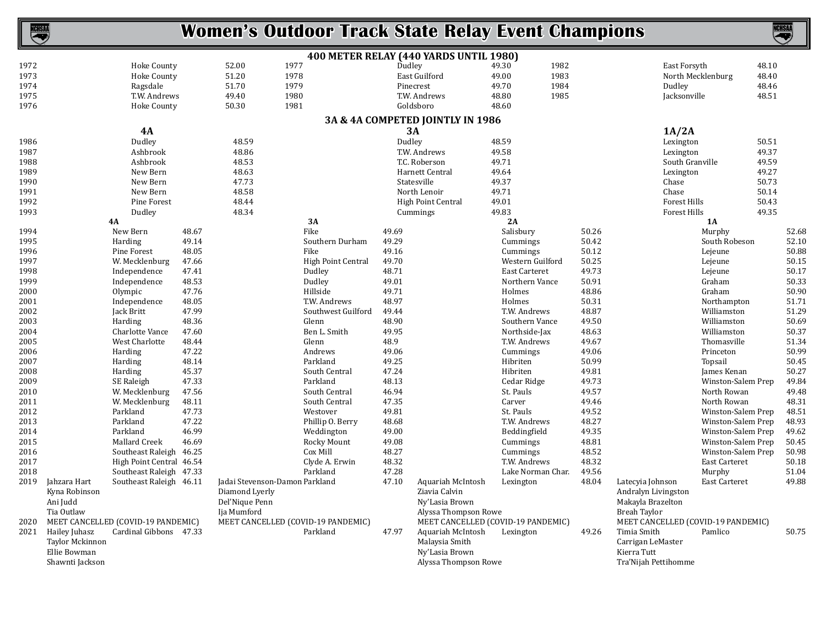| ICHSAI       |                                                                     |                                    |                |                                                                                   |      | <b>Women's Outdoor Track State Relay Event Champions</b> |                |                                                                               |                                    |      |                |                                                                                     |                     |                                    | <b>NCHSAA</b> | $\blacktriangledown$ |
|--------------|---------------------------------------------------------------------|------------------------------------|----------------|-----------------------------------------------------------------------------------|------|----------------------------------------------------------|----------------|-------------------------------------------------------------------------------|------------------------------------|------|----------------|-------------------------------------------------------------------------------------|---------------------|------------------------------------|---------------|----------------------|
|              |                                                                     |                                    |                |                                                                                   |      | 400 METER RELAY (440 YARDS UNTIL 1980)                   |                |                                                                               |                                    |      |                |                                                                                     |                     |                                    |               |                      |
| 1972         |                                                                     | <b>Hoke County</b>                 |                | 52.00                                                                             | 1977 |                                                          | Dudley         |                                                                               | 49.30                              | 1982 |                |                                                                                     | East Forsyth        |                                    | 48.10         |                      |
| 1973         |                                                                     | <b>Hoke County</b>                 |                | 51.20                                                                             | 1978 |                                                          |                | East Guilford                                                                 | 49.00                              | 1983 |                |                                                                                     | North Mecklenburg   |                                    | 48.40         |                      |
| 1974         |                                                                     | Ragsdale                           |                | 51.70                                                                             | 1979 |                                                          |                | Pinecrest                                                                     | 49.70                              | 1984 |                |                                                                                     | Dudley              |                                    | 48.46         |                      |
| 1975         |                                                                     | T.W. Andrews                       |                | 49.40                                                                             | 1980 |                                                          |                | T.W. Andrews                                                                  | 48.80                              | 1985 |                |                                                                                     | Jacksonville        |                                    | 48.51         |                      |
| 1976         |                                                                     | <b>Hoke County</b>                 |                | 50.30                                                                             | 1981 |                                                          |                | Goldsboro                                                                     | 48.60                              |      |                |                                                                                     |                     |                                    |               |                      |
|              |                                                                     |                                    |                |                                                                                   |      | 3A & 4A COMPETED JOINTLY IN 1986                         |                |                                                                               |                                    |      |                |                                                                                     |                     |                                    |               |                      |
|              |                                                                     | <b>4A</b>                          |                |                                                                                   |      |                                                          |                | <b>3A</b>                                                                     |                                    |      |                |                                                                                     | 1A/2A               |                                    |               |                      |
| 1986         |                                                                     | Dudley                             |                | 48.59                                                                             |      |                                                          | Dudley         |                                                                               | 48.59                              |      |                |                                                                                     | Lexington           |                                    | 50.51         |                      |
| 1987         |                                                                     | Ashbrook                           |                | 48.86                                                                             |      |                                                          |                | T.W. Andrews                                                                  | 49.58                              |      |                |                                                                                     | Lexington           |                                    | 49.37         |                      |
| 1988         |                                                                     | Ashbrook                           |                | 48.53                                                                             |      |                                                          |                | T.C. Roberson                                                                 | 49.71                              |      |                |                                                                                     | South Granville     |                                    | 49.59         |                      |
| 1989         |                                                                     | New Bern                           |                | 48.63                                                                             |      |                                                          |                | Harnett Central                                                               | 49.64                              |      |                |                                                                                     | Lexington           |                                    | 49.27         |                      |
| 1990         |                                                                     | New Bern                           |                | 47.73                                                                             |      |                                                          |                | Statesville                                                                   | 49.37                              |      |                |                                                                                     | Chase               |                                    | 50.73         |                      |
| 1991         |                                                                     | New Bern                           |                | 48.58                                                                             |      |                                                          |                | North Lenoir                                                                  | 49.71                              |      |                |                                                                                     | Chase               |                                    | 50.14         |                      |
| 1992         |                                                                     | Pine Forest                        |                | 48.44                                                                             |      |                                                          |                | High Point Central                                                            | 49.01                              |      |                |                                                                                     | <b>Forest Hills</b> |                                    | 50.43         |                      |
| 1993         |                                                                     | Dudley                             |                | 48.34                                                                             |      |                                                          |                | Cummings                                                                      | 49.83                              |      |                |                                                                                     | Forest Hills        |                                    | 49.35         |                      |
|              |                                                                     | 4A                                 |                |                                                                                   |      | 3A                                                       |                |                                                                               | 2A                                 |      |                |                                                                                     |                     | 1A                                 |               |                      |
| 1994         |                                                                     | New Bern                           | 48.67          |                                                                                   |      | Fike                                                     | 49.69          |                                                                               | Salisbury                          |      | 50.26          |                                                                                     |                     | Murphy                             |               | 52.68                |
| 1995         |                                                                     | Harding                            | 49.14          |                                                                                   |      | Southern Durham                                          | 49.29          |                                                                               | Cummings<br>Cummings               |      | 50.42          |                                                                                     |                     | South Robeson                      |               | 52.10                |
| 1996         |                                                                     | Pine Forest                        | 48.05          |                                                                                   |      | Fike                                                     | 49.16          |                                                                               |                                    |      | 50.12          |                                                                                     |                     | Lejeune                            |               | 50.88                |
| 1997<br>1998 |                                                                     | W. Mecklenburg                     | 47.66          |                                                                                   |      | <b>High Point Central</b><br>Dudley                      | 49.70<br>48.71 |                                                                               | Western Guilford<br>East Carteret  |      | 50.25<br>49.73 |                                                                                     |                     | Lejeune                            |               | 50.15<br>50.17       |
| 1999         |                                                                     | Independence                       | 47.41<br>48.53 |                                                                                   |      | Dudley                                                   | 49.01          |                                                                               |                                    |      | 50.91          |                                                                                     |                     | Lejeune<br>Graham                  |               |                      |
| 2000         |                                                                     | Independence<br>Olympic            | 47.76          |                                                                                   |      | Hillside                                                 | 49.71          |                                                                               | Northern Vance<br>Holmes           |      | 48.86          |                                                                                     |                     | Graham                             |               | 50.33<br>50.90       |
| 2001         |                                                                     | Independence                       | 48.05          |                                                                                   |      | T.W. Andrews                                             | 48.97          |                                                                               | Holmes                             |      | 50.31          |                                                                                     |                     | Northampton                        |               | 51.71                |
| 2002         |                                                                     | Jack Britt                         | 47.99          |                                                                                   |      | Southwest Guilford                                       | 49.44          |                                                                               | T.W. Andrews                       |      | 48.87          |                                                                                     |                     | Williamston                        |               | 51.29                |
| 2003         |                                                                     | Harding                            | 48.36          |                                                                                   |      | Glenn                                                    | 48.90          |                                                                               | Southern Vance                     |      | 49.50          |                                                                                     |                     | Williamston                        |               | 50.69                |
| 2004         |                                                                     | Charlotte Vance                    | 47.60          |                                                                                   |      | Ben L. Smith                                             | 49.95          |                                                                               | Northside-Jax                      |      | 48.63          |                                                                                     |                     | Williamston                        |               | 50.37                |
| 2005         |                                                                     | West Charlotte                     | 48.44          |                                                                                   |      | Glenn                                                    | 48.9           |                                                                               | T.W. Andrews                       |      | 49.67          |                                                                                     |                     | Thomasville                        |               | 51.34                |
| 2006         |                                                                     | Harding                            | 47.22          |                                                                                   |      | Andrews                                                  | 49.06          |                                                                               | Cummings                           |      | 49.06          |                                                                                     |                     | Princeton                          |               | 50.99                |
| 2007         |                                                                     | Harding                            | 48.14          |                                                                                   |      | Parkland                                                 | 49.25          |                                                                               | Hibriten                           |      | 50.99          |                                                                                     |                     | Topsail                            |               | 50.45                |
| 2008         |                                                                     | Harding                            | 45.37          |                                                                                   |      | South Central                                            | 47.24          |                                                                               | Hibriten                           |      | 49.81          |                                                                                     |                     | James Kenan                        |               | 50.27                |
| 2009         |                                                                     | SE Raleigh                         | 47.33          |                                                                                   |      | Parkland                                                 | 48.13          |                                                                               | Cedar Ridge                        |      | 49.73          |                                                                                     |                     | Winston-Salem Prep                 |               | 49.84                |
| 2010         |                                                                     | W. Mecklenburg                     | 47.56          |                                                                                   |      | South Central                                            | 46.94          |                                                                               | St. Pauls                          |      | 49.57          |                                                                                     |                     | North Rowan                        |               | 49.48                |
| 2011         |                                                                     | W. Mecklenburg                     | 48.11          |                                                                                   |      | South Central                                            | 47.35          |                                                                               | Carver                             |      | 49.46          |                                                                                     |                     | North Rowan                        |               | 48.31                |
| 2012         |                                                                     | Parkland                           | 47.73          |                                                                                   |      | Westover                                                 | 49.81          |                                                                               | St. Pauls                          |      | 49.52          |                                                                                     |                     | Winston-Salem Prep                 |               | 48.51                |
| 2013         |                                                                     | Parkland                           | 47.22          |                                                                                   |      | Phillip O. Berry                                         | 48.68          |                                                                               | T.W. Andrews                       |      | 48.27          |                                                                                     |                     | Winston-Salem Prep                 |               | 48.93                |
| 2014         |                                                                     | Parkland                           | 46.99          |                                                                                   |      | Weddington                                               | 49.00          |                                                                               | Beddingfield                       |      | 49.35          |                                                                                     |                     | Winston-Salem Prep                 |               | 49.62                |
| 2015         |                                                                     | Mallard Creek                      | 46.69          |                                                                                   |      | Rocky Mount                                              | 49.08          |                                                                               | Cummings                           |      | 48.81          |                                                                                     |                     | Winston-Salem Prep                 |               | 50.45                |
| 2016         |                                                                     | Southeast Raleigh 46.25            |                |                                                                                   |      | Cox Mill                                                 | 48.27          |                                                                               | Cummings                           |      | 48.52          |                                                                                     |                     | Winston-Salem Prep                 |               | 50.98                |
| 2017         |                                                                     | High Point Central 46.54           |                |                                                                                   |      | Clyde A. Erwin                                           | 48.32          |                                                                               | T.W. Andrews                       |      | 48.32          |                                                                                     |                     | East Carteret                      |               | 50.18                |
| 2018         |                                                                     | Southeast Raleigh 47.33            |                |                                                                                   |      | Parkland                                                 | 47.28          |                                                                               | Lake Norman Char.                  |      | 49.56          |                                                                                     |                     | Murphy                             |               | 51.04                |
| 2019         | Jahzara Hart<br>Kyna Robinson<br>Ani Judd<br>Tia Outlaw             | Southeast Raleigh 46.11            |                | Jadai Stevenson-Damon Parkland<br>Diamond Lyerly<br>Del'Nique Penn<br>Ija Mumford |      |                                                          | 47.10          | Aquariah McIntosh<br>Ziavia Calvin<br>Ny'Lasia Brown<br>Alyssa Thompson Rowe  | Lexington                          |      | 48.04          | Latecvia Johnson<br>Andralyn Livingston<br>Makayla Brazelton<br><b>Breah Tavlor</b> |                     | East Carteret                      |               | 49.88                |
| 2020         |                                                                     | MEET CANCELLED (COVID-19 PANDEMIC) |                |                                                                                   |      | MEET CANCELLED (COVID-19 PANDEMIC)                       |                |                                                                               | MEET CANCELLED (COVID-19 PANDEMIC) |      |                |                                                                                     |                     | MEET CANCELLED (COVID-19 PANDEMIC) |               |                      |
| 2021         | Hailey Juhasz<br>Taylor Mckinnon<br>Ellie Bowman<br>Shawnti Jackson | Cardinal Gibbons 47.33             |                |                                                                                   |      | Parkland                                                 | 47.97          | Aquariah McIntosh<br>Malaysia Smith<br>Ny'Lasia Brown<br>Alyssa Thompson Rowe | Lexington                          |      | 49.26          | Timia Smith<br>Carrigan LeMaster<br>Kierra Tutt<br>Tra'Nijah Pettihomme             |                     | Pamlico                            |               | 50.75                |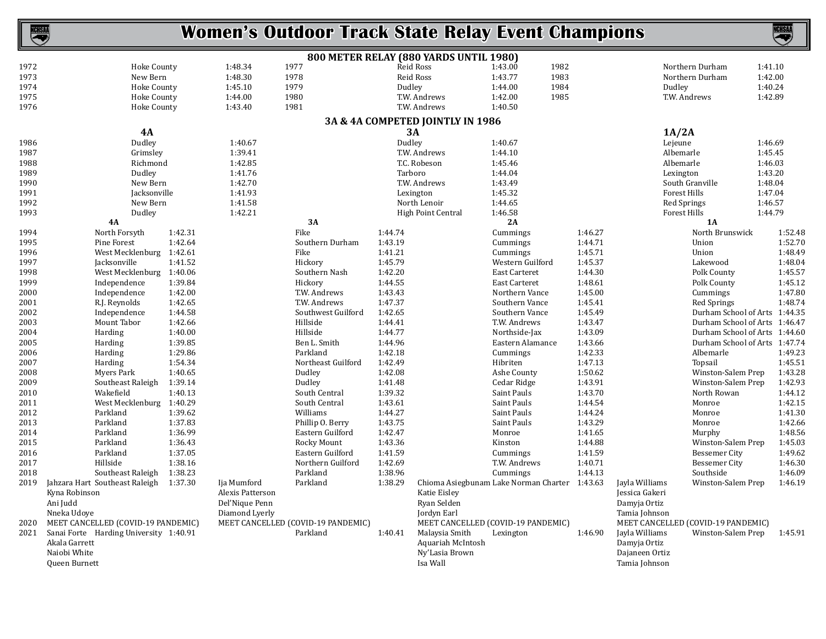| <b>NCHSAA</b> |                                        |         |                  | <b>Women's Outdoor Track State Relay Event Champions</b> |           |                                        |                                               |         |                |                                    |         | <u>NGHSAL</u> |
|---------------|----------------------------------------|---------|------------------|----------------------------------------------------------|-----------|----------------------------------------|-----------------------------------------------|---------|----------------|------------------------------------|---------|---------------|
|               |                                        |         |                  |                                                          |           | 800 METER RELAY (880 YARDS UNTIL 1980) |                                               |         |                |                                    |         |               |
| 1972          | Hoke County                            |         | 1977<br>1:48.34  |                                                          | Reid Ross |                                        | 1982<br>1:43.00                               |         |                | Northern Durham                    | 1:41.10 |               |
| 1973          | New Bern                               |         | 1:48.30          | 1978                                                     | Reid Ross |                                        | 1983<br>1:43.77                               |         |                | Northern Durham                    | 1:42.00 |               |
| 1974          | Hoke County                            |         | 1979<br>1:45.10  |                                                          | Dudley    |                                        | 1984<br>1:44.00                               |         |                | Dudley                             | 1:40.24 |               |
| 1975          | Hoke County                            |         | 1:44.00          | 1980                                                     |           | T.W. Andrews                           | 1:42.00<br>1985                               |         |                | T.W. Andrews                       | 1:42.89 |               |
| 1976          | Hoke County                            |         | 1:43.40          | 1981                                                     |           | T.W. Andrews                           | 1:40.50                                       |         |                |                                    |         |               |
|               |                                        |         |                  |                                                          |           | 3A & 4A COMPETED JOINTLY IN 1986       |                                               |         |                |                                    |         |               |
|               | 4A                                     |         |                  |                                                          | <b>3A</b> |                                        |                                               |         |                | 1A/2A                              |         |               |
| 1986          | Dudley                                 |         | 1:40.67          |                                                          | Dudley    |                                        | 1:40.67                                       |         |                | Lejeune                            | 1:46.69 |               |
| 1987          | Grimsley                               |         | 1:39.41          |                                                          |           | T.W. Andrews                           | 1:44.10                                       |         |                | Albemarle                          | 1:45.45 |               |
| 1988          | Richmond                               |         | 1:42.85          |                                                          |           | T.C. Robeson                           | 1:45.46                                       |         |                | Albemarle                          | 1:46.03 |               |
| 1989          | Dudley                                 |         | 1:41.76          |                                                          | Tarboro   |                                        | 1:44.04                                       |         |                | Lexington                          | 1:43.20 |               |
| 1990          | New Bern                               |         | 1:42.70          |                                                          |           | T.W. Andrews                           | 1:43.49                                       |         |                | South Granville                    | 1:48.04 |               |
| 1991          | Jacksonville                           |         | 1:41.93          |                                                          | Lexington |                                        | 1:45.32                                       |         |                | <b>Forest Hills</b>                | 1:47.04 |               |
| 1992          | New Bern                               |         | 1:41.58          |                                                          |           | North Lenoir                           | 1:44.65                                       |         |                | Red Springs                        | 1:46.57 |               |
| 1993          | Dudley                                 |         | 1:42.21          |                                                          |           | High Point Central                     | 1:46.58                                       |         |                | Forest Hills                       | 1:44.79 |               |
|               | 4A                                     |         |                  | 3A                                                       |           |                                        | 2A                                            |         |                | 1A                                 |         |               |
| 1994          | North Forsyth                          | 1:42.31 |                  | Fike                                                     | 1:44.74   |                                        | Cummings                                      | 1:46.27 |                | North Brunswick                    |         | 1:52.48       |
| 1995          | Pine Forest                            | 1:42.64 |                  | Southern Durham                                          | 1:43.19   |                                        | Cummings                                      | 1:44.71 |                | Union                              |         | 1:52.70       |
| 1996          | West Mecklenburg 1:42.61               |         |                  | Fike                                                     | 1:41.21   |                                        | Cummings                                      | 1:45.71 |                | Union                              |         | 1:48.49       |
| 1997          | Jacksonville                           | 1:41.52 |                  | Hickory                                                  | 1:45.79   |                                        | Western Guilford                              | 1:45.37 |                | Lakewood                           |         | 1:48.04       |
| 1998          | West Mecklenburg 1:40.06               |         |                  | Southern Nash                                            | 1:42.20   |                                        | East Carteret                                 | 1:44.30 |                | Polk County                        |         | 1:45.57       |
| 1999          | Independence                           | 1:39.84 |                  | Hickory                                                  | 1:44.55   |                                        | East Carteret                                 | 1:48.61 |                | Polk County                        |         | 1:45.12       |
| 2000          | Independence                           | 1:42.00 |                  | T.W. Andrews                                             | 1:43.43   |                                        | Northern Vance                                | 1:45.00 |                | Cummings                           |         | 1:47.80       |
| 2001          | R.J. Reynolds                          | 1:42.65 |                  | T.W. Andrews                                             | 1:47.37   |                                        | Southern Vance                                | 1:45.41 |                | <b>Red Springs</b>                 |         | 1:48.74       |
| 2002          | Independence                           | 1:44.58 |                  | Southwest Guilford                                       | 1:42.65   |                                        | Southern Vance                                | 1:45.49 |                | Durham School of Arts 1:44.35      |         |               |
| 2003          | Mount Tabor                            | 1:42.66 |                  | Hillside                                                 | 1:44.41   |                                        | T.W. Andrews                                  | 1:43.47 |                | Durham School of Arts 1:46.47      |         |               |
| 2004          | Harding                                | 1:40.00 |                  | Hillside                                                 | 1:44.77   |                                        | Northside-Jax                                 | 1:43.09 |                | Durham School of Arts 1:44.60      |         |               |
| 2005          | Harding                                | 1:39.85 |                  | Ben L. Smith                                             | 1:44.96   |                                        | Eastern Alamance                              | 1:43.66 |                | Durham School of Arts 1:47.74      |         |               |
| 2006          | Harding                                | 1:29.86 |                  | Parkland                                                 | 1:42.18   |                                        | Cummings                                      | 1:42.33 |                | Albemarle                          |         | 1:49.23       |
| 2007          | Harding                                | 1:54.34 |                  | Northeast Guilford                                       | 1:42.49   |                                        | Hibriten                                      | 1:47.13 |                | Topsail                            |         | 1:45.51       |
| 2008          | Myers Park                             | 1:40.65 |                  | Dudley                                                   | 1:42.08   |                                        | Ashe County                                   | 1:50.62 |                | Winston-Salem Prep                 |         | 1:43.28       |
| 2009          | Southeast Raleigh                      | 1:39.14 |                  | Dudley                                                   | 1:41.48   |                                        | Cedar Ridge                                   | 1:43.91 |                | Winston-Salem Prep                 |         | 1:42.93       |
| 2010          | Wakefield                              | 1:40.13 |                  | South Central                                            | 1:39.32   |                                        | Saint Pauls                                   | 1:43.70 |                | North Rowan                        |         | 1:44.12       |
| 2011          | West Mecklenburg 1:40.29               |         |                  | South Central                                            | 1:43.61   |                                        | Saint Pauls                                   | 1:44.54 |                | Monroe                             |         | 1:42.15       |
| 2012          | Parkland                               | 1:39.62 |                  | Williams                                                 | 1:44.27   |                                        | Saint Pauls                                   | 1:44.24 |                | Monroe                             |         | 1:41.30       |
| 2013          | Parkland                               | 1:37.83 |                  | Phillip O. Berry                                         | 1:43.75   |                                        | Saint Pauls                                   | 1:43.29 |                | Monroe                             |         | 1:42.66       |
| 2014          | Parkland                               | 1:36.99 |                  | Eastern Guilford                                         | 1:42.47   |                                        | Monroe                                        | 1:41.65 |                | Murphy                             |         | 1:48.56       |
| 2015          | Parkland                               | 1:36.43 |                  | Rocky Mount                                              | 1:43.36   |                                        | Kinston                                       | 1:44.88 |                | Winston-Salem Prep                 |         | 1:45.03       |
| 2016          | Parkland                               | 1:37.05 |                  | Eastern Guilford                                         | 1:41.59   |                                        | Cummings                                      | 1:41.59 |                | <b>Bessemer City</b>               |         | 1:49.62       |
| 2017          | Hillside                               | 1:38.16 |                  | Northern Guilford                                        | 1:42.69   |                                        | T.W. Andrews                                  | 1:40.71 |                | <b>Bessemer City</b>               |         | 1:46.30       |
| 2018          | Southeast Raleigh                      | 1:38.23 |                  | Parkland                                                 | 1:38.96   |                                        | Cummings                                      | 1:44.13 |                | Southside                          |         | 1:46.09       |
| 2019          | Jahzara Hart Southeast Raleigh         | 1:37.30 | Ija Mumford      | Parkland                                                 | 1:38.29   |                                        | Chioma Asiegbunam Lake Norman Charter 1:43.63 |         | Jayla Williams | Winston-Salem Prep                 |         | 1:46.19       |
|               | Kyna Robinson                          |         | Alexis Patterson |                                                          |           | Katie Eisley                           |                                               |         | Jessica Gakeri |                                    |         |               |
|               | Ani Judd                               |         | Del'Nique Penn   |                                                          |           | Ryan Selden                            |                                               |         | Damyja Ortiz   |                                    |         |               |
|               | Nneka Udoye                            |         | Diamond Lyerly   |                                                          |           | Jordyn Earl                            |                                               |         | Tamia Johnson  |                                    |         |               |
| 2020          | MEET CANCELLED (COVID-19 PANDEMIC)     |         |                  | MEET CANCELLED (COVID-19 PANDEMIC)                       |           |                                        | MEET CANCELLED (COVID-19 PANDEMIC)            |         |                | MEET CANCELLED (COVID-19 PANDEMIC) |         |               |
| 2021          | Sanai Forte Harding University 1:40.91 |         |                  | Parkland                                                 | 1:40.41   | Malaysia Smith                         | Lexington                                     | 1:46.90 | Jayla Williams | Winston-Salem Prep                 |         | 1:45.91       |
|               | Akala Garrett                          |         |                  |                                                          |           | Aquariah McIntosh                      |                                               |         | Damyja Ortiz   |                                    |         |               |
|               | Naiobi White                           |         |                  |                                                          |           | Ny'Lasia Brown                         |                                               |         | Dajaneen Ortiz |                                    |         |               |
|               | Queen Burnett                          |         |                  |                                                          |           | Isa Wall                               |                                               |         | Tamia Johnson  |                                    |         |               |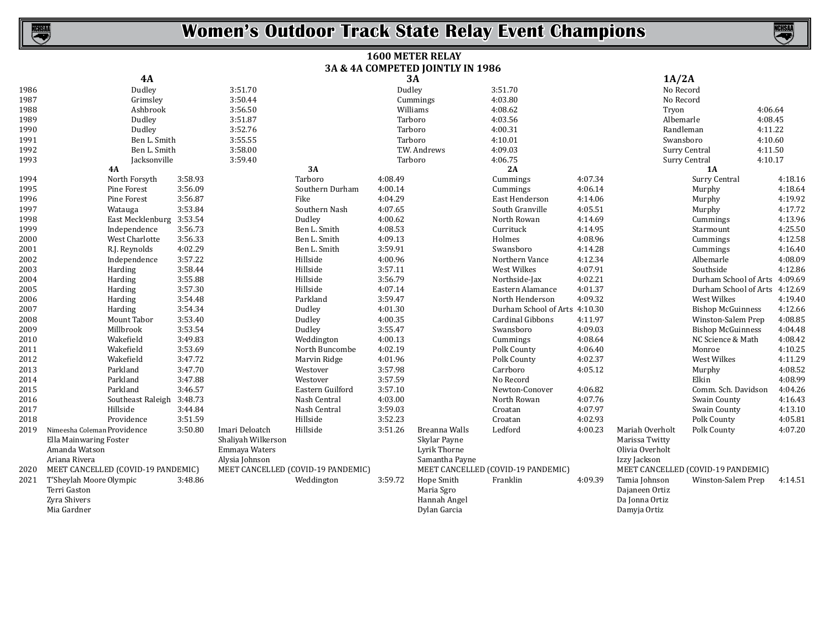NCHSAA

#### **Women's Outdoor Track State Relay Event Champions**

|      |                                    |         |                    |                                    |         | <b>1600 METER RELAY</b>          |                                    |         |                 |                                    |         |
|------|------------------------------------|---------|--------------------|------------------------------------|---------|----------------------------------|------------------------------------|---------|-----------------|------------------------------------|---------|
|      |                                    |         |                    |                                    |         | 3A & 4A COMPETED JOINTLY IN 1986 |                                    |         |                 |                                    |         |
|      | 4A                                 |         |                    |                                    |         | <b>3A</b>                        |                                    |         | 1A/2A           |                                    |         |
| 1986 | Dudley                             |         | 3:51.70            |                                    | Dudley  |                                  | 3:51.70                            |         | No Record       |                                    |         |
| 1987 | Grimsley                           |         | 3:50.44            |                                    |         | Cummings                         | 4:03.80                            |         | No Record       |                                    |         |
| 1988 | Ashbrook                           |         | 3:56.50            |                                    |         | Williams                         | 4:08.62                            |         | Tryon           |                                    | 4:06.64 |
| 1989 | Dudley                             |         | 3:51.87            |                                    |         | Tarboro                          | 4:03.56                            |         | Albemarle       |                                    | 4:08.45 |
| 1990 | Dudley                             |         | 3:52.76            |                                    |         | Tarboro                          | 4:00.31                            |         | Randleman       |                                    | 4:11.22 |
| 1991 | Ben L. Smith                       |         | 3:55.55            |                                    |         | Tarboro                          | 4:10.01                            |         | Swansboro       |                                    | 4:10.60 |
| 1992 | Ben L. Smith                       |         | 3:58.00            |                                    |         | T.W. Andrews                     | 4:09.03                            |         |                 | Surry Central                      | 4:11.50 |
| 1993 | Jacksonville                       |         | 3:59.40            |                                    |         | Tarboro                          | 4:06.75                            |         |                 | Surry Central                      | 4:10.17 |
|      | <b>4A</b>                          |         |                    | 3A                                 |         |                                  | 2A                                 |         |                 | 1A                                 |         |
| 1994 | North Forsyth                      | 3:58.93 |                    | Tarboro                            | 4:08.49 |                                  | Cummings                           | 4:07.34 |                 | Surry Central                      | 4:18.16 |
| 1995 | Pine Forest                        | 3:56.09 |                    | Southern Durham                    | 4:00.14 |                                  | Cummings                           | 4:06.14 |                 | Murphy                             | 4:18.64 |
| 1996 | Pine Forest                        | 3:56.87 |                    | Fike                               | 4:04.29 |                                  | East Henderson                     | 4:14.06 |                 | Murphy                             | 4:19.92 |
| 1997 | Watauga                            | 3:53.84 |                    | Southern Nash                      | 4:07.65 |                                  | South Granville                    | 4:05.51 |                 | Murphy                             | 4:17.72 |
| 1998 | East Mecklenburg 3:53.54           |         |                    | Dudley                             | 4:00.62 |                                  | North Rowan                        | 4:14.69 |                 | Cummings                           | 4:13.96 |
| 1999 | Independence                       | 3:56.73 |                    | Ben L. Smith                       | 4:08.53 |                                  | Currituck                          | 4:14.95 |                 | Starmount                          | 4:25.50 |
| 2000 | West Charlotte                     | 3:56.33 |                    | Ben L. Smith                       | 4:09.13 |                                  | Holmes                             | 4:08.96 |                 | Cummings                           | 4:12.58 |
| 2001 | R.J. Reynolds                      | 4:02.29 |                    | Ben L. Smith                       | 3:59.91 |                                  | Swansboro                          | 4:14.28 |                 | Cummings                           | 4:16.40 |
| 2002 | Independence                       | 3:57.22 |                    | Hillside                           | 4:00.96 |                                  | Northern Vance                     | 4:12.34 |                 | Albemarle                          | 4:08.09 |
| 2003 | Harding                            | 3:58.44 |                    | Hillside                           | 3:57.11 |                                  | West Wilkes                        | 4:07.91 |                 | Southside                          | 4:12.86 |
| 2004 | Harding                            | 3:55.88 |                    | Hillside                           | 3:56.79 |                                  | Northside-Jax                      | 4:02.21 |                 | Durham School of Arts              | 4:09.69 |
| 2005 | Harding                            | 3:57.30 |                    | Hillside                           | 4:07.14 |                                  | Eastern Alamance                   | 4:01.37 |                 | Durham School of Arts              | 4:12.69 |
| 2006 | Harding                            | 3:54.48 |                    | Parkland                           | 3:59.47 |                                  | North Henderson                    | 4:09.32 |                 | West Wilkes                        | 4:19.40 |
| 2007 | Harding                            | 3:54.34 |                    | Dudley                             | 4:01.30 |                                  | Durham School of Arts 4:10.30      |         |                 | <b>Bishop McGuinness</b>           | 4:12.66 |
| 2008 | Mount Tabor                        | 3:53.40 |                    | Dudley                             | 4:00.35 |                                  | Cardinal Gibbons                   | 4:11.97 |                 | Winston-Salem Prep                 | 4:08.85 |
| 2009 | Millbrook                          | 3:53.54 |                    | Dudley                             | 3:55.47 |                                  | Swansboro                          | 4:09.03 |                 | <b>Bishop McGuinness</b>           | 4:04.48 |
| 2010 | Wakefield                          | 3:49.83 |                    | Weddington                         | 4:00.13 |                                  | Cummings                           | 4:08.64 |                 | NC Science & Math                  | 4:08.42 |
| 2011 | Wakefield                          | 3:53.69 |                    | North Buncombe                     | 4:02.19 |                                  | Polk County                        | 4:06.40 |                 | Monroe                             | 4:10.25 |
| 2012 | Wakefield                          | 3:47.72 |                    | Marvin Ridge                       | 4:01.96 |                                  | Polk County                        | 4:02.37 |                 | West Wilkes                        | 4:11.29 |
| 2013 | Parkland                           | 3:47.70 |                    | Westover                           | 3:57.98 |                                  | Carrboro                           | 4:05.12 |                 | Murphy                             | 4:08.52 |
| 2014 | Parkland                           | 3:47.88 |                    | Westover                           | 3:57.59 |                                  | No Record                          |         |                 | Elkin                              | 4:08.99 |
| 2015 | Parkland                           | 3:46.57 |                    | Eastern Guilford                   | 3:57.10 |                                  | Newton-Conover                     | 4:06.82 |                 | Comm. Sch. Davidson                | 4:04.26 |
| 2016 | Southeast Raleigh 3:48.73          |         |                    | Nash Central                       | 4:03.00 |                                  | North Rowan                        | 4:07.76 |                 | Swain County                       | 4:16.43 |
| 2017 | Hillside                           | 3:44.84 |                    | Nash Central                       | 3:59.03 |                                  | Croatan                            | 4:07.97 |                 | Swain County                       | 4:13.10 |
| 2018 | Providence                         | 3:51.59 |                    | Hillside                           | 3:52.23 |                                  | Croatan                            | 4:02.93 |                 | Polk County                        | 4:05.81 |
| 2019 | Nimeesha Coleman Providence        | 3:50.80 | Imari Deloatch     | Hillside                           | 3:51.26 | Breanna Walls                    | Ledford                            | 4:00.23 | Mariah Overholt | Polk County                        | 4:07.20 |
|      | Ella Mainwaring Foster             |         | Shaliyah Wilkerson |                                    |         | Skylar Payne                     |                                    |         | Marissa Twitty  |                                    |         |
|      | Amanda Watson                      |         | Emmaya Waters      |                                    |         | Lyrik Thorne                     |                                    |         | Olivia Overholt |                                    |         |
|      | Ariana Rivera                      |         | Alysia Johnson     |                                    |         | Samantha Payne                   |                                    |         | Izzy Jackson    |                                    |         |
| 2020 | MEET CANCELLED (COVID-19 PANDEMIC) |         |                    | MEET CANCELLED (COVID-19 PANDEMIC) |         |                                  | MEET CANCELLED (COVID-19 PANDEMIC) |         |                 | MEET CANCELLED (COVID-19 PANDEMIC) |         |
| 2021 | T'Sheylah Moore Olympic            | 3:48.86 |                    | Weddington                         | 3:59.72 | Hope Smith                       | Franklin                           | 4:09.39 | Tamia Johnson   | Winston-Salem Prep                 | 4:14.51 |
|      | Terri Gaston                       |         |                    |                                    |         | Maria Sgro                       |                                    |         | Dajaneen Ortiz  |                                    |         |
|      | Zyra Shivers                       |         |                    |                                    |         | Hannah Angel                     |                                    |         | Da Jonna Ortiz  |                                    |         |
|      | Mia Gardner                        |         |                    |                                    |         | Dylan Garcia                     |                                    |         | Damyja Ortiz    |                                    |         |

Dylan Garcia

Damyja Ortiz